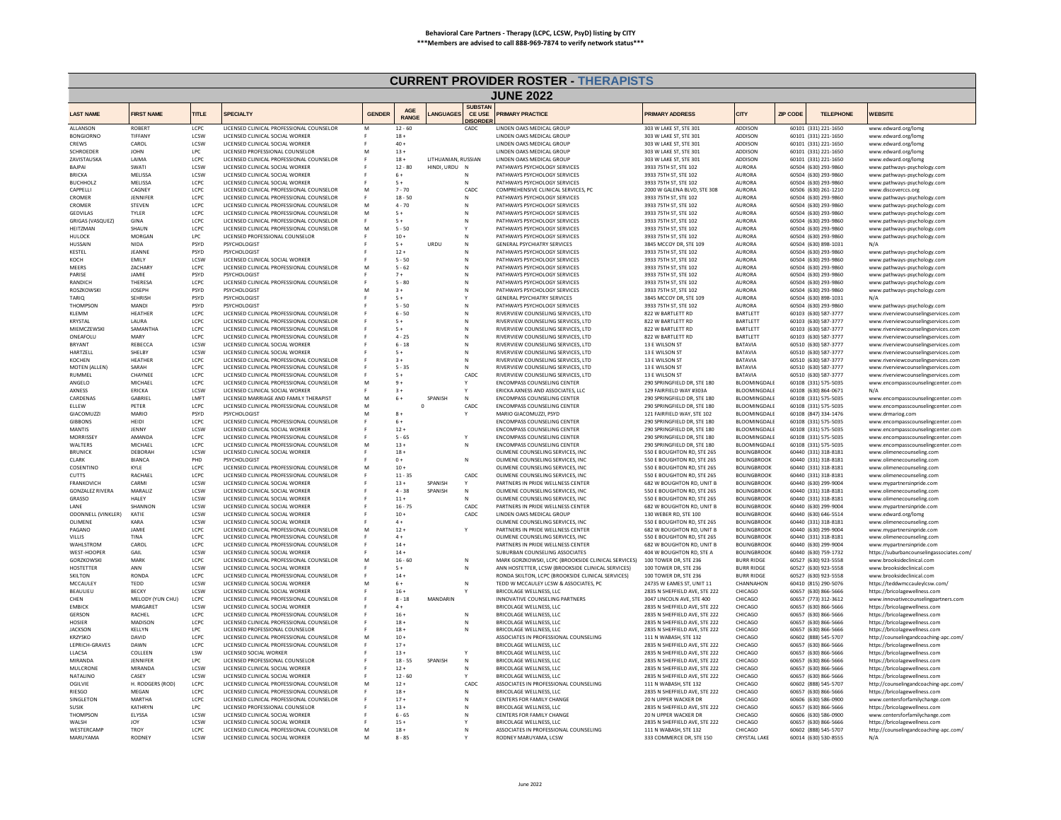|                                     |                            |                           |                                                                                      |               |                            |                     |                                                    | <b>CURRENT PROVIDER ROSTER THERAPISTS</b>                                |                                                                |                                          |                 |                                              |                                                                            |
|-------------------------------------|----------------------------|---------------------------|--------------------------------------------------------------------------------------|---------------|----------------------------|---------------------|----------------------------------------------------|--------------------------------------------------------------------------|----------------------------------------------------------------|------------------------------------------|-----------------|----------------------------------------------|----------------------------------------------------------------------------|
|                                     |                            |                           |                                                                                      |               |                            |                     |                                                    | <b>JUNE 2022</b>                                                         |                                                                |                                          |                 |                                              |                                                                            |
| <b>LAST NAME</b>                    | <b>FIRST NAME</b>          | <b>TITLE</b>              | <b>SPECIALTY</b>                                                                     | <b>GENDER</b> | <b>AGE</b><br><b>RANGE</b> | ANGUAGES            | <b>SUBSTAN</b><br><b>CE USE</b><br><b>DISORDEI</b> | <b>RIMARY PRACTICE</b>                                                   | <b>RIMARY ADDRESS</b>                                          | <b>CITY</b>                              | <b>ZIP CODE</b> | <b>TELEPHONE</b>                             | <b>WEBSITE</b>                                                             |
| ALLANSON                            | <b>ROBERT</b>              | LCPC                      | LICENSED CLINICAL PROFESSIONAL COUNSELOR                                             | M             | $12 - 60$                  |                     | CADC                                               | LINDEN OAKS MEDICAL GROUP                                                | 303 W LAKE ST, STE 301                                         | ADDISON                                  |                 | 60101 (331) 221-1650                         | www.edward.org/lomg                                                        |
| <b>BONGIORNO</b><br><b>CREWS</b>    | TIFFANY<br>CAROL           | LCSW<br><b>ICSW</b>       | LICENSED CLINICAL SOCIAL WORKER<br>LICENSED CLINICAL SOCIAL WORKER                   |               | $18 -$<br>$40 +$           |                     |                                                    | LINDEN OAKS MEDICAL GROUP<br><b>LINDEN OAKS MEDICAL GROUP</b>            | 303 W LAKE ST, STE 301<br>303 W LAKE ST. STE 301               | ADDISON<br><b>ADDISON</b>                |                 | 60101 (331) 221-1650<br>60101 (331) 221-1650 | www.edward.org/lomg<br>www.edward.org/lomg                                 |
| <b>SCHROEDER</b>                    | <b>JOHN</b>                | LPC                       | LICENSED PROFESSIONAL COUNSELOR                                                      | M             | $13 +$                     |                     |                                                    | LINDEN OAKS MEDICAL GROUP                                                | 303 W LAKE ST, STE 301                                         | ADDISON                                  |                 | 60101 (331) 221-1650                         | www.edward.org/lomg                                                        |
| ZAVISTAUSKA                         | LAIMA                      | LCPC                      | LICENSED CLINICAL PROFESSIONAL COUNSELOR                                             | F             | $18 +$                     | LITHUANIAN, RUSSIAN |                                                    | LINDEN OAKS MEDICAL GROUP                                                | 303 W LAKE ST, STE 301                                         | ADDISON                                  |                 | 60101 (331) 221-1650                         | www.edward.org/lome                                                        |
| <b>BAJPAI</b>                       | SWATI                      | LCSW                      | LICENSED CLINICAL SOCIAL WORKER                                                      |               | $12 - 80$                  | HINDI, URDU         |                                                    | PATHWAYS PSYCHOLOGY SERVICES                                             | 3933 75TH ST, STE 102                                          | AURORA                                   |                 | 60504 (630) 293-9860                         | www.pathways-psychology.com                                                |
| <b>BRICKA</b><br><b>BUCHHOLZ</b>    | <b>MELISSA</b><br>MFI ISSA | LCSW<br>LCPC              | LICENSED CLINICAL SOCIAL WORKER<br>LICENSED CLINICAL SOCIAL WORKER                   |               | $6+$<br>$5+$               |                     | N                                                  | PATHWAYS PSYCHOLOGY SERVICES<br>PATHWAYS PSYCHOLOGY SERVICES             | 3933 75TH ST, STE 102<br>3933 75TH ST, STE 102                 | AURORA<br><b>AURORA</b>                  |                 | 60504 (630) 293-9860<br>60504 (630) 293-9860 | www.pathways-psychology.com<br>www.pathways-psychology.com                 |
| CAPPELLI                            | CAGNEY                     | LCPC                      | LICENSED CLINICAL PROFESSIONAL COUNSELOR                                             | M             | $7 - 70$                   |                     | CADC                                               | COMPREHENSIVE CLINICAL SERVICES, PC                                      | 2000 W GALENA BLVD, STE 308                                    | <b>AURORA</b>                            |                 | 60506 (630) 261-1210                         | www.discoverccs.org                                                        |
| CROMER                              | <b>IFNNIFFR</b>            | LCPC                      | LICENSED CLINICAL PROFESSIONAL COUNSELOR                                             |               | $18 - 50$                  |                     | $\mathbb N$                                        | PATHWAYS PSYCHOLOGY SERVICES                                             | 3933 75TH ST. STE 102                                          | <b>AURORA</b>                            |                 | 60504 (630) 293-9860                         | www.pathways-psychology.com                                                |
| CROMER                              | <b>STEVEN</b>              | LCPC                      | LICENSED CLINICAL PROFESSIONAL COUNSELOR                                             |               | $4 - 70$                   |                     |                                                    | PATHWAYS PSYCHOLOGY SERVICES                                             | 3933 75TH ST, STE 102                                          | <b>AURORA</b>                            |                 | 60504 (630) 293-9860                         | www.pathways-psychology.com                                                |
| GEDVILAS<br><b>GRIGAS (VASQUEZ)</b> | <b>TYLER</b><br>GINA       | LCPC<br>LCPC              | LICENSED CLINICAL PROFESSIONAL COUNSELOR<br>LICENSED CLINICAL PROFESSIONAL COUNSELOR | M             | $5+$<br>$5+$               |                     | N<br>N                                             | PATHWAYS PSYCHOLOGY SERVICES<br>PATHWAYS PSYCHOLOGY SERVICES             | 3933 75TH ST. STE 102<br>3933 75TH ST, STE 102                 | <b>AURORA</b><br><b>AURORA</b>           |                 | 60504 (630) 293-9860<br>60504 (630) 293-9860 | www.pathways-psychology.com                                                |
| HEITZMAN                            | SHAUN                      | LCPC                      | LICENSED CLINICAL PROFESSIONAL COUNSELOR                                             | E<br>M        | $5 - 50$                   |                     |                                                    | PATHWAYS PSYCHOLOGY SERVICES                                             | 3933 75TH ST, STE 102                                          | <b>AURORA</b>                            |                 | 60504 (630) 293-9860                         | www.pathways-psychology.com<br>www.pathways-psychology.com                 |
| HULOCK                              | MORGAN                     | LPC                       | LICENSED PROFESSIONAL COUNSELOR                                                      |               | $10+$                      |                     | N                                                  | PATHWAYS PSYCHOLOGY SERVICES                                             | 3933 75TH ST, STE 102                                          | <b>AURORA</b>                            |                 | 60504 (630) 293-9860                         | www.pathways-psychology.com                                                |
| HUSSAIN                             | <b>NIDA</b>                | PSYD                      | PSYCHOLOGIST                                                                         |               | $5+$                       | URDU                |                                                    | <b>GENERAL PSYCHIATRY SERVICES</b>                                       | 3845 MCCOY DR. STE 109                                         | <b>AURORA</b>                            |                 | 60504 (630) 898-1031                         |                                                                            |
| KESTEL                              | <b>IFANNE</b>              | <b>PSYD</b>               | PSYCHOLOGIST                                                                         |               | $12 +$                     |                     | N                                                  | PATHWAYS PSYCHOLOGY SERVICES                                             | 3933 75TH ST. STE 102                                          | <b>AURORA</b>                            |                 | 60504 (630) 293-9860                         | www.pathways-psychology.com                                                |
| KOCH<br>MFFRS                       | EMILY<br><b>7ACHARY</b>    | LCSW<br>LCPC              | LICENSED CLINICAL SOCIAL WORKER<br>LICENSED CLINICAL PROFESSIONAL COUNSELOR          | M             | $5 - 50$<br>$5 - 62$       |                     | N                                                  | PATHWAYS PSYCHOLOGY SERVICES<br>PATHWAYS PSYCHOLOGY SERVICES             | 3933 75TH ST, STE 102<br>3933 75TH ST. STE 102                 | <b>AURORA</b><br><b>AURORA</b>           |                 | 60504 (630) 293-9860<br>60504 (630) 293-9860 | www.pathways-psychology.com<br>www.pathways-psychology.com                 |
| PARISE                              | JAMIE                      | PSYD                      | PSYCHOLOGIST                                                                         |               | $7 +$                      |                     | N                                                  | PATHWAYS PSYCHOLOGY SERVICES                                             | 3933 75TH ST, STE 102                                          | AURORA                                   |                 | 60504 (630) 293-9860                         | www.pathways-psychology.com                                                |
| RANDICH                             | THERESA                    | LCPC                      | LICENSED CLINICAL PROFESSIONAL COUNSELOR                                             |               | $5 - 80$                   |                     |                                                    | PATHWAYS PSYCHOLOGY SERVICES                                             | 3933 75TH ST, STE 102                                          | <b>AURORA</b>                            |                 | 60504 (630) 293-9860                         | www.pathways-psychology.com                                                |
| ROSZKOWSKI                          | <b>JOSEPH</b>              | PSYD                      | PSYCHOLOGIST                                                                         | M             | $3+$                       |                     | N                                                  | PATHWAYS PSYCHOLOGY SERVICES                                             | 3933 75TH ST, STE 102                                          | <b>AURORA</b>                            |                 | 60504 (630) 293-9860                         | www.pathways-psychology.com                                                |
| TARIO<br><b>THOMPSON</b>            | <b>SEHRISH</b><br>MANDI    | PSYD<br><b>PSYD</b>       | PSYCHOLOGIST<br>PSYCHOLOGIST                                                         |               | $5+$<br>$5 - 50$           |                     | N                                                  | <b>GENERAL PSYCHIATRY SERVICES</b><br>PATHWAYS PSYCHOLOGY SERVICES       | 3845 MCCOY DR, STE 109<br>3933 75TH ST. STE 102                | <b>AURORA</b><br><b>AURORA</b>           |                 | 60504 (630) 898-1031<br>60504 (630) 293-9860 | N/A                                                                        |
| KLEMM                               | <b>HEATHER</b>             | LCPC                      | LICENSED CLINICAL PROFESSIONAL COUNSELOR                                             |               | $6 - 50$                   |                     |                                                    | RIVERVIEW COUNSELING SERVICES, LTD                                       | 822 W BARTLETT RD                                              | BARTLETT                                 |                 | 60103 (630) 587-3777                         | www.pathways-psychology.com<br>www.riverviewcounselingservices.com         |
| KRYSTAL                             | <b>I AURA</b>              | LCPC                      | LICENSED CLINICAL PROFESSIONAL COUNSELOR                                             |               | $5+$                       |                     | N                                                  | RIVERVIEW COUNSELING SERVICES. ITD                                       | 822 W BARTI FTT RD                                             | <b>BARTI FTT</b>                         |                 | 60103 (630) 587-3777                         | www.riverviewcounselingservices.com                                        |
| MIEMCZEWSK                          | SAMANTHA                   | LCPC                      | LICENSED CLINICAL PROFESSIONAL COUNSELOR                                             |               | $5+$                       |                     | N                                                  | RIVERVIEW COUNSELING SERVICES, LTD                                       | 822 W BARTLETT RD                                              | BARTLETT                                 |                 | 60103 (630) 587-3777                         | www.riverviewcounselingservices.com                                        |
| ONEAFOLU<br><b>BRYANT</b>           | MARY                       | LCPC                      | LICENSED CLINICAL PROFESSIONAL COUNSELOR                                             |               | $4 - 25$                   |                     | $\mathsf{N}$<br>$\mathbf{N}$                       | RIVERVIEW COUNSELING SERVICES. LTD                                       | 822 W BARTLETT RD                                              | BARTLETT<br><b>BATAVIA</b>               |                 | 60103 (630) 587-3777                         | www.riverviewcounselingservices.com                                        |
| HARTZELL                            | REBECCA<br>SHELBY          | LCSW<br>LCSW              | LICENSED CLINICAL SOCIAL WORKER<br>LICENSED CLINICAL SOCIAL WORKER                   |               | $6 - 18$<br>$5+$           |                     | $\mathbf{N}$                                       | RIVERVIEW COUNSELING SERVICES. LTD<br>RIVERVIEW COUNSELING SERVICES. LTD | 13 E WILSON ST<br>13 E WILSON ST                               | BATAVIA                                  |                 | 60510 (630) 587-3777<br>60510 (630) 587-3777 | www.riverviewcounselingservices.com<br>www.riverviewcounselingservices.com |
| KOCHEN                              | HEATHER                    | LCPC                      | LICENSED CLINICAL PROFESSIONAL COUNSELOR                                             |               | $3+$                       |                     | N                                                  | RIVERVIEW COUNSELING SERVICES, LTD                                       | 13 E WILSON ST                                                 | <b>BATAVIA</b>                           |                 | 60510 (630) 587-3777                         | www.riverviewcounselingservices.com                                        |
| MOTEN (ALLEN)                       | SARAH                      | LCPC                      | LICENSED CLINICAL PROFESSIONAL COUNSELOR                                             |               | $5 - 35$                   |                     |                                                    | RIVERVIEW COUNSELING SERVICES. LTD                                       | 13 E WILSON ST                                                 | <b>BATAVIA</b>                           |                 | 60510 (630) 587-3777                         | www.riverviewcounselingservices.com                                        |
| RUMMEL                              | CHAYNEE                    | LCPC                      | LICENSED CLINICAL PROFESSIONAL COUNSELOR                                             |               | $5+$                       |                     | CADC                                               | RIVERVIEW COUNSELING SERVICES. ITD                                       | 13 F WILSON ST                                                 | <b>BATAVIA</b>                           |                 | 60510 (630) 587-3777                         | www.riverviewcounselingservices.com                                        |
| ANGELO<br><b>AXNESS</b>             | MICHAEL<br>ERICKA          | LCPC<br>LCSW              | LICENSED CLINICAL PROFESSIONAL COUNSELOR<br>LICENSED CLINICAL SOCIAL WORKER          | M             | $9+$<br>$3+$               |                     | Υ                                                  | ENCOMPASS COUNSELING CENTER<br>ERICKA AXNESS AND ASSOCIATES. LLC         | 290 SPRINGFIELD DR, STE 180<br>129 FAIRFIELD WAY #303A         | BLOOMINGDALE<br>BLOOMINGDALE             |                 | 60108 (331) 575-5035<br>60108 (630) 864-0671 | www.encompasscounselingcenter.com<br>N/A                                   |
| CARDENAS                            | <b>GABRIEI</b>             | LMFT                      | LICENSED MARRIAGE AND FAMILY THERAPIST                                               | M             | $6+$                       | SPANISH             | N                                                  | ENCOMPASS COUNSELING CENTER                                              | 290 SPRINGFIELD DR, STE 180                                    | BLOOMINGDALE                             |                 | 60108 (331) 575-5035                         | www.encompasscounselingcenter.com                                          |
| ELLEW                               | PFTFR                      | LCPC                      | LICENSED CLINICAL PROFESSIONAL COUNSELOR                                             | M             | $\Omega$                   |                     | CADC                                               | ENCOMPASS COUNSELING CENTER                                              | 290 SPRINGFIELD DR, STE 180                                    | BLOOMINGDALE                             |                 | 60108 (331) 575-5035                         | www.encompasscounselingcenter.com                                          |
| GIACOMUZZI                          | MARIO                      | <b>PSYD</b>               | PSYCHOLOGIST                                                                         | M             | $8+$                       |                     |                                                    | MARIO GIACOMUZZI, PSYD                                                   | 121 FAIRFIELD WAY, STE 102                                     | BLOOMINGDALE                             |                 | 60108 (847) 334-1476                         | www.drmariog.com                                                           |
| <b>GIBBONS</b><br>MANTIS            | HEIDI<br><b>IFNNY</b>      | LCPC<br><b>LCSW</b>       | LICENSED CLINICAL PROFESSIONAL COUNSELOR<br>LICENSED CLINICAL SOCIAL WORKER          |               | $6+$<br>$12+$              |                     |                                                    | ENCOMPASS COUNSELING CENTER<br>ENCOMPASS COUNSELING CENTER               | 290 SPRINGFIELD DR, STE 180<br>290 SPRINGFIFLD DR. STE 180     | BLOOMINGDALE<br><b>BI OOMINGDALE</b>     |                 | 60108 (331) 575-5035<br>60108 (331) 575-5035 | www.encompasscounselingcenter.com                                          |
| <b>MORRISSE</b>                     | <b>AMANDA</b>              | LCPC                      | LICENSED CLINICAL PROFESSIONAL COUNSELOR                                             |               | $5 - 65$                   |                     |                                                    | <b>ENCOMPASS COUNSELING CENTER</b>                                       | 290 SPRINGFIELD DR. STE 180                                    | BLOOMINGDALE                             |                 | 60108 (331) 575-5035                         | www.encompasscounselingcenter.com<br>www.encompasscounselingcenter.com     |
| WALTERS                             | MICHAEL                    | LCPC                      | LICENSED CLINICAL PROFESSIONAL COUNSELOR                                             | M             | $13+$                      |                     | N                                                  | <b>ENCOMPASS COUNSELING CENTER</b>                                       | 290 SPRINGFIELD DR. STE 180                                    | BLOOMINGDALE                             |                 | 60108 (331) 575-5035                         | www.encompasscounselingcenter.com                                          |
| <b>BRUNICK</b>                      | DEBORAH                    | LCSW                      | LICENSED CLINICAL SOCIAL WORKER                                                      |               | $18 +$                     |                     |                                                    | OLIMENE COUNSELING SERVICES. INC                                         | 550 E BOUGHTON RD, STE 265                                     | <b>BOLINGBROOK</b>                       |                 | 60440 (331) 318-8181                         | www.olimenecounseling.com                                                  |
| CLARK                               | <b>BIANCA</b>              | PHD                       | PSYCHOLOGIST                                                                         |               | $0 +$<br>$10 +$            |                     | N                                                  | OLIMENE COUNSELING SERVICES. INC                                         | 550 E BOUGHTON RD, STE 265                                     | <b>BOLINGBROOK</b>                       |                 | 60440 (331) 318-8181                         | www.olimenecounseling.com                                                  |
| COSENTINO<br>CUTTS                  | KYLE<br>RACHAEL            | LCPC<br>LCPC              | LICENSED CLINICAL PROFESSIONAL COUNSELOR<br>LICENSED CLINICAL PROFESSIONAL COUNSELOR | M             | $11 - 35$                  |                     | CADC                                               | OLIMENE COUNSELING SERVICES. INC<br>OLIMENE COUNSELING SERVICES. INC     | 550 E BOUGHTON RD, STE 265<br>550 E BOUGHTON RD. STE 265       | <b>BOLINGBROOK</b><br><b>BOLINGBROOK</b> |                 | 60440 (331) 318-8181<br>60440 (331) 318-8181 | www.olimenecounseling.com<br>www.olimenecounseling.com                     |
| <b>FRANKOVICH</b>                   | CARMI                      | LCSW                      | LICENSED CLINICAL SOCIAL WORKER                                                      |               | $13 +$                     | <b>SPANISH</b>      | Y                                                  | PARTNERS IN PRIDE WELLNESS CENTER                                        | 682 W BOUGHTON RD, UNIT B                                      | <b>BOLINGBROOK</b>                       |                 | 60440 (630) 299-9004                         | www.mvpartnersinpride.com                                                  |
| <b>GONZALEZ RIVERA</b>              | MARALIZ                    | LCSW                      | LICENSED CLINICAL SOCIAL WORKER                                                      |               | $4 - 38$                   | SPANISH             | ${\sf N}$                                          | OLIMENE COUNSELING SERVICES, INC                                         | 550 E BOUGHTON RD, STE 265                                     | <b>BOLINGBROOK</b>                       |                 | 60440 (331) 318-8181                         | www.olimenecounseling.com                                                  |
| GRASSO                              | HALEY                      | LCSW                      | LICENSED CLINICAL SOCIAL WORKER                                                      |               | $11 +$                     |                     | N                                                  | OLIMENE COUNSELING SERVICES. INC                                         | 550 E BOUGHTON RD, STE 265                                     | <b>BOLINGBROOK</b>                       |                 | 60440 (331) 318-8181                         | www.olimenecounseling.com                                                  |
| LANE<br>ODONNELL (VINKLER)          | SHANNON<br>KATIF           | LCSW<br>LCSW              | LICENSED CLINICAL SOCIAL WORKER<br>LICENSED CLINICAL SOCIAL WORKER                   |               | $16 - 75$<br>$10 +$        |                     | CADC<br>CADC                                       | PARTNERS IN PRIDE WELLNESS CENTER<br>LINDEN OAKS MEDICAL GROUP           | 682 W BOUGHTON RD, UNIT B<br>130 WEBER RD, STE 100             | <b>BOLINGBROOK</b><br><b>BOLINGBROOK</b> |                 | 60440 (630) 299-9004<br>60440 (630) 646-5514 | www.mypartnersinpride.com<br>www.edward.org/lomg                           |
| OLIMENE                             | KARA                       | LCSW                      | LICENSED CLINICAL SOCIAL WORKER                                                      |               | $4+$                       |                     |                                                    | OLIMENE COUNSELING SERVICES. INC                                         | 550 E BOUGHTON RD, STE 265                                     | <b>BOLINGBROOK</b>                       |                 | 60440 (331) 318-8181                         | www.olimenecounseling.com                                                  |
| PAGANO                              | JAMIE                      | LCPC                      | LICENSED CLINICAL PROFESSIONAL COUNSELOR                                             | M             | $12 -$                     |                     |                                                    | PARTNERS IN PRIDE WELLNESS CENTER                                        | 682 W BOUGHTON RD, UNIT B                                      | <b>BOLINGBROOK</b>                       |                 | 60440 (630) 299-9004                         | www.mypartnersinpride.com                                                  |
| VILLIS                              | TINA                       | LCPC                      | LICENSED CLINICAL PROFESSIONAL COUNSELOR                                             |               | $4+$                       |                     |                                                    | OLIMENE COUNSELING SERVICES. INC.                                        | 550 E BOUGHTON RD. STE 265                                     | <b>BOLINGBROOK</b>                       |                 | 60440 (331) 318-8181                         | www.olimenecounseling.com                                                  |
| WAHLSTROM<br>WEST-HOOPER            | CAROL<br>GAIL              | LCPC<br>LCSW              | LICENSED CLINICAL PROFESSIONAL COUNSELOR<br>LICENSED CLINICAL SOCIAL WORKER          |               | $14 +$<br>$14 +$           |                     |                                                    | PARTNERS IN PRIDE WELLNESS CENTER<br>SUBURBAN COUNSELING ASSOCIATES      | 682 W BOUGHTON RD, UNIT B<br>404 W BOUGHTON RD, STE A          | <b>BOLINGBROOK</b><br><b>BOLINGBROOK</b> |                 | 60440 (630) 299-9004<br>60440 (630) 759-1732 | www.mvpartnersinpride.com<br>https://suburbancounselingassociates.com/     |
| <b>GORZKOWSKI</b>                   | MARK                       | LCPC                      | LICENSED CLINICAL PROFESSIONAL COUNSELOR                                             | M             | $16 - 60$                  |                     | N                                                  | MARK GORZKOWSKI, LCPC (BROOKSIDE CLINICAL SERVICES)                      | 100 TOWER DR, STE 236                                          | <b>BURR RIDGE</b>                        |                 | 60527 (630) 923-5558                         | www.brooksideclinical.com                                                  |
| <b>HOSTETTER</b>                    | ANN                        | LCSW                      | LICENSED CLINICAL SOCIAL WORKER                                                      |               | $5+$                       |                     | N                                                  | ANN HOSTETTER, LCSW (BROOKSIDE CLINICAL SERVICES)                        | 100 TOWER DR. STE 236                                          | <b>BURR RIDGE</b>                        |                 | 60527 (630) 923-5558                         | www.brooksideclinical.com                                                  |
| SKILTON                             | RONDA                      | LCPC                      | LICENSED CLINICAL PROFESSIONAL COUNSELOR                                             |               | $14 +$                     |                     |                                                    | RONDA SKILTON, LCPC (BROOKSIDE CLINICAL SERVICES)                        | 100 TOWER DR, STE 236                                          | <b>BURR RIDGE</b>                        |                 | 60527 (630) 923-5558                         | www.brooksideclinical.com                                                  |
| MCCAULEY<br>BEAULIEU                | TEDD<br><b>BECKY</b>       | LCSW<br>LCSW              | LICENSED CLINICAL SOCIAL WORKER<br>LICENSED CLINICAL SOCIAL WORKER                   |               | $6+$<br>$16 +$             |                     |                                                    | TEDD W MCCAULEY LCSW & ASSOCIATES, PC<br>BRICOLAGE WELLNESS, LLC         | 24735 W EAMES ST, UNIT 11<br>2835 N SHEFFIELD AVE, STE 222     | CHANNAHON<br>CHICAGO                     |                 | 60410 (815) 290-5076<br>60657 (630) 866-5666 | https://teddwmccaulevlcsw.com/<br>https://bricolagewellness.com            |
| CHEN                                | MELODY (YUN CHU)           | LCPC                      | LICENSED CLINICAL PROFESSIONAL COUNSELOR                                             |               | $8 - 18$                   | MANDARIN            |                                                    | INNOVATIVE COUNSELING PARTNERS                                           | 3047 LINCOLN AVE, STE 400                                      | CHICAGO                                  |                 | 60657 (773) 312-3612                         | www.innovativecounselingpartners.com                                       |
| <b>FMBICK</b>                       | MARGARET                   | <b>ICSW</b>               | LICENSED CLINICAL SOCIAL WORKER                                                      |               | $4+$                       |                     |                                                    | BRICOLAGE WELLNESS, LLC                                                  | 2835 N SHEEFIFLD AVE. STE 222                                  | CHICAGO                                  |                 | 60657 (630) 866-5666                         | https://bricolagewellness.com                                              |
| GERSON                              | RACHEL                     | LCPC                      | LICENSED CLINICAL PROFESSIONAL COUNSELOR                                             |               | $16 +$                     |                     | N                                                  | BRICOLAGE WELLNESS, LLC                                                  | 2835 N SHEFFIELD AVE, STE 222                                  | CHICAGO                                  |                 | 60657 (630) 866-5666                         | https://bricolagewellness.com                                              |
| <b>HOSIER</b><br><b>JACKSON</b>     | <b>MADISON</b><br>KELLYN   | LCPC<br>LPC               | LICENSED CLINICAL PROFESSIONAL COUNSELOR<br>LICENSED PROFESSIONAL COUNSELOR          |               | $18 +$<br>$18 +$           |                     | N<br>N                                             | BRICOLAGE WELLNESS, LLC<br>BRICOLAGE WELLNESS, LLC                       | 2835 N SHEFFIELD AVE. STE 222<br>2835 N SHEFFIELD AVE. STE 222 | CHICAGO<br>CHICAGO                       |                 | 60657 (630) 866-5666<br>60657 (630) 866-5666 | https://bricolagewellness.com<br>https://bricolagewellness.com             |
| KRZYSKO                             | DAVID                      | LCPC                      | LICENSED CLINICAL PROFESSIONAL COUNSELOR                                             | M             | $10 +$                     |                     |                                                    | ASSOCIATES IN PROFESSIONAL COUNSELING                                    | 111 N WABASH, STE 132                                          | CHICAGO                                  |                 | 60602 (888) 545-5707                         | http://counselingandcoaching-apc.com/                                      |
| <b>I FPRICH-GRAVES</b>              | DAWN                       | LCPC                      | LICENSED CLINICAL PROFESSIONAL COUNSELOR                                             |               | $17+$                      |                     |                                                    | BRICOLAGE WELLNESS, LLC                                                  | 2835 N SHEFFIELD AVE, STE 222                                  | CHICAGO                                  |                 | 60657 (630) 866-5666                         | https://bricolagewellness.com                                              |
| LLACSA                              | COLLEEN                    | LSW                       | LICENSED SOCIAL WORKER                                                               |               | $13 +$                     |                     |                                                    | BRICOLAGE WELLNESS, LLC                                                  | 2835 N SHEFFIELD AVE. STE 222                                  | CHICAGO                                  |                 | 60657 (630) 866-5666                         | https://bricolagewellness.com                                              |
| MIRANDA                             | <b>IFNNIFFR</b>            | LPC.                      | LICENSED PROFESSIONAL COUNSELOR                                                      |               | $18 - 55$                  | SPANISH             | N                                                  | BRICOLAGE WELLNESS, LLC.                                                 | 2835 N SHEEFIFLD AVE. STE 222                                  | CHICAGO                                  |                 | 60657 (630) 866-5666                         | https://bricolagewellness.com                                              |
| MULCRONE<br>NATALINO                | MIRANDA<br>CASEY           | LCSW<br>LCSW              | LICENSED CLINICAL SOCIAL WORKER<br>LICENSED CLINICAL SOCIAL WORKER                   |               | $12 +$<br>$12 - 60$        |                     |                                                    | BRICOLAGE WELLNESS, LLC<br>BRICOLAGE WELLNESS, LLC                       | 2835 N SHEFFIELD AVE. STE 222<br>2835 N SHEFFIELD AVE, STE 222 | CHICAGO<br>CHICAGO                       |                 | 60657 (630) 866-5666<br>60657 (630) 866-5666 | https://bricolagewellness.com<br>https://bricolagewellness.com             |
| OGILVIE                             | H. RODGERS (ROD)           | LCPC                      | LICENSED CLINICAL PROFESSIONAL COUNSELOR                                             | M             | $12 +$                     |                     | CADC                                               | ASSOCIATES IN PROFESSIONAL COUNSELING                                    | 111 N WABASH, STE 132                                          | CHICAGO                                  |                 | 60602 (888) 545-5707                         | http://counselingandcoaching-apc.com/                                      |
| RIESGO                              | MEGAN                      | LCPC                      | LICENSED CLINICAL PROFESSIONAL COUNSELOR                                             |               | $18 +$                     |                     | N                                                  | BRICOLAGE WELLNESS, LLC                                                  | 2835 N SHEFFIELD AVE, STE 222                                  | CHICAGO                                  |                 | 60657 (630) 866-5666                         | https://bricolagewellness.com                                              |
| SINGLETON                           | MARTHA                     | LCPC                      | LICENSED CLINICAL PROFESSIONAL COUNSELOR                                             |               | $17+$                      |                     | N                                                  | CENTERS FOR FAMILY CHANGE                                                | 20 N UPPER WACKER DR                                           | CHICAGO                                  |                 | 60606 (630) 586-0900                         | www.centersforfamilychange.com                                             |
| <b>SUSIK</b><br><b>THOMPSON</b>     | KATHRYN<br>ELYSSA          | <b>LPC</b><br><b>LCSW</b> | LICENSED PROFESSIONAL COUNSELOP<br>LICENSED CLINICAL SOCIAL WORKER                   |               | $13 +$<br>$6 - 65$         |                     | N<br>N                                             | BRICOLAGE WELLNESS, LLC<br>CENTERS FOR FAMILY CHANGE                     | 2835 N SHEFFIELD AVE. STE 222<br>20 N UPPER WACKER DR          | CHICAGO<br>CHICAGO                       |                 | 60657 (630) 866-5666<br>60606 (630) 586-0900 | https://bricolagewellness.com<br>www.centersforfamilychange.com            |
| WALSH                               | JOY                        | LCSW                      | LICENSED CLINICAL SOCIAL WORKER                                                      |               | $15 +$                     |                     |                                                    | BRICOLAGE WELLNESS, LLC                                                  | 2835 N SHEFFIELD AVE, STE 222                                  | CHICAGO                                  |                 | 60657 (630) 866-5666                         | https://bricolagewellness.com                                              |
| WESTERCAMP                          | TROY                       | LCPC                      | LICENSED CLINICAL PROFESSIONAL COUNSELOR                                             | M             | $18 +$                     |                     |                                                    | ASSOCIATES IN PROFESSIONAL COUNSELING                                    | 111 N WABASH, STE 132                                          | CHICAGO                                  |                 | 60602 (888) 545-5707                         | http://counselingandcoaching-apc.com/                                      |
| MARUYAMA                            | <b>RODNEY</b>              | LCSW                      | LICENSED CLINICAL SOCIAL WORKER                                                      |               | $8 - 85$                   |                     |                                                    | RODNEY MARUYAMA, LCSW                                                    | 333 COMMERCE DR, STE 150                                       | <b>CRYSTAL LAKE</b>                      |                 | 60014 (630) 530-8555                         | N/A                                                                        |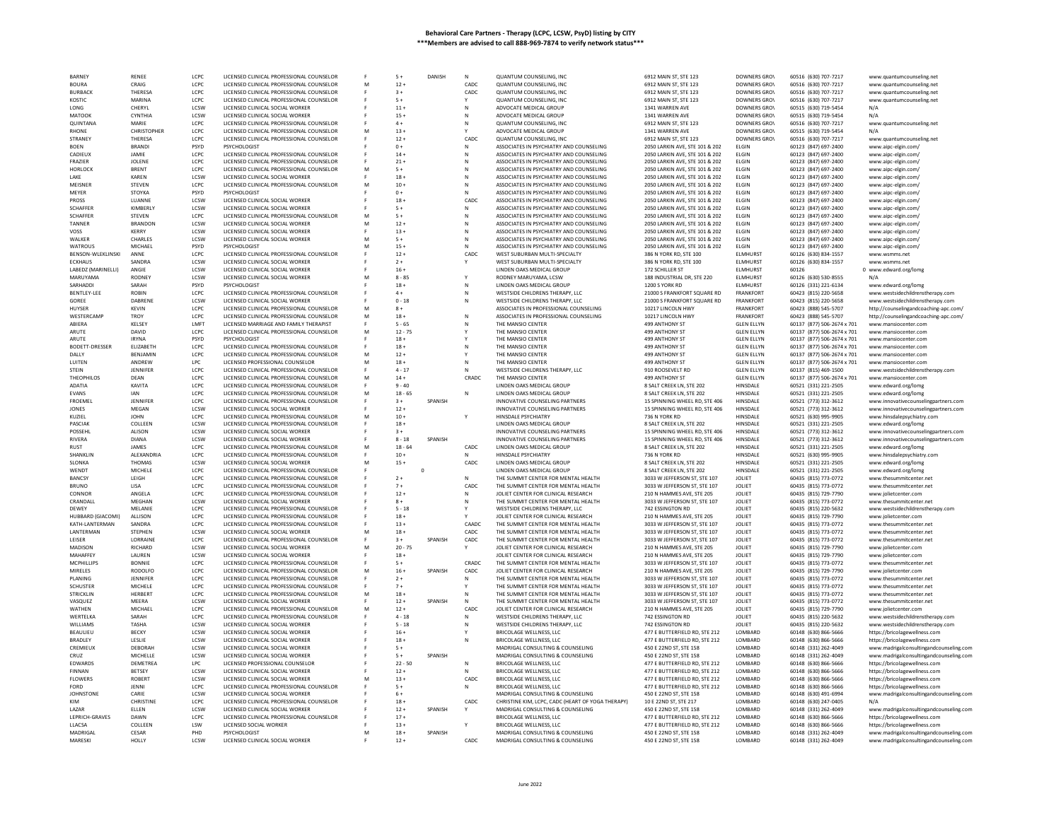| <b>BARNEY</b>            | <b>RENEE</b>    | LCPC        | LICENSED CLINICAL PROFESSIONAL COUNSELOR        |    | $5+$               | DANISH  | N            | QUANTUM COUNSELING, INC                                              | 6912 MAIN ST, STE 123                            | DOWNERS GROV               | 60516 (630) 707-7217                         | www.quantumcounseling.net                                                          |
|--------------------------|-----------------|-------------|-------------------------------------------------|----|--------------------|---------|--------------|----------------------------------------------------------------------|--------------------------------------------------|----------------------------|----------------------------------------------|------------------------------------------------------------------------------------|
| <b>BOURA</b>             | CRAIG           | LCPC        | LICENSED CLINICAL PROFESSIONAL COUNSELOR        | M  | $12 +$             |         | CADC         | QUANTUM COUNSELING, INC                                              | 6912 MAIN ST, STE 123                            | <b>DOWNERS GROV</b>        | 60516 (630) 707-7217                         | www.quantumcounseling.net                                                          |
| <b>BURBACK</b>           | THERESA         | LCPC        | LICENSED CLINICAL PROFESSIONAL COUNSELOF        |    | $3+$               |         | CADC         | QUANTUM COUNSELING, INC                                              | 6912 MAIN ST, STE 123                            | <b>DOWNERS GROV</b>        | 60516 (630) 707-7217                         | www.quantumcounseling.net                                                          |
| KOSTIC                   | MARINA          | LCPC        | LICENSED CLINICAL PROFESSIONAL COUNSELOR        |    | $5+$               |         |              | QUANTUM COUNSELING, INC                                              | 6912 MAIN ST, STE 123                            | <b>DOWNERS GROV</b>        | 60516 (630) 707-7217                         | www.quantumcounseling.net                                                          |
| LONG                     | CHERYL          | LCSW        | LICENSED CLINICAL SOCIAL WORKER                 |    | $11 +$             |         | N            | ADVOCATE MEDICAL GROUP                                               | 1341 WARREN AVE                                  | <b>DOWNERS GROV</b>        | 60515 (630) 719-5454                         | N/A                                                                                |
| MATOOK                   | <b>CYNTHIA</b>  | LCSW        | LICENSED CLINICAL SOCIAL WORKER                 |    | $15 +$             |         | ${\sf N}$    | ADVOCATE MEDICAL GROUP                                               | 1341 WARREN AVE                                  | <b>DOWNERS GROV</b>        | 60515 (630) 719-5454                         | N/A                                                                                |
| OUINTANA                 | MARIF           | LCPC        | LICENSED CLINICAL PROFESSIONAL COUNSELOR        |    | $4+$               |         | N            | QUANTUM COUNSELING, INC                                              | 6912 MAIN ST, STE 123                            | <b>DOWNERS GROV</b>        | 60516 (630) 707-7217                         | www.quantumcounseling.net                                                          |
| RHONE                    | CHRISTOPHER     | LCPC        | LICENSED CLINICAL PROFESSIONAL COUNSELOR        | M  | $13 +$             |         |              | ADVOCATE MEDICAL GROUP                                               | 1341 WARREN AVE                                  | DOWNERS GROV               | 60515 (630) 719-5454                         | N/A                                                                                |
| STRANEY                  | THERESA         | LCPC        | LICENSED CLINICAL PROFESSIONAL COUNSELOR        |    | $12 +$             |         | CADC         | QUANTUM COUNSELING, INC                                              | 6912 MAIN ST, STE 123                            | DOWNERS GROV               | 60516 (630) 707-7217                         |                                                                                    |
|                          |                 |             |                                                 |    |                    |         |              |                                                                      |                                                  |                            |                                              | www.quantumcounseling.net                                                          |
| <b>BOEN</b>              | <b>BRANDI</b>   | PSYD        | PSYCHOLOGIST                                    |    | $0+$               |         | N            | ASSOCIATES IN PSYCHIATRY AND COUNSELING                              | 2050 LARKIN AVE, STE 101 & 202                   | <b>ELGIN</b>               | 60123 (847) 697-2400                         | www.aipc-elgin.com                                                                 |
| CADIEUX                  | JAMIE           | LCPC        | LICENSED CLINICAL PROFESSIONAL COUNSELOR        |    | $14 +$             |         | N            | ASSOCIATES IN PSYCHIATRY AND COUNSELING                              | 2050 LARKIN AVE, STE 101 & 202                   | <b>ELGIN</b>               | 60123 (847) 697-2400                         | www.aipc-elgin.com/                                                                |
| FRAZIER                  | JOLENE          | LCPC        | LICENSED CLINICAL PROFESSIONAL COUNSELOR        |    | $21 +$             |         | N            | ASSOCIATES IN PSYCHIATRY AND COUNSELING                              | 2050 LARKIN AVE, STE 101 & 202                   | <b>ELGIN</b>               | 60123 (847) 697-2400                         | www.aipc-elgin.com/                                                                |
| <b>HORLOCK</b>           | <b>BRENT</b>    | LCPC        | LICENSED CLINICAL PROFESSIONAL COUNSELOR        | M  | $5+$               |         | N            | ASSOCIATES IN PSYCHIATRY AND COUNSELING                              | 2050 LARKIN AVE, STE 101 & 202                   | <b>ELGIN</b>               | 60123 (847) 697-2400                         | www.aipc-elgin.com/                                                                |
| I AKF                    | <b>KARFN</b>    | <b>ICSW</b> | LICENSED CLINICAL SOCIAL WORKER                 |    | $18 +$             |         | N            | ASSOCIATES IN PSYCHIATRY AND COUNSELING                              | 2050 LARKIN AVE, STE 101 & 202                   | <b>FLGIN</b>               | 60123 (847) 697-2400                         | www.aipc-elgin.com/                                                                |
| MEISNER                  | <b>STEVEN</b>   | LCPC        | LICENSED CLINICAL PROFESSIONAL COUNSELOR        | M  | $10 +$             |         | N            | ASSOCIATES IN PSYCHIATRY AND COUNSELING                              | 2050 LARKIN AVE, STE 101 & 202                   | <b>ELGIN</b>               | 60123 (847) 697-2400                         | www.aipc-elgin.com/                                                                |
| MEYER                    | <b>STOYKA</b>   | PSYD        | PSYCHOLOGIST                                    |    | $0+$               |         | N            | ASSOCIATES IN PSYCHIATRY AND COUNSELING                              | 2050 LARKIN AVE, STE 101 & 202                   | ELGIN                      | 60123 (847) 697-2400                         | www.aipc-elgin.com/                                                                |
| <b>PROSS</b>             | LUANNE          | LCSW        | LICENSED CLINICAL SOCIAL WORKER                 |    | $18 +$             |         | CADC         | ASSOCIATES IN PSYCHIATRY AND COUNSELING                              | 2050 LARKIN AVE, STE 101 & 202                   | <b>FLGIN</b>               | 60123 (847) 697-2400                         | www.aipc-elgin.com/                                                                |
| <b>SCHAFFER</b>          | <b>KIMBERLY</b> | LCSW        | LICENSED CLINICAL SOCIAL WORKER                 |    | $5+$               |         | N            | ASSOCIATES IN PSYCHIATRY AND COUNSELING                              | 2050 LARKIN AVE, STE 101 & 202                   | <b>ELGIN</b>               | 60123 (847) 697-2400                         | www.aipc-elgin.com/                                                                |
| <b>SCHAFFER</b>          | STEVEN          | LCPC        | LICENSED CLINICAL PROFESSIONAL COUNSELOR        | M  | $5+$               |         | N            | ASSOCIATES IN PSYCHIATRY AND COUNSELING                              | 2050 LARKIN AVE, STE 101 & 202                   | ELGIN                      | 60123 (847) 697-2400                         | www.aipc-elgin.com/                                                                |
| TANNER                   | <b>BRANDON</b>  | LCSW        | LICENSED CLINICAL SOCIAL WORKER                 | M  | $12 +$             |         | N            | ASSOCIATES IN PSYCHIATRY AND COUNSELING                              | 2050 LARKIN AVE, STE 101 & 202                   | ELGIN                      | 60123 (847) 697-2400                         | www.aipc-elgin.com/                                                                |
| VOSS                     | <b>KERRY</b>    | LCSW        | LICENSED CLINICAL SOCIAL WORKER                 |    | $13+$              |         | N            | ASSOCIATES IN PSYCHIATRY AND COUNSELING                              | 2050 LARKIN AVE, STE 101 & 202                   | <b>FIGIN</b>               | 60123 (847) 697-2400                         | www.aipc-elgin.com/                                                                |
| WALKER                   | CHARLES         | LCSW        | LICENSED CLINICAL SOCIAL WORKER                 | M  | $5+$               |         | N            | ASSOCIATES IN PSYCHIATRY AND COUNSELING                              | 2050 LARKIN AVE, STE 101 & 202                   | ELGIN                      | 60123 (847) 697-2400                         | www.aipc-elgin.com/                                                                |
| <b>WATROUS</b>           | <b>MICHAEL</b>  | <b>PSYD</b> | PSYCHOLOGIST                                    |    | $15 +$             |         | $\mathbb{N}$ | ASSOCIATES IN PSYCHIATRY AND COUNSELING                              | 2050 LARKIN AVE, STE 101 & 202                   | <b>FIGIN</b>               | 60123 (847) 697-2400                         |                                                                                    |
|                          |                 | LCPC        |                                                 | м  |                    |         |              |                                                                      |                                                  |                            |                                              | www.aipc-elgin.com/                                                                |
| <b>BENSON-WLEKLINSKI</b> | ANNE            |             | LICENSED CLINICAL PROFESSIONAL COUNSELOR        |    | $12 +$             |         | CADC         | WEST SUBURBAN MULTI-SPECIALTY                                        | 386 N YORK RD, STE 100                           | ELMHURST                   | 60126 (630) 834-1557                         | www.wsmms.net                                                                      |
| <b>ECKHAUS</b>           | SANDRA          | LCSW        | LICENSED CLINICAL SOCIAL WORKER                 |    | $2+$               |         |              | WEST SUBURBAN MULTI-SPECIALTY                                        | 386 N YORK RD, STE 100                           | ELMHURST                   | 60126 (630) 834-1557                         | www.wsmms.net                                                                      |
| LABEDZ (MARINELLI)       | ANGIE           | LCSW        | LICENSED CLINICAL SOCIAL WORKER                 |    | $16 +$             |         |              | LINDEN OAKS MEDICAL GROUP                                            | 172 SCHILLER ST                                  | <b>ELMHURST</b>            | 60126                                        | 0 www.edward.org/lomg                                                              |
| MARUYAMA                 | <b>RODNEY</b>   | LCSW        | LICENSED CLINICAL SOCIAL WORKER                 | M  | $8 - 85$           |         | Y            | RODNEY MARUYAMA, LCSW                                                | 188 INDUSTRIAL DR, STE 220                       | <b>ELMHURST</b>            | 60126 (630) 530-8555                         |                                                                                    |
| SARHADDI                 | SARAH           | <b>PSYD</b> | PSYCHOLOGIST                                    |    | $18 +$             |         | N            | LINDEN OAKS MEDICAL GROUP                                            | <b>1200 S YORK RD</b>                            | <b>FIMHURST</b>            | 60126 (331) 221-6134                         | www.edward.org/lomg                                                                |
| <b>BENTLEY-LEE</b>       | <b>ROBIN</b>    | LCPC        | LICENSED CLINICAL PROFESSIONAL COUNSELOR        |    | $4 +$              |         | N            | WESTSIDE CHILDRENS THERAPY, LLC                                      | 21000 S FRANKFORT SQUARE RD                      | <b>FRANKFORT</b>           | 60423 (815) 220-5658                         | www.westsidechildrenstherapy.com                                                   |
| GOREE                    | DABRENI         | LCSW        | LICENSED CLINICAL SOCIAL WORKER                 |    | $0 - 18$           |         | N            | WESTSIDE CHILDRENS THERAPY, LLC                                      | 21000 S FRANKFORT SQUARE RD                      | <b>FRANKFORT</b>           | 60423 (815) 220-5658                         | www.westsidechildrenstherapy.com                                                   |
| HUYSER                   | <b>KEVIN</b>    | LCPC        | LICENSED CLINICAL PROFESSIONAL COUNSELOR        | M  | $8+$               |         |              | ASSOCIATES IN PROFESSIONAL COUNSELING                                | 10217 LINCOLN HWY                                | <b>FRANKFORT</b>           | 60423 (888) 545-5707                         | http://counselingandcoaching-apc.com/                                              |
| WESTERCAME               | <b>TROY</b>     | LCPC        | LICENSED CLINICAL PROFESSIONAL COUNSELOR        | M  | $18 +$             |         | N            | ASSOCIATES IN PROFESSIONAL COUNSELING                                | 10217 LINCOLN HWY                                | <b>FRANKFORT</b>           | 60423 (888) 545-5707                         | http://counselingandcoaching-apc.com/                                              |
| ABIERA                   | KELSEY          | LMFT        | LICENSED MARRIAGE AND FAMILY THERAPIST          |    | $5 - 65$           |         | N            | THE MANSIO CENTER                                                    | 499 ANTHONY ST                                   | <b>GLEN ELLYN</b>          | 60137 (877) 506-2674 x 701                   | www.mansiocenter.con                                                               |
| ARUTE                    | DAVID           | LCPC        | LICENSED CLINICAL PROFESSIONAL COUNSELOR        | M  | $12 - 75$          |         | Y            | THE MANSIO CENTER                                                    | 499 ANTHONY ST                                   | <b>GLEN ELLYN</b>          | 60137 (877) 506-2674 x 701                   | www.mansiocenter.com                                                               |
| ARUTE                    | <b>IRYNA</b>    | PSYD        | PSYCHOLOGIST                                    |    | $18 +$             |         |              | THE MANSIO CENTER                                                    | 499 ANTHONY ST                                   | <b>GLEN ELLYN</b>          | 60137 (877) 506-2674 x 701                   | www.mansiocenter.com                                                               |
| <b>BODETT-DRESSER</b>    | ELIZABETH       | LCPC        | LICENSED CLINICAL PROFESSIONAL COUNSELOR        |    | $18 +$             |         |              | THE MANSIO CENTER                                                    | 499 ANTHONY ST                                   | <b>GLEN ELLYN</b>          | 60137 (877) 506-2674 x 701                   | www.mansiocenter.com                                                               |
| DAILY                    | <b>BENIAMIN</b> | LCPC        |                                                 | M  | $12 +$             |         | Y            |                                                                      | 499 ANTHONY ST                                   | <b>GLEN FLLYN</b>          |                                              |                                                                                    |
|                          |                 |             | LICENSED CLINICAL PROFESSIONAL COUNSELOR        |    |                    |         |              | THE MANSIO CENTER                                                    |                                                  |                            | 60137 (877) 506-2674 x 701                   | www.mansiocenter.com                                                               |
| LUITEN                   | ANDREW          | LPC         | LICENSED PROFESSIONAL COUNSELOP                 | M  | $18 +$             |         | N            | THE MANSIO CENTER                                                    | 499 ANTHONY ST                                   | <b>GLEN ELLYN</b>          | 60137 (877) 506-2674 x 701                   | www.mansiocenter.con                                                               |
| <b>STEIN</b>             | JENNIFER        | LCPC        | LICENSED CLINICAL PROFESSIONAL COUNSELOR        |    | $4 - 17$           |         |              | WESTSIDE CHILDRENS THERAPY, LLC                                      | 910 ROOSEVELT RD                                 | <b>GLEN ELLYN</b>          | 60137 (815) 469-1500                         | www.westsidechildrenstherapy.com                                                   |
| THEOPHILOS               | DEAN            | LCPC        | LICENSED CLINICAL PROFESSIONAL COUNSELOR        | M  | $14 +$             |         | CRADC        | THE MANSIO CENTER                                                    | 499 ANTHONY ST                                   | <b>GLEN ELLYN</b>          | 60137 (877) 506-2674 x 701                   | www.mansiocenter.con                                                               |
| ADATIA                   | KAVITA          | LCPC        | LICENSED CLINICAL PROFESSIONAL COUNSELOR        |    | $9 - 40$           |         |              | LINDEN OAKS MEDICAL GROUP                                            | 8 SALT CREEK LN, STE 202                         | HINSDALE                   | 60521 (331) 221-2505                         | www.edward.org/lomg                                                                |
| <b>EVANS</b>             | <b>JAN</b>      | LCPC        | LICENSED CLINICAL PROFESSIONAL COUNSELOR        | M  | $18 - 65$          |         |              | LINDEN OAKS MEDICAL GROUP                                            | 8 SALT CREEK LN, STE 202                         | HINSDALE                   | 60521 (331) 221-2505                         | www.edward.org/lomg                                                                |
| <b>FROEMEL</b>           | JENNIFER        | LCPC        | LICENSED CLINICAL PROFESSIONAL COUNSELOR        |    | $3+$               | SPANISH |              | INNOVATIVE COUNSELING PARTNERS                                       | 15 SPINNING WHEEL RD, STE 406                    | HINSDALE                   | 60521 (773) 312-3612                         | www.innovativecounselingpartners.com                                               |
| JONES                    | MEGAN           | LCSW        | LICENSED CLINICAL SOCIAL WORKER                 |    | $12 +$             |         |              | INNOVATIVE COUNSELING PARTNERS                                       | 15 SPINNING WHEEL RD, STE 406                    | HINSDALE                   | 60521 (773) 312-3612                         | www.innovativecounselingpartners.com                                               |
| KUZIEL                   | <b>JOHN</b>     | LCPC        | LICENSED CLINICAL PROFESSIONAL COUNSELOR        | M  | $10 +$             |         | Y            | HINSDALE PSYCHIATRY                                                  |                                                  | HINSDALE                   | 60521 (630) 995-9905                         | www.hinsdalepsychiatry.com                                                         |
| PASCIAK                  | COLLEEN         | LCSW        | LICENSED CLINICAL PROFESSIONAL COUNSELOR        |    | $18 +$             |         |              | LINDEN OAKS MEDICAL GROUP                                            | 8 SALT CREEK LN. STE 202                         | HINSDALE                   | 60521 (331) 221-2505                         | www.edward.org/lomg                                                                |
| POSSEHI                  | ALISON          | LCSW        | LICENSED CLINICAL SOCIAL WORKER                 |    | $3+$               |         |              | INNOVATIVE COUNSELING PARTNERS                                       | 15 SPINNING WHEEL RD, STE 406                    | HINSDALE                   | 60521 (773) 312-3612                         | www.innovativecounselingpartners.com                                               |
| RIVERA                   | <b>DIANA</b>    | LCSW        | LICENSED CLINICAL SOCIAL WORKER                 |    | $8 - 18$           | SPANISH |              | INNOVATIVE COUNSELING PARTNERS                                       | 15 SPINNING WHEEL RD. STE 406                    | HINSDALE                   | 60521 (773) 312-3612                         | www.innovativecounselingpartners.com                                               |
| <b>RUST</b>              | JAMES           | LCPC        | LICENSED CLINICAL PROFESSIONAL COUNSELOR        | M  | $18 - 64$          |         | CADC         | LINDEN OAKS MEDICAL GROUP                                            | 8 SALT CREEK LN, STE 202                         | HINSDALE                   | 60521 (331) 221-2505                         |                                                                                    |
| SHANKLIN                 | ALEXANDRIA      | LCPC        | LICENSED CLINICAL PROFESSIONAL COUNSELOR        |    | $10 +$             |         |              | HINSDALE PSYCHIATRY                                                  | 736 N YORK RD                                    | HINSDALE                   | 60521 (630) 995-9905                         | www.edward.org/lomg                                                                |
|                          |                 |             | LICENSED CLINICAL SOCIAL WORKER                 |    |                    |         |              |                                                                      |                                                  |                            |                                              | www.hinsdalepsychiatry.com                                                         |
| <b>SLONKA</b>            | THOMAS          | <b>ICSW</b> |                                                 |    |                    |         |              |                                                                      |                                                  |                            |                                              |                                                                                    |
| WENDT                    |                 |             |                                                 | M  | $15+$              |         | CADC         | LINDEN OAKS MEDICAL GROUP                                            | 8 SALT CREEK LN, STE 202                         | HINSDALE                   | 60521 (331) 221-2505                         | www.edward.org/lomg                                                                |
|                          | MICHELE         | LCPC        | LICENSED CLINICAL PROFESSIONAL COUNSELOR        |    |                    | 0       |              | LINDEN OAKS MEDICAL GROUP                                            | 8 SALT CREEK LN, STE 202                         | HINSDALE                   | 60521 (331) 221-2505                         | www.edward.org/lomg                                                                |
| <b>BANCSY</b>            | LEIGH           | LCPC        | LICENSED CLINICAL PROFESSIONAL COUNSELOR        |    | $2+$               |         | N            | THE SUMMIT CENTER FOR MENTAL HEALTH                                  | 3033 W IFFFERSON ST. STE 107                     | <b>IOLIFT</b>              | 60435 (815) 773-0772                         | www.thesummitcenter.net                                                            |
| <b>BRUNO</b>             | LISA            | LCPC        | LICENSED CLINICAL PROFESSIONAL COUNSELOR        |    | $7+$               |         | CADC         | THE SUMMIT CENTER FOR MENTAL HEALTH                                  | 3033 W JEFFERSON ST, STE 107                     | JOLIET                     | 60435 (815) 773-0772                         | www.thesummitcenter.net                                                            |
| CONNOF                   | ANGELA          | LCPC        | LICENSED CLINICAL PROFESSIONAL COUNSELOR        |    | $12 +$             |         | N            | JOLIET CENTER FOR CLINICAL RESEARCH                                  | 210 N HAMMES AVE, STE 205                        | <b>JOLIET</b>              | 60435 (815) 729-7790                         | www.jolietcenter.com                                                               |
| CRANDALL                 | MEGHAN          | LCSW        | LICENSED CLINICAL SOCIAL WORKER                 |    | $8+$               |         | N            | THE SUMMIT CENTER FOR MENTAL HEALTH                                  | 3033 W JEFFERSON ST, STE 107                     | <b>JOLIET</b>              |                                              | www.thesummitcenter.net                                                            |
| DEWEY                    | MELANIE         | LCPC        |                                                 |    | $5 - 18$           |         |              | WESTSIDE CHILDRENS THERAPY, LLC                                      | 742 ESSINGTON RD                                 | <b>JOLIET</b>              | 60435 (815) 773-0772                         | www.westsidechildrenstherapy.com                                                   |
| HUBBARD (GIACOMI)        | ALLISON         | <b>LCPC</b> | LICENSED CLINICAL PROFESSIONAL COUNSELOR        | -F | $18 +$             |         | v            | JOLIET CENTER FOR CLINICAL RESEARCH                                  | 210 N HAMMES AVE. STE 205                        | <b>JOLIET</b>              | 60435 (815) 220-5632                         |                                                                                    |
|                          |                 |             | LICENSED CLINICAL PROFESSIONAL COUNSELOR        |    |                    |         |              |                                                                      |                                                  |                            | 60435 (815) 729-7790                         | www.jolietcenter.com                                                               |
| KATH-LANTERMAN           | SANDRA          | LCPC        | LICENSED CLINICAL PROFESSIONAL COUNSELOR        |    | $13 +$             |         | CAADC        | THE SUMMIT CENTER FOR MENTAL HEALTH                                  | 3033 W JEFFERSON ST, STE 107                     | <b>JOLIET</b>              | 60435 (815) 773-0772                         | www.thesummitcenter.net                                                            |
| LANTERMAN                | STEPHEN         | LCSW        | LICENSED CLINICAL SOCIAL WORKER                 |    | $18 +$             |         | CADC         | THE SUMMIT CENTER FOR MENTAL HEALTH                                  | 3033 W JEFFERSON ST. STE 107                     | <b>JOLIET</b>              | 60435 (815) 773-0772                         | www.thesummitcenter.net                                                            |
| LEISER                   | LORRAINE        | LCPC        | LICENSED CLINICAL PROFESSIONAL COUNSELOR        |    | $3+$               | SPANISH | CADC         | THE SUMMIT CENTER FOR MENTAL HEALTH                                  | 3033 W JEFFERSON ST, STE 107                     | <b>JOLIET</b>              | 60435 (815) 773-0772                         | www.thesummitcenter.net                                                            |
| MADISON                  | RICHARD         | LCSW        | LICENSED CLINICAL SOCIAL WORKER                 | M  | $20 - 75$          |         | Y            | JOLIET CENTER FOR CLINICAL RESEARCH                                  | 210 N HAMMES AVE, STE 205                        | JOLIET                     | 60435 (815) 729-7790                         | www.iolietcenter.com                                                               |
| <b>MAHAFFEY</b>          | LAUREN          | LCSW        | LICENSED CLINICAL SOCIAL WORKER                 |    | $18 +$             |         |              | JOLIET CENTER FOR CLINICAL RESEARCH                                  | 210 N HAMMES AVE, STE 205                        | JOLIET                     | 60435 (815) 729-7790                         | www.jolietcenter.com                                                               |
| MCPHILLIPS               | <b>BONNIE</b>   | LCPC        | LICENSED CLINICAL PROFESSIONAL COUNSELOR        |    | $5+$               |         | CRADO        | THE SUMMIT CENTER FOR MENTAL HEALTH                                  | 3033 W JEFFERSON ST. STE 107                     | <b>JOLIET</b>              | 60435 (815) 773-0772                         | www.thesummitcenter.net                                                            |
| <b>MIRELES</b>           | RODOLFO         | LCPC        | LICENSED CLINICAL PROFESSIONAL COUNSELOR        | M  | $16 +$             | SPANISH | CADC         | JOLIET CENTER FOR CLINICAL RESEARCH                                  | 210 N HAMMES AVE, STE 205                        | <b>JOLIET</b>              | 60435 (815) 729-7790                         | www.jolietcenter.com                                                               |
| PLANING                  | JENNIFER        | LCPC        | LICENSED CLINICAL PROFESSIONAL COUNSELOF        |    | $2+$               |         |              | THE SUMMIT CENTER FOR MENTAL HEALTH                                  | 3033 W JEFFERSON ST, STE 107                     | JOLIET                     | 60435 (815) 773-0772                         | www.thesummitcenter.net                                                            |
| <b>SCHUSTER</b>          | MICHELE         | LCPC        | LICENSED CLINICAL PROFESSIONAL COUNSELOR        |    | $7+$               |         |              | THE SUMMIT CENTER FOR MENTAL HEALTH                                  | 3033 W IFFFERSON ST. STE 107                     | <b>JOI JFT</b>             | 60435 (815) 773-0772                         | www.thesummitcenter.net                                                            |
| STRICKLIN                | <b>HERBERT</b>  | LCPC        | LICENSED CLINICAL PROFESSIONAL COUNSELOR        | M  | $18 +$             |         |              | THE SUMMIT CENTER FOR MENTAL HEALTH                                  | 3033 W JEFFERSON ST, STE 107                     | JOLIET                     | 60435 (815) 773-0772                         | www.thesummitcenter.net                                                            |
| VASQUEZ                  | MFFRA           | <b>ICSW</b> | LICENSED CLINICAL SOCIAL WORKER                 |    | $12 +$             | SPANISH | N            | THE SUMMIT CENTER FOR MENTAL HEALTH                                  | 3033 W JEFFERSON ST, STE 107                     | JOLIET                     | 60435 (815) 773-0772                         | www.thesummitcenter.net                                                            |
| WATHEN                   | MICHAEL         | LCPC        | LICENSED CLINICAL PROFESSIONAL COUNSELOR        | M  |                    |         |              | JOLIET CENTER FOR CLINICAL RESEARCH                                  |                                                  | <b>JOLIET</b>              |                                              | www.jolietcenter.com                                                               |
| WERTELKA                 | SARAH           | LCPC        | LICENSED CLINICAL PROFESSIONAL COUNSELOR        |    | $12 +$<br>$4 - 18$ |         | CADC<br>N    | WESTSIDE CHILDRENS THERAPY, LLC                                      | 210 N HAMMES AVE, STE 205<br>742 ESSINGTON RD    | <b>JOLIET</b>              | 60435 (815) 729-7790<br>60435 (815) 220-5632 | www.westsidechildrenstherapy.com                                                   |
| <b>WILLIAMS</b>          | <b>TASHA</b>    | <b>ICSW</b> | LICENSED CLINICAL SOCIAL WORKER                 |    | $5 - 18$           |         | N            | WESTSIDE CHILDRENS THERAPY, LLC                                      | <b>742 ESSINGTON RD</b>                          | <b>IOLIFT</b>              | 60435 (815) 220-5632                         |                                                                                    |
|                          |                 |             |                                                 |    |                    |         |              |                                                                      |                                                  |                            |                                              | www.westsidechildrenstherapy.com                                                   |
| <b>BEAULIEU</b>          | <b>BECKY</b>    | LCSW        | LICENSED CLINICAL SOCIAL WORKER                 |    | $16 +$             |         |              | <b>BRICOLAGE WELLNESS, LLC</b>                                       | 477 E BUTTERFIELD RD. STE 212                    | LOMBARD                    | 60148 (630) 866-5666                         | https://bricolagewellness.com                                                      |
| <b>BRADLEY</b>           | LESLIE          | LCSW        | LICENSED CLINICAL SOCIAL WORKER                 |    | $18 +$             |         |              | BRICOLAGE WELLNESS, LLC                                              | 477 E BUTTERFIELD RD. STE 212                    | LOMBARD                    | 60148 (630) 866-5666                         | https://bricolagewellness.com                                                      |
| CREMIEUX                 | DEBORAH         | LCSW        | LICENSED CLINICAL SOCIAL WORKER                 |    | $5+$               |         |              | MADRIGAL CONSULTING & COUNSELING                                     | 450 E 22ND ST, STE 158                           | LOMBARD                    | 60148 (331) 262-4049                         | www.madrigalconsultingandcounseling.com                                            |
| CRUZ                     | MICHELLE        | LCSW        | LICENSED CLINICAL SOCIAL WORKER                 |    | $5+$               | SPANISH |              | MADRIGAL CONSULTING & COUNSELING                                     | 450 E 22ND ST, STE 158                           | LOMBARD                    | 60148 (331) 262-4049                         | www.madrigalconsultingandcounseling.com                                            |
| EDWARDS                  | DEMETREA        | <b>LPC</b>  | LICENSED PROFESSIONAL COUNSELOP                 |    | $22 - 50$          |         | Ν            | BRICOLAGE WELLNESS, LLC                                              | 477 E BUTTERFIELD RD, STE 212                    | LOMBARD                    | 60148 (630) 866-5666                         | https://bricolagewellness.com                                                      |
| <b>FINNAN</b>            | <b>BETSEY</b>   | LCSW        | LICENSED CLINICAL SOCIAL WORKER                 |    | $12 +$             |         | N            | <b>BRICOLAGE WELLNESS, LLC</b>                                       | 477 E BUTTERFIELD RD, STE 212                    | LOMBARD                    | 60148 (630) 866-5666                         | https://bricolagewellness.com                                                      |
| <b>FLOWERS</b>           | <b>ROBERT</b>   | <b>ICSW</b> | LICENSED CLINICAL SOCIAL WORKER                 | M  | $13+$              |         | CADC         | <b>BRICOLAGE WELLNESS, LLC</b>                                       | 477 E BUTTERFIELD RD. STE 212                    | <b>I OMBARD</b>            | 60148 (630) 866-5666                         | https://bricolagewellness.com                                                      |
| FORD                     | JENNI           | LCPC        | LICENSED CLINICAL PROFESSIONAL COUNSELOR        |    | $5+$               |         | N            | BRICOLAGE WELLNESS, LLC                                              | 477 E BUTTERFIELD RD, STE 212                    | LOMBARD                    | 60148 (630) 866-5666                         | https://bricolagewellness.com                                                      |
| <b>JOHNSTONE</b>         | CARIF           | <b>ICSW</b> | LICENSED CLINICAL SOCIAL WORKER                 |    | $6+$               |         |              | MADRIGAL CONSULTING & COUNSELING                                     | 450 F 22ND ST. STE 158                           | <b>IOMBARD</b>             | 60148 (630) 491-6994                         |                                                                                    |
| KIM                      | CHRISTINI       | LCPC        | LICENSED CLINICAL PROFESSIONAL COUNSELOR        |    | $18 -$             |         | CADC         | CHRISTINE KIM, LCPC, CADC (HEART OF YOGA THERAPY)                    | 10 E 22ND ST, STE 217                            | LOMBARD                    | 60148 (630) 247-0405                         | www.madrigalconsultingandcounseling.com                                            |
| LAZAR                    | ELLEN           | <b>LCSW</b> | LICENSED CLINICAL SOCIAL WORKER                 |    | $12 +$             | SPANISH |              | MADRIGAL CONSULTING & COUNSELING                                     | 450 E 22ND ST, STE 158                           | LOMBARD                    | 60148 (331) 262-4049                         | www.madrigalconsultingandcounseling.com                                            |
|                          | DAWN            | LCPC        |                                                 |    |                    |         |              |                                                                      |                                                  | LOMBARD                    |                                              |                                                                                    |
| LEPRICH-GRAVES           |                 |             | LICENSED CLINICAL PROFESSIONAL COUNSELOR        |    | $17 +$             |         |              | BRICOLAGE WELLNESS, LLC                                              | 477 E BUTTERFIELD RD, STE 212                    |                            | 60148 (630) 866-5666                         | https://bricolagewellness.com                                                      |
| LLACSA                   | COLLEEN         | LSW         | LICENSED SOCIAL WORKER                          |    | $13 +$             |         |              | BRICOLAGE WELLNESS, LLC                                              | 477 E BUTTERFIELD RD, STE 212                    | LOMBARD                    | 60148 (630) 866-5666                         | https://bricolagewellness.com                                                      |
| MADRIGAL<br>MARESKI      | CESAR<br>HOLLY  | PHD<br>LCSW | PSYCHOLOGIST<br>LICENSED CLINICAL SOCIAL WORKER |    | $18 +$<br>$12 +$   | SPANISH | CADC         | MADRIGAL CONSULTING & COUNSELING<br>MADRIGAL CONSULTING & COUNSELING | 450 E 22ND ST, STE 158<br>450 E 22ND ST, STE 158 | <b>I OMBARD</b><br>LOMBARD | 60148 (331) 262-4049<br>60148 (331) 262-4049 | www.madrigalconsultingandcounseling.com<br>www.madrigalconsultingandcounseling.com |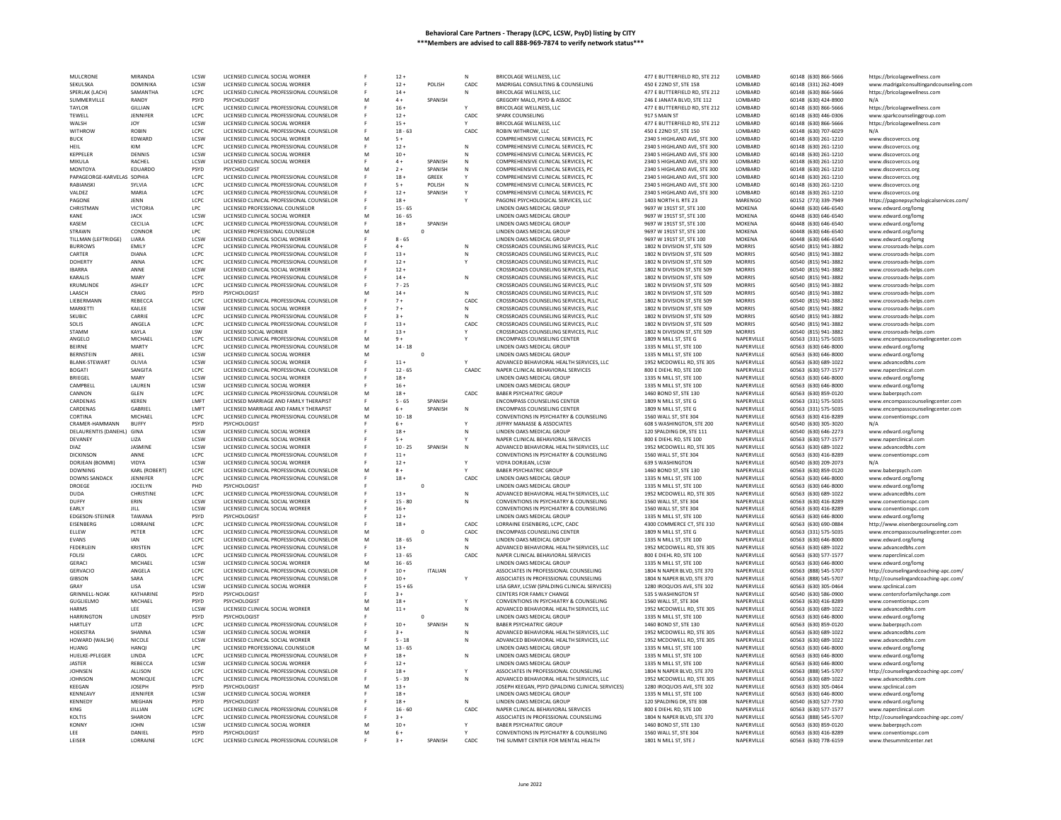| <b>MULCRONE</b>            | <b>MIRANDA</b>   | LCSW         | LICENSED CLINICAL SOCIAL WORKER          |   | $12 +$    |                | N            | BRICOLAGE WELLNESS, LLC                          | 477 E BUTTERFIELD RD, STE 212 | LOMBARD         | 60148 (630) 866-5666 | https://bricolagewellness.com            |
|----------------------------|------------------|--------------|------------------------------------------|---|-----------|----------------|--------------|--------------------------------------------------|-------------------------------|-----------------|----------------------|------------------------------------------|
| <b>SEKULSKA</b>            | <b>DOMINIKA</b>  | <b>ICSW</b>  | LICENSED CLINICAL SOCIAL WORKER          |   | $12+$     | POLISH         | CADC.        | MADRIGAL CONSULTING & COUNSELING                 | 450 F 22ND ST. STE 158        | <b>I OMBARD</b> | 60148 (331) 262-4049 | www.madrigalconsultingandcounseling.com  |
| SPERLAK (LACH)             | SAMANTHA         | LCPC         | LICENSED CLINICAL PROFESSIONAL COUNSELOR |   | $14 +$    |                |              | BRICOLAGE WELLNESS, LLC                          | 477 E BUTTERFIELD RD, STE 212 | LOMBARD         | 60148 (630) 866-5666 | https://bricolagewellness.com            |
| SUMMERVILLE                | RANDY            | PSYD         | PSYCHOLOGIST                             | M | $4+$      | SPANISH        |              | GREGORY MALO, PSYD & ASSOC                       | 246 E JANATA BLVD, STE 112    | LOMBARD         | 60148 (630) 424-8900 | $N/\Delta$                               |
| TAYLOR                     | <b>GILLIAN</b>   | LCPC         | LICENSED CLINICAL PROFESSIONAL COUNSELOR |   | $16 +$    |                |              | BRICOLAGE WELLNESS, LLC                          | 477 E BUTTERFIELD RD, STE 212 | LOMBARD         | 60148 (630) 866-5666 | https://bricolagewellness.com            |
| TEWELL                     | JENNIFER         | LCPC         | LICENSED CLINICAL PROFESSIONAL COUNSELOR |   | $12 +$    |                | CADC         | SPARK COUNSELING                                 | 917 S MAIN ST                 | LOMBARD         | 60148 (630) 446-0306 | www.sparkcounselinggroup.com             |
| WALSH                      | <b>JOY</b>       | LCSW         | LICENSED CLINICAL SOCIAL WORKER          |   | $15+$     |                |              | BRICOLAGE WELLNESS, LLC                          | 477 E BUTTERFIELD RD, STE 212 | LOMBARD         | 60148 (630) 866-5666 | https://bricolagewellness.com            |
| <b>WITHROW</b>             | <b>ROBIN</b>     | LCPC         | LICENSED CLINICAL PROFESSIONAL COUNSELOR |   | $18 - 63$ |                | CADC         | ROBIN WITHROW, LLC                               | 450 E 22ND ST, STE 150        | LOMBARD         | 60148 (630) 707-6029 | N/A                                      |
| <b>BUCK</b>                | <b>FDWARD</b>    | <b>ICSW</b>  | LICENSED CLINICAL SOCIAL WORKER          |   | $5+$      |                |              | COMPREHENSIVE CLINICAL SERVICES, PC              | 2340 S HIGHLAND AVE, STE 300  | <b>I OMBARD</b> | 60148 (630) 261-1210 |                                          |
|                            |                  |              |                                          |   |           |                |              |                                                  |                               |                 |                      | www.discoverccs.org                      |
| <b>HEIL</b>                | KIM              | LCPC         | LICENSED CLINICAL PROFESSIONAL COUNSELOR |   | $12 +$    |                | N            | COMPREHENSIVE CLINICAL SERVICES, PC              | 2340 S HIGHLAND AVE, STE 300  | LOMBARD         | 60148 (630) 261-1210 | www.discoverccs.org                      |
| KEPPELER                   | DENNIS           | LCSW         | LICENSED CLINICAL SOCIAL WORKER          |   | $10 +$    |                | N            | COMPREHENSIVE CLINICAL SERVICES, PC              | 2340 S HIGHLAND AVE, STE 300  | LOMBARD         | 60148 (630) 261-1210 | www.discoverccs.org                      |
| MIKULA                     | RACHEL           | LCSW         | LICENSED CLINICAL SOCIAL WORKER          |   | $4 +$     | SPANISH        | N            | COMPREHENSIVE CLINICAL SERVICES, PC              | 2340 S HIGHLAND AVE, STE 300  | LOMBARD         | 60148 (630) 261-1210 | www.discoverccs.org                      |
| MONTOYA                    | EDUARDO          | PSYD         | PSYCHOLOGIST                             |   | $2+$      | SPANISH        | N            | COMPREHENSIVE CLINICAL SERVICES, PC              | 2340 S HIGHLAND AVE, STE 300  | LOMBARD         | 60148 (630) 261-1210 | www.discoverccs.org                      |
| PAPAGEORGE-KARVELAS SOPHIA |                  | LCPC         | LICENSED CLINICAL PROFESSIONAL COUNSELOR |   | $18 +$    | <b>GREEK</b>   |              | COMPREHENSIVE CLINICAL SERVICES, PC              | 2340 S HIGHLAND AVE, STE 300  | LOMBARD         | 60148 (630) 261-1210 | www.discoverccs.org                      |
| RABIANSK                   | SYLVIA           | LCPC         | LICENSED CLINICAL PROFESSIONAL COUNSELOR |   | $5+$      | POLISH         | $\mathbb{N}$ | COMPREHENSIVE CLINICAL SERVICES, PC              | 2340 S HIGHLAND AVE, STE 300  | LOMBARD         | 60148 (630) 261-1210 | www.discoverccs.org                      |
| VALDEZ                     | MARIA            | LCPC         | LICENSED CLINICAL PROFESSIONAL COUNSELOR |   | $12 +$    | SPANISH        |              | COMPREHENSIVE CLINICAL SERVICES, PC              | 2340 S HIGHLAND AVE, STE 300  | LOMBARD         | 60148 (630) 261-1210 | www.discoverccs.org                      |
| PAGONE                     | JENN             | LCPC         | LICENSED CLINICAL PROFESSIONAL COUNSELOR |   | $18 +$    |                |              | PAGONE PSYCHOLOGICAL SERVICES, LLC               | 1403 NORTH IL RTE 23          | MARENGO         | 60152 (773) 339-7949 | https://pagonepsychologicalservices.com/ |
|                            |                  |              |                                          |   |           |                |              |                                                  |                               |                 |                      |                                          |
| CHRISTMAN                  | VICTORIA         | LPC          | LICENSED PROFESSIONAL COUNSELOR          |   | $15 - 65$ |                |              | LINDEN OAKS MEDICAL GROUP                        | 9697 W 191ST ST, STE 100      | MOKENA          | 60448 (630) 646-6540 | www.edward.org/lomg                      |
| KANE                       | <b>JACK</b>      | LCSW         | LICENSED CLINICAL SOCIAL WORKER          |   | $16 - 65$ |                |              | LINDEN OAKS MEDICAL GROUP                        | 9697 W 191ST ST, STE 100      | MOKENA          | 60448 (630) 646-6540 | www.edward.org/lomg                      |
| KASEM                      | CECILIA          | LCPC         | LICENSED CLINICAL PROFESSIONAL COUNSELOR |   | $18 +$    | SPANISH        |              | LINDEN OAKS MEDICAL GROUP                        | 9697 W 191ST ST, STE 100      | <b>MOKENA</b>   | 60448 (630) 646-6540 | www.edward.org/lomg                      |
| <b>STRAWN</b>              | CONNOP           | LPC          | LICENSED PROFESSIONAL COUNSELOR          |   |           | $\mathbf 0$    |              | LINDEN OAKS MEDICAL GROUP                        | 9697 W 191ST ST, STE 100      | MOKENA          | 60448 (630) 646-6540 | www.edward.org/lomg                      |
| TILLMAN (LEFTRIDGE)        | LIARA            | LCSW         | LICENSED CLINICAL SOCIAL WORKER          |   | $8 - 65$  |                |              | LINDEN OAKS MEDICAL GROUP                        | 9697 W 191ST ST, STE 100      | MOKENA          | 60448 (630) 646-6540 | www.edward.org/lomg                      |
| <b>BURROWS</b>             | EMILY            | LCPC         | LICENSED CLINICAL PROFESSIONAL COUNSELOR |   | $4+$      |                | N            | CROSSROADS COUNSELING SERVICES, PLLC             | 1802 N DIVISION ST, STE 509   | <b>MORRIS</b>   | 60540 (815) 941-3882 | www.crossroads-helps.com                 |
| CARTER                     | <b>DIANA</b>     | LCPC         | LICENSED CLINICAL PROFESSIONAL COUNSELOR |   | $13+$     |                |              | CROSSROADS COUNSELING SERVICES, PLLC             | 1802 N DIVISION ST. STE 509   | <b>MORRIS</b>   | 60540 (815) 941-3882 | www.crossroads-helps.com                 |
| <b>DOHERTY</b>             | ANNA             | LCPC         | LICENSED CLINICAL PROFESSIONAL COUNSELOR |   | $12 +$    |                |              | CROSSROADS COUNSELING SERVICES, PLLC             | 1802 N DIVISION ST, STE 509   | <b>MORRIS</b>   | 60540 (815) 941-3882 | www.crossroads-helps.com                 |
| <b>IRARRA</b>              | ANNE             | LCSW         | LICENSED CLINICAL SOCIAL WORKER          |   | $12 +$    |                |              | CROSSROADS COUNSELING SERVICES, PLLC             | 1802 N DIVISION ST. STE 509   | <b>MORRIS</b>   | 60540 (815) 941-3882 | www.crossroads-helps.com                 |
| KARALIS                    | MARY             | LCPC         | LICENSED CLINICAL PROFESSIONAL COUNSELOR |   | $14 +$    |                | N            | CROSSROADS COUNSELING SERVICES, PLLC             | 1802 N DIVISION ST, STE 509   | <b>MORRIS</b>   | 60540 (815) 941-3882 | www.crossroads-helps.com                 |
| KRUMLINDE                  | ASHLEY           | LCPC         | LICENSED CLINICAL PROFESSIONAL COUNSELOR |   | $7 - 25$  |                |              | CROSSROADS COUNSELING SERVICES, PLLC             | 1802 N DIVISION ST. STE 509   | <b>MORRIS</b>   | 60540 (815) 941-3882 | www.crossroads-helps.com                 |
|                            |                  |              |                                          |   |           |                |              |                                                  |                               |                 |                      |                                          |
| <b>I AASCH</b>             | CRAIG            | <b>PSYD</b>  | PSYCHOLOGIST                             |   | $14 +$    |                | N            | CROSSROADS COUNSELING SERVICES, PLLC             | 1802 N DIVISION ST. STE 509   | <b>MORRIS</b>   | 60540 (815) 941-3882 | www.crossroads-helps.com                 |
| <b>LIEBERMANN</b>          | <b>REBECCA</b>   | LCPC         | LICENSED CLINICAL PROFESSIONAL COUNSELOR |   | $7 +$     |                | CADC         | CROSSROADS COUNSELING SERVICES, PLLC             | 1802 N DIVISION ST, STE 509   | <b>MORRIS</b>   | 60540 (815) 941-3882 | www.crossroads-helps.com                 |
| MARKETTI                   | KAII FF          | LCSW         | LICENSED CLINICAL SOCIAL WORKER          |   | $7+$      |                | N            | CROSSROADS COUNSELING SERVICES, PLLC             | 1802 N DIVISION ST. STE 509   | <b>MORRIS</b>   | 60540 (815) 941-3882 | www.crossroads-helps.com                 |
| SKUBIC                     | CARRIE           | LCPC         | LICENSED CLINICAL PROFESSIONAL COUNSELOR |   | $3+$      |                | N            | CROSSROADS COUNSELING SERVICES, PLLC             | 1802 N DIVISION ST, STE 509   | <b>MORRIS</b>   | 60540 (815) 941-3882 | www.crossroads-helps.com                 |
| SOLIS                      | ANGELA           | LCPC         | LICENSED CLINICAL PROFESSIONAL COUNSELOR |   | $13 +$    |                | CADC         | CROSSROADS COUNSELING SERVICES, PLLC             | 1802 N DIVISION ST. STE 509   | <b>MORRIS</b>   | 60540 (815) 941-3882 | www.crossroads-helps.com                 |
| STAMM                      | KAYLA            | LSW          | LICENSED SOCIAL WORKER                   |   | $13 +$    |                |              | CROSSROADS COUNSELING SERVICES, PLLC             | 1802 N DIVISION ST, STE 509   | <b>MORRIS</b>   | 60540 (815) 941-3882 | www.crossroads-helps.com                 |
| ANGELO                     | MICHAEL          | LCPC         | LICENSED CLINICAL PROFESSIONAL COUNSELOR | м | $9+$      |                |              | <b>ENCOMPASS COUNSELING CENTER</b>               | 1809 N MILL ST, STE G         | NAPERVILLE      | 60563 (331) 575-5035 | www.encompasscounselingcenter.com        |
| <b>BEIRNE</b>              | <b>MARTY</b>     | LCPC         | LICENSED CLINICAL PROFESSIONAL COUNSELOR | M | $14 - 18$ |                |              | LINDEN OAKS MEDICAL GROUP                        | 1335 N MILL ST, STE 100       | NAPERVILLE      | 60563 (630) 646-8000 | www.edward.org/lomg                      |
| <b>BERNSTEIN</b>           | ARIFI            | <b>ICSW</b>  | LICENSED CLINICAL SOCIAL WORKER          |   |           | $\theta$       |              | <b>LINDEN OAKS MEDICAL GROUP</b>                 | 1335 N MILL ST. STE 100       | NAPERVILLE      | 60563 (630) 646-8000 |                                          |
| <b>BI ANK-STEWART</b>      | <b>OLIVIA</b>    |              |                                          |   | $11 +$    |                |              |                                                  |                               |                 |                      | www.edward.org/lomg                      |
|                            |                  | LCSW         | LICENSED CLINICAL SOCIAL WORKER          |   |           |                |              | ADVANCED BEHAVIORAL HEALTH SERVICES, LLC         | 1952 MCDOWELL RD, STE 305     | NAPERVILLE      | 60563 (630) 689-1022 | www.advancedbhs.com                      |
| <b>BOGATI</b>              | SANGIT/          | LCPC         | LICENSED CLINICAL PROFESSIONAL COUNSELOR |   | $12 - 65$ |                | CAADC        | NAPER CLINICAL BEHAVIORAL SERVICES               | 800 E DIEHL RD, STE 100       | NAPERVILLE      | 60563 (630) 577-1577 | www.naperclinical.com                    |
| <b>BRIFGEL</b>             | MARY             | <b>ICSW</b>  | LICENSED CLINICAL SOCIAL WORKER          |   | $18+$     |                |              | LINDEN OAKS MEDICAL GROUP                        | 1335 N MILL ST, STE 100       | NAPERVILLE      | 60563 (630) 646-8000 | www.edward.org/lomg                      |
| CAMPBELI                   | LAUREN           | LCSW         | LICENSED CLINICAL SOCIAL WORKER          |   | $16 +$    |                |              | LINDEN OAKS MEDICAL GROUP                        | 1335 N MILL ST, STE 100       | NAPERVILLE      | 60563 (630) 646-8000 | www.edward.org/lomg                      |
| CANNON                     | <b>GIFN</b>      | LCPC.        | LICENSED CLINICAL PROFESSIONAL COUNSELOR | м | $18 +$    |                | CADC         | BARER PSYCHIATRIC GROUP                          | 1460 BOND ST. STE 130         | NAPERVILLE      | 60563 (630) 859-0120 | www.baberpsych.com                       |
| CARDENAS                   | <b>KEREN</b>     | LMFT         | LICENSED MARRIAGE AND FAMILY THERAPIST   |   | $5 - 65$  | SPANISH        |              | <b>ENCOMPASS COUNSELING CENTER</b>               | 1809 N MILL ST, STE G         | NAPERVILLE      | 60563 (331) 575-5035 | www.encompasscounselingcenter.com        |
| CARDENAS                   | <b>GARRIFI</b>   | <b>I MFT</b> | LICENSED MARRIAGE AND FAMILY THERAPIST   | M | $6+$      | <b>SPANISH</b> | $\mathbb{N}$ | <b>ENCOMPASS COUNSELING CENTER</b>               | 1809 N MILL ST, STE G         | NAPERVILLE      | 60563 (331) 575-5035 | www.encompasscounselingcenter.com        |
| CORTINA                    | MICHAEL          | LCPC         | LICENSED CLINICAL PROFESSIONAL COUNSELOR |   | $10 - 18$ |                |              | CONVENTIONS IN PSYCHIATRY & COUNSELING           | 1560 WALL ST, STE 304         | NAPERVILLE      | 60563 (630) 416-8289 | www.conventionspc.con                    |
| CRAMER-HAMMANN             | <b>BUFFY</b>     | PSYD         | PSYCHOLOGIST                             |   | $6+$      |                |              | JEFFRY MANASSE & ASSOCIATES                      | 608 S WASHINGTON, STE 200     | NAPERVILLE      | 60540 (630) 305-3020 | N/A                                      |
| DELAURENTIS (DANEHL) GINA  |                  | <b>ICSW</b>  | LICENSED CLINICAL SOCIAL WORKER          |   | $18+$     |                | $\mathbb{N}$ | LINDEN OAKS MEDICAL GROUP                        | 120 SPALDING DR, STE 111      | NAPERVILLE      | 60540 (630) 646-2273 |                                          |
|                            |                  |              |                                          |   |           |                |              |                                                  |                               |                 |                      | www.edward.org/lomg                      |
| DEVANEY                    | LIZA             | LCSW         | LICENSED CLINICAL SOCIAL WORKER          |   | $5+$      |                |              | NAPER CLINICAL BEHAVIORAL SERVICES               | 800 E DIEHL RD, STE 100       | NAPERVILLE      | 60563 (630) 577-1577 | www.naperclinical.com                    |
| DIA7                       | <b>IASMINE</b>   | <b>ICSW</b>  | LICENSED CLINICAL SOCIAL WORKER          |   | $10 - 25$ | SPANISH        | N            | ADVANCED BEHAVIORAL HEALTH SERVICES. LLC         | 1952 MCDOWELL RD, STE 305     | NAPERVILLE      | 60563 (630) 689-1022 | www.advancedbbs.com                      |
| DICKINSON                  | ANNE             | LCPC         | LICENSED CLINICAL PROFESSIONAL COUNSELOR |   | $11 +$    |                |              | CONVENTIONS IN PSYCHIATRY & COUNSELING           | 1560 WALL ST, STE 304         | NAPERVILLE      | 60563 (630) 416-8289 | www.conventionspc.com                    |
| DORJEAN (BOMMI)            | VIDYA            | LCSW         | LICENSED CLINICAL SOCIAL WORKER          |   | $12 +$    |                | Y            | VIDYA DORJEAN, LCSW                              | <b>639 S WASHINGTON</b>       | NAPERVILLE      | 60540 (630) 209-2073 | N/A                                      |
| <b>DOWNING</b>             | KARL (ROBERT)    | LCPC         | LICENSED CLINICAL PROFESSIONAL COUNSELOR |   | $8+$      |                |              | <b>BABER PSYCHIATRIC GROUP</b>                   | 1460 BOND ST, STE 130         | NAPERVILLE      | 60563 (630) 859-0120 | www.baberpsych.com                       |
| <b>DOWNS SANDACK</b>       | <b>JENNIFER</b>  | LCPC         | LICENSED CLINICAL PROFESSIONAL COUNSELOR |   | $18 +$    |                | CADC         | LINDEN OAKS MEDICAL GROUP                        | 1335 N MILL ST, STE 100       | NAPERVILLE      | 60563 (630) 646-8000 | www.edward.org/lomg                      |
| DROEGE                     | <b>JOCELYN</b>   | PHD          | PSYCHOLOGIST                             |   |           | $\mathbf 0$    |              |                                                  |                               |                 |                      |                                          |
| <b>DUDA</b>                | <b>CHRISTINE</b> |              |                                          |   |           |                |              |                                                  |                               |                 |                      |                                          |
| DUFFY                      |                  |              |                                          |   |           |                |              | LINDEN OAKS MEDICAL GROUP                        | 1335 N MILL ST, STE 100       | NAPERVILLE      | 60563 (630) 646-8000 | www.edward.org/lomg                      |
| EARLY                      |                  | LCPC         | LICENSED CLINICAL PROFESSIONAL COUNSELOR |   | $13 +$    |                | N            | ADVANCED BEHAVIORAL HEALTH SERVICES, LLC         | 1952 MCDOWELL RD, STE 305     | NAPERVILLE      | 60563 (630) 689-1022 | www.advancedbhs.com                      |
|                            | <b>FRIN</b>      | LCSW         | LICENSED CLINICAL SOCIAL WORKER          |   | $15 - 80$ |                | N            | CONVENTIONS IN PSYCHIATRY & COUNSELING           | 1560 WALL ST, STE 304         | NAPERVILLE      | 60563 (630) 416-8289 | www.conventionspc.com                    |
|                            | JILL             | LCSW         | LICENSED CLINICAL SOCIAL WORKER          |   | $16 +$    |                |              | CONVENTIONS IN PSYCHIATRY & COUNSELING           | 1560 WALL ST, STE 304         | NAPERVILLE      | 60563 (630) 416-8289 | www.conventionspc.com                    |
| <b>FDGESON-STEINER</b>     | TAWANA           | <b>PSYD</b>  | PSYCHOLOGIST                             |   | $12+$     |                |              | <b>LINDEN OAKS MEDICAL GROUP</b>                 | 1335 N MILL ST. STE 100       | NAPERVILLE      | 60563 (630) 646-8000 | www.edward.org/lomg                      |
| EISENBERG                  | LORRAINE         | LCPC         | LICENSED CLINICAL PROFESSIONAL COUNSELOR |   | $18 +$    |                | CADC         | LORRAINE EISENBERG, LCPC, CADO                   | 4300 COMMERCE CT. STE 310     | NAPERVILLE      | 60563 (630) 690-0884 | http://www.eisenbergcounseling.com       |
| ELLEW                      | PETER            | LCPC         | LICENSED CLINICAL PROFESSIONAL COUNSELOR | M |           | $\circ$        | CADC         | <b>ENCOMPASS COUNSELING CENTER</b>               | 1809 N MILL ST, STE G         | NAPERVILLE      | 60563 (331) 575-5035 | www.encompasscounselingcenter.com        |
| <b>EVANS</b>               | <b>IAN</b>       | LCPC         | LICENSED CLINICAL PROFESSIONAL COUNSELOR | M | $18 - 65$ |                | N            | LINDEN OAKS MEDICAL GROUP                        | 1335 N MILL ST, STE 100       | NAPERVILLE      | 60563 (630) 646-8000 | www.edward.org/lomg                      |
| FEDERLEIN                  | <b>KRISTEN</b>   | LCPC         | LICENSED CLINICAL PROFESSIONAL COUNSELOR | E | $13 +$    |                | N            | ADVANCED BEHAVIORAL HEALTH SERVICES, LLC         | 1952 MCDOWELL RD, STE 305     | NAPERVILLE      | 60563 (630) 689-1022 | www.advancedbhs.com                      |
| <b>FOLISI</b>              | CAROL            | LCPC         | LICENSED CLINICAL PROFESSIONAL COUNSELOR |   | $13 - 65$ |                | CADC         | NAPER CLINICAL BEHAVIORAL SERVICES               | 800 E DIEHL RD, STE 100       | NAPERVILLE      | 60563 (630) 577-1577 | www.naperclinical.com                    |
| <b>GERACI</b>              | MICHAEL          | LCSW         | LICENSED CLINICAL SOCIAL WORKER          | M | $16 - 65$ |                |              | LINDEN OAKS MEDICAL GROUP                        | 1335 N MILL ST, STE 100       | NAPERVILLE      | 60563 (630) 646-8000 | www.edward.org/lomg                      |
| <b>GERVACIO</b>            | ANGELA           | LCPC         | LICENSED CLINICAL PROFESSIONAL COUNSELOR |   | $10 +$    | <b>ITALIAN</b> |              | ASSOCIATES IN PROFESSIONAL COUNSELING            | 1804 N NAPER BLVD, STE 370    | NAPERVILLE      | 60563 (888) 545-5707 |                                          |
| <b>GIBSON</b>              | SARA             | LCPC         | LICENSED CLINICAL PROFESSIONAL COUNSELOR |   | $10 +$    |                |              | ASSOCIATES IN PROFESSIONAL COUNSELING            | 1804 N NAPER BLVD, STE 370    | NAPERVILLE      | 60563 (888) 545-5707 | http://counselingandcoaching-apc.com/    |
|                            |                  |              |                                          |   |           |                |              |                                                  |                               |                 |                      | http://counselingandcoaching-apc.com/    |
| GRAY                       | LISA             | LCSW         | LICENSED CLINICAL SOCIAL WORKER          |   | $15 + 65$ |                |              | LISA GRAY, LCSW (SPALDING CLINICAL SERVICES)     | 1280 IROQUOIS AVE, STE 102    | NAPERVILLE      | 60563 (630) 305-0464 | www.spclinical.com                       |
| <b>GRINNELL-NOAK</b>       | KATHARINE        | PSYD         | PSYCHOLOGIST                             |   | $3+$      |                |              | CENTERS FOR FAMILY CHANGE                        | 535 S WASHINGTON ST           | NAPERVILLE      | 60540 (630) 586-0900 | www.centersforfamilychange.com           |
| GUGLIELMO                  | MICHAEL          | PSYD         | PSYCHOLOGIST                             |   | $18 +$    |                | Y            | CONVENTIONS IN PSYCHIATRY & COUNSELING           | 1560 WALL ST, STE 304         | NAPERVILLE      | 60563 (630) 416-8289 | www.conventionspc.com                    |
| <b>HARMS</b>               | LEE              | LCSW         | LICENSED CLINICAL SOCIAL WORKER          |   | $11 +$    |                | N            | ADVANCED BEHAVIORAL HEALTH SERVICES, LLC         | 1952 MCDOWELL RD, STE 305     | NAPERVILLE      | 60563 (630) 689-1022 | www.advancedbhs.com                      |
| <b>HARRINGTON</b>          | LINDSEY          | PSYD         | PSYCHOLOGIST                             |   |           | $\circ$        |              | LINDEN OAKS MEDICAL GROUP                        | 1335 N MILL ST, STE 100       | NAPERVILLE      | 60563 (630) 646-8000 | www.edward.org/lomg                      |
| HARTLEY                    | LITZI            | LCPC         | LICENSED CLINICAL PROFESSIONAL COUNSELOR |   | $10 +$    | SPANISH        | N            | <b>BABER PSYCHIATRIC GROUP</b>                   | 1460 BOND ST, STE 130         | NAPERVILLE      | 60563 (630) 859-0120 | www.baberpsych.com                       |
| <b>HOEKSTRA</b>            | SHANNA           | LCSW         | LICENSED CLINICAL SOCIAL WORKER          |   | $3+$      |                | N            | ADVANCED BEHAVIORAL HEALTH SERVICES. LLC         | 1952 MCDOWELL RD, STE 305     | NAPERVILLE      | 60563 (630) 689-1022 | www.advancedbhs.com                      |
| HOWARD (WALSH)             | NICOLE           | LCSW         | LICENSED CLINICAL SOCIAL WORKER          |   | $5 - 18$  |                | N            | ADVANCED BEHAVIORAL HEALTH SERVICES, LLC         | 1952 MCDOWELL RD, STE 305     | NAPERVILLE      | 60563 (630) 689-1022 | www.advancedbhs.com                      |
| <b>HUANG</b>               | <b>HANOI</b>     | <b>LPC</b>   | LICENSED PROFESSIONAL COUNSELOR          |   | $13 - 65$ |                |              | LINDEN OAKS MEDICAL GROUP                        | 1335 N MILL ST, STE 100       | NAPERVILLE      | 60563 (630) 646-8000 | www.edward.org/lomg                      |
| HUELKE-PFLEGER             | <b>IINDA</b>     | LCPC         | LICENSED CLINICAL PROFESSIONAL COUNSELOR |   | $18 +$    |                | $\mathbb{N}$ | LINDEN OAKS MEDICAL GROUP                        | 1335 N MILL ST, STE 100       | NAPERVILLE      | 60563 (630) 646-8000 |                                          |
|                            |                  |              |                                          |   |           |                |              |                                                  |                               |                 |                      | www.edward.org/lomg                      |
| JASTER                     | REBECCA          | LCSW         | LICENSED CLINICAL SOCIAL WORKER          |   | $12 +$    |                |              | LINDEN OAKS MEDICAL GROUP                        | 1335 N MILL ST, STE 100       | NAPERVILLE      | 60563 (630) 646-8000 | www.edward.org/lomg                      |
| <b>JOHNSEN</b>             | ALLISON          | LCPC         | LICENSED CLINICAL PROFESSIONAL COUNSELOR |   | $18 +$    |                |              | ASSOCIATES IN PROFESSIONAL COUNSELING            | 1804 N NAPER BLVD, STE 370    | NAPERVILLE      | 60563 (888) 545-5707 | http://counselingandcoaching-apc.com/    |
| <b>JOHNSON</b>             | MONIQUE          | LCPC         | LICENSED CLINICAL PROFESSIONAL COUNSELOF |   | $5 - 39$  |                |              | ADVANCED BEHAVIORAL HEALTH SERVICES, LLC         | 1952 MCDOWELL RD, STE 305     | NAPERVILLE      | 60563 (630) 689-1022 | www.advancedbhs.com                      |
| KEEGAN                     | <b>JOSEPH</b>    | PSYD         | PSYCHOLOGIST                             |   | $13 +$    |                |              | JOSEPH KEEGAN, PSYD (SPALDING CLINICAL SERVICES) | 1280 IROQUOIS AVE, STE 102    | NAPERVILLE      | 60563 (630) 305-0464 | www.spclinical.com                       |
| KENNEAVY                   | JENNIFER         | LCSW         | LICENSED CLINICAL SOCIAL WORKER          |   | $18 +$    |                |              | LINDEN OAKS MEDICAL GROUP                        | 1335 N MILL ST, STE 100       | NAPERVILLE      | 60563 (630) 646-8000 | www.edward.org/lomg                      |
| KENNEDY                    | MEGHAN           | PSYD         | PSYCHOLOGIST                             |   | $18 +$    |                |              | LINDEN OAKS MEDICAL GROUP                        | 120 SPALDING DR. STE 308      | NAPERVILLE      | 60540 (630) 527-7730 | www.edward.org/lomg                      |
| KING                       | JILLIAN          | LCPC         | LICENSED CLINICAL PROFESSIONAL COUNSELOR |   | $16 - 60$ |                | CADC         | NAPER CLINICAL BEHAVIORAL SERVICES               | 800 E DIEHL RD, STE 100       | NAPERVILLE      | 60563 (630) 577-1577 | www.naperclinical.com                    |
| KOLTIS                     | SHARON           | LCPC         | LICENSED CLINICAL PROFESSIONAL COUNSELOR |   | $3 +$     |                |              | ASSOCIATES IN PROFESSIONAL COUNSELING            | 1804 N NAPER BLVD, STE 370    | NAPERVILLE      | 60563 (888) 545-5707 | http://counselingandcoaching-apc.com/    |
| <b>KONNY</b>               | <b>IOHN</b>      | LCSW         | LICENSED CLINICAL SOCIAL WORKER          |   | $10 +$    |                |              | BARER PSYCHIATRIC GROUP                          | 1460 BOND ST, STE 130         | NAPERVILLE      | 60563 (630) 859-0120 | www.baberpsych.com                       |
| LEE                        | DANIEL           | PSYD         | PSYCHOLOGIST                             |   | $6+$      |                |              | CONVENTIONS IN PSYCHIATRY & COUNSELING           | 1560 WALL ST, STE 304         | NAPERVILLE      | 60563 (630) 416-8289 | www.conventionspc.com                    |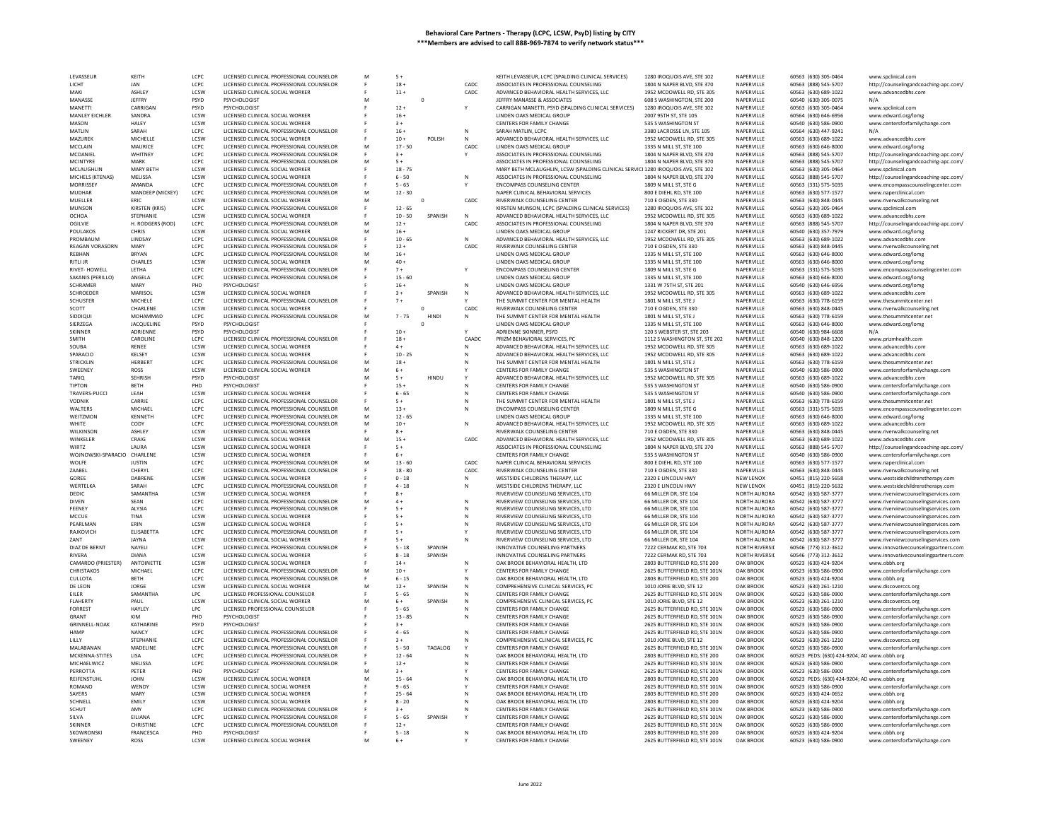| LEVASSEUR                    | KEITH               | LCPC        | LICENSED CLINICAL PROFESSIONAL COUNSELOR        |   | $5+$             |             |              | KEITH LEVASSEUR, LCPC (SPALDING CLINICAL SERVICES)                              | 1280 IROQUOIS AVE, STE 102                                    | NAPERVILLE                    | 60563 (630) 305-0464                         | www.spclinical.com                             |
|------------------------------|---------------------|-------------|-------------------------------------------------|---|------------------|-------------|--------------|---------------------------------------------------------------------------------|---------------------------------------------------------------|-------------------------------|----------------------------------------------|------------------------------------------------|
| LICHT                        | JAN                 | LCPC        | LICENSED CLINICAL PROFESSIONAL COUNSELOR        |   | $18 -$           |             | CADC         | ASSOCIATES IN PROFESSIONAL COUNSELING                                           | 1804 N NAPER BLVD, STE 370                                    | NAPERVILLE                    | 60563 (888) 545-5707                         | http://counselingandcoaching-apc.com/          |
| MAKI                         | <b>ASHLEY</b>       | LCSW        | LICENSED CLINICAL SOCIAL WORKER                 |   | $11 +$           |             | CADC         | ADVANCED BEHAVIORAL HEALTH SERVICES, LLC                                        | 1952 MCDOWELL RD, STE 305                                     | NAPERVILLE                    | 60563 (630) 689-1022                         | www.advancedbhs.com                            |
| MANASSE                      | JEFFRY              | PSYD        | PSYCHOLOGIST                                    | M |                  | $\circ$     |              | JEFFRY MANASSE & ASSOCIATES                                                     | 608 S WASHINGTON, STE 200                                     | NAPERVILLE                    | 60540 (630) 305-0075                         | N/F                                            |
| <b>MANETTI</b>               | CARRIGAN            | PSYD        | PSYCHOLOGIST                                    |   | $12 +$           |             |              | CARRIGAN MANETTI, PSYD (SPALDING CLINICAL SERVICES)                             | 1280 IROQUOIS AVE, STE 102                                    | NAPERVILLE                    | 60563 (630) 305-0464                         | www.spclinical.com                             |
|                              |                     |             |                                                 |   |                  |             |              |                                                                                 |                                                               |                               |                                              |                                                |
| MANLEY EICHLER               | SANDRA              | <b>ICSW</b> | LICENSED CLINICAL SOCIAL WORKER                 |   | $16+$            |             |              | LINDEN OAKS MEDICAL GROUP                                                       | 2007 95TH ST, STE 105                                         | NAPERVILLE                    | 60564 (630) 646-6956                         | www.edward.org/lomg                            |
| MASON                        | HALEY               | LCSW        | LICENSED CLINICAL SOCIAL WORKER                 |   | $3+$             |             |              | CENTERS FOR FAMILY CHANGE                                                       | 535 S WASHINGTON ST                                           | NAPERVILLE                    | 60540 (630) 586-0900                         | www.centersforfamilychange.com                 |
| MATLIN                       | SARAH               | LCPC        | LICENSED CLINICAL PROFESSIONAL COUNSELOR        |   | $16 +$           |             | ${\sf N}$    | SARAH MATLIN, LCPC                                                              | 3380 LACROSSE LN, STE 105                                     | NAPERVILLE                    | 60564 (630) 447-9241                         | N/A                                            |
| MAZUREK                      | MICHELLE            | LCSW        | LICENSED CLINICAL SOCIAL WORKER                 |   | $10 +$           | POLISH      | N            | ADVANCED BEHAVIORAL HEALTH SERVICES, LLC                                        | 1952 MCDOWELL RD, STE 305                                     | NAPERVILLE                    | 60563 (630) 689-1022                         | www.advancedbhs.com                            |
| MCCLAIN                      | MAURICE             | LCPC        | LICENSED CLINICAL PROFESSIONAL COUNSELOR        | M | $17 - 50$        |             | CADC         | LINDEN OAKS MEDICAL GROUP                                                       | 1335 N MILL ST, STE 100                                       | NAPERVILLE                    | 60563 (630) 646-8000                         | www.edward.org/lomg                            |
| <b>MCDANIE</b>               | <b>WHITNEY</b>      | LCPC        | LICENSED CLINICAL PROFESSIONAL COUNSELOR        |   | $3+$             |             |              | ASSOCIATES IN PROFESSIONAL COUNSELING                                           | 1804 N NAPER BLVD, STE 370                                    | NAPERVILLE                    | 60563 (888) 545-5707                         | http://counselingandcoaching-apc.com/          |
|                              |                     |             |                                                 |   |                  |             |              |                                                                                 |                                                               |                               |                                              |                                                |
| <b>MCINTYRE</b>              | MARK                | LCPC        | LICENSED CLINICAL PROFESSIONAL COUNSELOR        | M | $5+$             |             |              | ASSOCIATES IN PROFESSIONAL COUNSELING                                           | 1804 N NAPER BLVD, STE 370                                    | NAPERVILLE                    | 60563 (888) 545-5707                         | http://counselingandcoaching-apc.com/          |
| MCLAUGHLIN                   | MARY BETH           | LCSW        | LICENSED CLINICAL SOCIAL WORKER                 |   | $18 - 75$        |             |              | MARY BETH MCLAUGHLIN, LCSW (SPALDING CLINICAL SERVIC 1280 IROQUOIS AVE, STE 102 |                                                               | NAPERVILLE                    | 60563 (630) 305-0464                         | www.spclinical.com                             |
| MICHELS (KTENAS)             | MELISSA             | LCSW        | LICENSED CLINICAL SOCIAL WORKER                 |   | $6 - 50$         |             | $\mathsf{N}$ | ASSOCIATES IN PROFESSIONAL COUNSELING                                           | 1804 N NAPER BLVD, STE 370                                    | NAPERVILLE                    | 60563 (888) 545-5707                         | http://counselingandcoaching-apc.com/          |
| <b>MORRISSE</b>              | AMANDA              | LCPC        | LICENSED CLINICAL PROFESSIONAL COUNSELOR        |   | $5 - 65$         |             |              | <b>ENCOMPASS COUNSELING CENTER</b>                                              | 1809 N MILL ST, STE G                                         | NAPERVILLE                    | 60563 (331) 575-5035                         | www.encompasscounselingcenter.com              |
| <b>MUDHAR</b>                | MANDEEP (MICKEY)    | LCPC        | LICENSED CLINICAL PROFESSIONAL COUNSELOR        | M | $12 - 30$        |             |              | NAPER CLINICAL BEHAVIORAL SERVICES                                              | 800 E DIEHL RD, STE 100                                       | NAPERVILLE                    | 60563 (630) 577-1577                         | www.naperclinical.com                          |
| MUELLER                      | <b>FRIC</b>         | LCSW        | LICENSED CLINICAL SOCIAL WORKER                 | M |                  | $\mathbf 0$ | CADC         |                                                                                 | 710 E OGDEN, STE 330                                          | NAPERVILLE                    | 60563 (630) 848-0445                         |                                                |
|                              |                     |             |                                                 |   |                  |             |              | RIVERWALK COUNSELING CENTER                                                     |                                                               |                               |                                              | www.riverwalkcounseling.net                    |
| <b>MUNSON</b>                | KIRSTEN (KRIS)      | LCPC        | LICENSED CLINICAL PROFESSIONAL COUNSELOR        |   | $12 - 65$        |             |              | KIRSTEN MUNSON, LCPC (SPALDING CLINICAL SERVICES)                               | 1280 IROQUOIS AVE, STE 102                                    | NAPERVILLE                    | 60563 (630) 305-0464                         | www.spclinical.com                             |
| OCHOA                        | STEPHANIE           | LCSW        | LICENSED CLINICAL SOCIAL WORKER                 |   | $10 - 50$        | SPANISH     | N            | ADVANCED BEHAVIORAL HEALTH SERVICES, LLC                                        | 1952 MCDOWELL RD, STE 305                                     | NAPERVILLE                    | 60563 (630) 689-1022                         | www.advancedbhs.com                            |
| OGILVIE                      | H. RODGERS (ROD)    | LCPC        | LICENSED CLINICAL PROFESSIONAL COUNSELOR        |   | $12 +$           |             | CADC         | ASSOCIATES IN PROFESSIONAL COUNSELING                                           | 1804 N NAPER BLVD, STE 370                                    | NAPERVILLE                    | 60563 (888) 545-5707                         | http://counselingandcoaching-apc.com/          |
| POULAKOS                     | CHRIS               | <b>ICSW</b> | LICENSED CLINICAL SOCIAL WORKER                 | M | $16+$            |             |              | <b>LINDEN OAKS MEDICAL GROUP</b>                                                | 1247 RICKERT DR. STE 201                                      | NAPERVILLE                    | 60540 (630) 357-7979                         | www.edward.org/lomg                            |
| PROMBAUM                     | LINDSA <sup>®</sup> | LCPC        | LICENSED CLINICAL PROFESSIONAL COUNSELOR        |   | $10 - 65$        |             | N            | ADVANCED BEHAVIORAL HEALTH SERVICES, LLC                                        | 1952 MCDOWELL RD, STE 305                                     | NAPERVILLE                    | 60563 (630) 689-1022                         | www.advancedbhs.cor                            |
| <b>REAGAN VORASORN</b>       | MARY                | LCPC        | LICENSED CLINICAL PROFESSIONAL COUNSELOR        |   | $12+$            |             | CADC         | <b>RIVERWALK COUNSELING CENTER</b>                                              | 710 F OGDEN, STE 330                                          | NAPERVILLE                    | 60563 (630) 848-0445                         |                                                |
|                              |                     |             |                                                 |   |                  |             |              |                                                                                 |                                                               |                               |                                              | www.riverwalkcounseling.net                    |
| REBHAN                       | <b>BRYAN</b>        | LCPC        | LICENSED CLINICAL PROFESSIONAL COUNSELOR        | M | $16 +$           |             |              | LINDEN OAKS MEDICAL GROUP                                                       | 1335 N MILL ST, STE 100                                       | NAPERVILLE                    | 60563 (630) 646-8000                         | www.edward.org/lomg                            |
| RITLI JR                     | <b>CHARLES</b>      | LCSW        | LICENSED CLINICAL SOCIAL WORKER                 | M | $40 +$           |             |              | LINDEN OAKS MEDICAL GROUP                                                       | 1335 N MILL ST, STE 100                                       | NAPERVILLE                    | 60563 (630) 646-8000                         | www.edward.org/lomg                            |
| RIVET- HOWELL                | LETHA               | LCPC        | LICENSED CLINICAL PROFESSIONAL COUNSELOR        |   | $7+$             |             |              | <b>ENCOMPASS COUNSELING CENTER</b>                                              | 1809 N MILL ST, STE G                                         | NAPERVILLE                    | 60563 (331) 575-5035                         | www.encompasscounselingcenter.com              |
| SAKANIS (PERILLO)            | ANGELA              | LCPC        | LICENSED CLINICAL PROFESSIONAL COUNSELOR        |   | $15 - 60$        |             |              | LINDEN OAKS MEDICAL GROUP                                                       | 1335 N MILL ST, STE 100                                       | NAPERVILLE                    | 60563 (630) 646-8000                         | www.edward.org/lomg                            |
| <b>SCHRAMER</b>              | MARY                | PHD         | PSYCHOLOGIST                                    |   | $16 +$           |             | N            | <b>IINDEN OAKS MEDICAL GROUP</b>                                                | 1331 W 75TH ST, STE 201                                       | NAPERVILLE                    | 60540 (630) 646-6956                         | www.edward.org/lomg                            |
| <b>SCHROEDER</b>             | <b>MARISO</b>       | LCSW        | LICENSED CLINICAL SOCIAL WORKER                 |   | $3+$             | SPANISH     | $\mathbb{N}$ | ADVANCED BEHAVIORAL HEALTH SERVICES. LLC                                        | 1952 MCDOWELL RD, STE 305                                     | NAPERVILLE                    | 60563 (630) 689-1022                         | www.advancedbhs.com                            |
|                              |                     |             |                                                 |   |                  |             |              |                                                                                 |                                                               |                               |                                              |                                                |
| <b>SCHUSTER</b>              | MICHELE             | LCPC        | LICENSED CLINICAL PROFESSIONAL COUNSELOR        |   | $7+$             |             |              | THE SUMMIT CENTER FOR MENTAL HEALTH                                             | 1801 N MILL ST. STE J                                         | NAPERVILLE                    | 60563 (630) 778-6159                         | www.thesummitcenter.net                        |
| SCOTT                        | CHARLENE            | LCSW        | LICENSED CLINICAL SOCIAL WORKER                 |   |                  |             | CADC         | RIVERWALK COUNSELING CENTER                                                     | 710 E OGDEN, STE 330                                          | NAPERVILLE                    | 60563 (630) 848-0445                         | www.riverwalkcounseling.net                    |
| SIDDIQUI                     | MOHAMMAD            | LCPC        | LICENSED CLINICAL PROFESSIONAL COUNSELOR        | м | $7 - 75$         | HINDI       | N            | THE SUMMIT CENTER FOR MENTAL HEALTH                                             | 1801 N MILL ST. STE J                                         | NAPERVILLE                    | 60563 (630) 778-6159                         | www.thesummitcenter.net                        |
| SIERZEGA                     | JACQUELINE          | PSYD        | PSYCHOLOGIST                                    |   |                  | $\Omega$    |              | LINDEN OAKS MEDICAL GROUP                                                       | 1335 N MILL ST, STE 100                                       | NAPERVILLE                    | 60563 (630) 646-8000                         | www.edward.org/lomg                            |
| <b>SKINNER</b>               | ADRIENNE            | PSYD        | PSYCHOLOGIST                                    |   | $10 +$           |             |              | ADRIENNE SKINNER, PSYD                                                          | 120 S WEBSTER ST. STE 203                                     | NAPERVILLE                    | 60540 (630) 984-6608                         | N/A                                            |
| SMITH                        | CAROLINE            | LCPC        |                                                 |   | $18 +$           |             | CAADC        | PRIZM BEHAVIORAL SERVICES, PC                                                   | 1112 S WASHINGTON ST, STE 202                                 | NAPERVILLE                    | 60540 (630) 848-1200                         |                                                |
|                              |                     |             | LICENSED CLINICAL PROFESSIONAL COUNSELOR        |   |                  |             |              |                                                                                 |                                                               |                               |                                              | www.prizmhealth.com                            |
| SOUBA                        | RENEE               | LCSW        | LICENSED CLINICAL SOCIAL WORKER                 |   | $4 +$            |             | N            | ADVANCED BEHAVIORAL HEALTH SERVICES, LLC                                        | 1952 MCDOWELL RD, STE 305                                     | NAPERVILLE                    | 60563 (630) 689-1022                         | www.advancedbhs.com                            |
| SPARACIO                     | KELSEY              | LCSW        | LICENSED CLINICAL SOCIAL WORKER                 |   | $10 - 25$        |             | N            | ADVANCED BEHAVIORAL HEALTH SERVICES, LLC                                        | 1952 MCDOWELL RD, STE 305                                     | NAPERVILLE                    | 60563 (630) 689-1022                         | www.advancedbhs.com                            |
| <b>STRICKLIN</b>             | <b>HERBER</b>       | LCPC        | LICENSED CLINICAL PROFESSIONAL COUNSELOR        |   | $18 +$           |             |              | THE SUMMIT CENTER FOR MENTAL HEALTH                                             | 1801 N MILL ST, STE J                                         | NAPERVILLE                    | 60563 (630) 778-6159                         | www.thesummitcenter.net                        |
| SWEENEY                      | ROSS                | LCSW        | LICENSED CLINICAL SOCIAL WORKER                 | M | $6+$             |             |              | CENTERS FOR FAMILY CHANGE                                                       | 535 S WASHINGTON ST                                           | NAPERVILLE                    | 60540 (630) 586-0900                         | www.centersforfamilychange.com                 |
| TARIQ                        | <b>SEHRISH</b>      | PSYD        | PSYCHOLOGIST                                    | M | $5+$             | HINDU       |              | ADVANCED BEHAVIORAL HEALTH SERVICES, LLC                                        | 1952 MCDOWELL RD, STE 305                                     | NAPERVILLE                    | 60563 (630) 689-1022                         | www.advancedbhs.com                            |
| TIPTON                       |                     | PHD         |                                                 |   | $15 +$           |             |              | CENTERS FOR FAMILY CHANGE                                                       |                                                               | NAPERVILLE                    | 60540 (630) 586-0900                         |                                                |
|                              | <b>BETH</b>         |             | PSYCHOLOGIST                                    |   |                  |             |              |                                                                                 | 535 S WASHINGTON ST                                           |                               |                                              | www.centersforfamilychange.com                 |
| TRAVERS-PUCC                 | LEAH                | LCSW        | LICENSED CLINICAL SOCIAL WORKER                 |   | $6 - 65$         |             |              | CENTERS FOR FAMILY CHANGE                                                       | 535 S WASHINGTON ST                                           | NAPERVILLE                    | 60540 (630) 586-0900                         | www.centersforfamilychange.com                 |
| VODNIK                       | CARRIE              | LCPC        | LICENSED CLINICAL PROFESSIONAL COUNSELOR        |   | $5+$             |             | N            | THE SUMMIT CENTER FOR MENTAL HEALTH                                             | 1801 N MILL ST, STE J                                         | NAPERVILLE                    | 60563 (630) 778-6159                         | www.thesummitcenter.net                        |
| WALTERS                      | <b>MICHAE</b>       | LCPC        | LICENSED CLINICAL PROFESSIONAL COUNSELOR        | M | $13 +$           |             | N            | <b>ENCOMPASS COUNSELING CENTER</b>                                              | 1809 N MILL ST, STE G                                         | NAPERVILLE                    | 60563 (331) 575-5035                         | www.encompasscounselingcenter.com              |
| WEITZMON                     | <b>KENNETH</b>      | LCPC        | LICENSED CLINICAL PROFESSIONAL COUNSELOR        | M | $12 - 65$        |             |              | LINDEN OAKS MEDICAL GROUP                                                       | 1335 N MILL ST, STE 100                                       | NAPERVILLE                    | 60563 (630) 646-8000                         | www.edward.org/lomg                            |
| <b>WHITE</b>                 | CODY                | LCPC.       | LICENSED CLINICAL PROFESSIONAL COUNSELOR        | M | $10 +$           |             | N            | ADVANCED BEHAVIORAL HEALTH SERVICES, LLC                                        | 1952 MCDOWELL RD, STE 305                                     | NAPERVILLE                    | 60563 (630) 689-1022                         | www.advancedbhs.com                            |
|                              |                     |             |                                                 |   |                  |             |              |                                                                                 |                                                               |                               |                                              |                                                |
| WILKINSON                    | <b>ASHLEY</b>       | LCSW        | LICENSED CLINICAL SOCIAL WORKER                 |   | $8+$             |             |              | RIVERWALK COUNSELING CENTER                                                     | 710 E OGDEN, STE 330                                          | NAPERVILLE                    | 60563 (630) 848-0445                         | www.riverwalkcounseling.net                    |
| <b>WINKFLFR</b>              | CRAIG               | <b>ICSW</b> | LICENSED CLINICAL SOCIAL WORKER                 | M | $15 +$           |             | CADC         | ADVANCED BEHAVIORAL HEALTH SERVICES, LLC                                        | 1952 MCDOWELL RD, STE 305                                     | NAPERVILLE                    | 60563 (630) 689-1022                         | www.advancedbhs.com                            |
| WIRTZ                        | LAURA               | LCSW        | LICENSED CLINICAL SOCIAL WORKER                 |   | $5+$             |             |              | ASSOCIATES IN PROFESSIONAL COUNSELING                                           | 1804 N NAPER BLVD, STE 370                                    | NAPERVILLE                    | 60563 (888) 545-5707                         | http://counselingandcoaching-apc.com/          |
| WOJNOWSKI-SPARACIO CHARLENE  |                     | LCSW        | LICENSED CLINICAL SOCIAL WORKER                 |   | $6+$             |             |              | CENTERS FOR FAMILY CHANGE                                                       | 535 S WASHINGTON ST                                           | NAPERVILLE                    | 60540 (630) 586-0900                         | www.centersforfamilychange.com                 |
| WOLFE                        | <b>JUSTIN</b>       | LCPC        | LICENSED CLINICAL PROFESSIONAL COUNSELOR        | M | $13 - 60$        |             | CADC         | NAPER CLINICAL BEHAVIORAL SERVICES                                              | 800 E DIEHL RD, STE 100                                       | NAPERVILLE                    | 60563 (630) 577-1577                         | www.naperclinical.con                          |
| ZAABEL                       | CHERYL              | LCPC        | LICENSED CLINICAL PROFESSIONAL COUNSELOR        |   | $18 - 80$        |             | CADC         | RIVERWALK COUNSELING CENTER                                                     | 710 E OGDEN, STE 330                                          | NAPERVILLE                    | 60563 (630) 848-0445                         |                                                |
|                              |                     |             |                                                 |   |                  |             |              |                                                                                 |                                                               |                               |                                              | www.riverwalkcounseling.net                    |
| GOREE                        | DABRENE             | LCSW        | LICENSED CLINICAL SOCIAL WORKER                 |   | $0 - 18$         |             |              | WESTSIDE CHILDRENS THERAPY, LLC                                                 | 2320 E LINCOLN HWY                                            | NEW LENOX                     | 60451 (815) 220-5658                         | www.westsidechildrenstherapy.com               |
| WERTELKA                     | SARAH               | LCPC        | LICENSED CLINICAL PROFESSIONAL COUNSELOR        |   | $4 - 18$         |             | N            | WESTSIDE CHILDRENS THERAPY, LLC                                                 | 2320 E LINCOLN HWY                                            | NEW LENOX                     | 60451 (815) 220-5632                         | www.westsidechildrenstherapy.com               |
| DEDIC                        | SAMANTHA            | <b>ICSW</b> | LICENSED CLINICAL SOCIAL WORKER                 |   | $8+$             |             |              | RIVERVIEW COUNSELING SERVICES, LTD                                              | 66 MILLER DR. STE 104                                         | NORTH AURORA                  | 60542 (630) 587-3777                         | www.riverviewcounselingservices.com            |
| <b>DIVEN</b>                 | SEAN                | LCPC        | LICENSED CLINICAL PROFESSIONAL COUNSELOR        |   | $4 +$            |             | N            | RIVERVIEW COUNSELING SERVICES, LTD                                              | 66 MILLER DR, STE 104                                         | NORTH AURORA                  | 60542 (630) 587-3777                         | www.riverviewcounselingservices.com            |
| FFFNFY                       | AI YSIA             | LCPC.       | LICENSED CLINICAL PROFESSIONAL COUNSELOR        |   | $5+$             |             | N            | RIVERVIEW COUNSELING SERVICES. ITD                                              | 66 MILLER DR. STE 104                                         | NORTH AURORA                  | 60542 (630) 587-3777                         | www.riverviewcounselingservices.com            |
|                              |                     | LCSW        |                                                 |   |                  |             |              |                                                                                 |                                                               |                               |                                              |                                                |
| MCCUE                        | TINA                |             | LICENSED CLINICAL SOCIAL WORKER                 |   | $5+$             |             | ${\sf N}$    | RIVERVIEW COUNSELING SERVICES, LTD                                              | 66 MILLER DR, STE 104                                         | NORTH AURORA                  | 60542 (630) 587-3777                         | www.riverviewcounselingservices.com            |
| PEARLMAN                     | ERIN                | LCSW        | LICENSED CLINICAL SOCIAL WORKER                 |   | $5+$             |             | N            | RIVERVIEW COUNSELING SERVICES, LTD                                              | 66 MILLER DR. STE 104                                         | NORTH AURORA                  | 60542 (630) 587-3777                         | www.riverviewcounselingservices.com            |
| RAJKOVICH                    | ELISABETTA          | LCPC        | LICENSED CLINICAL PROFESSIONAL COUNSELOR        |   | $5+$             |             |              | RIVERVIEW COUNSELING SERVICES, LTD                                              | 66 MILLER DR, STE 104                                         | NORTH AURORA                  | 60542 (630) 587-3777                         | www.riverviewcounselingservices.com            |
| ZANT                         | JAYNA               | LCSW        | LICENSED CLINICAL SOCIAL WORKER                 |   | $5+$             |             | N            | RIVERVIEW COUNSELING SERVICES, LTD                                              | 66 MILLER DR, STE 104                                         | NORTH AURORA                  | 60542 (630) 587-3777                         | www.riverviewcounselingservices.com            |
| DIAZ DE BERNT                | NAYELI              | LCPC        | LICENSED CLINICAL PROFESSIONAL COUNSELOR        |   | $5 - 18$         | SPANISH     |              | INNOVATIVE COUNSELING PARTNERS                                                  | 7222 CERMAK RD, STE 703                                       | <b>NORTH RIVERSIL</b>         | 60546 (773) 312-3612                         | www.innovativecounselingpartners.com           |
| <b>RIVERA</b>                | <b>DIANA</b>        | LCSW        | LICENSED CLINICAL SOCIAL WORKER                 |   | $8 - 18$         | SPANISH     |              | INNOVATIVE COUNSELING PARTNERS                                                  | 7222 CERMAK RD, STE 703                                       | <b>NORTH RIVERSIL</b>         | 60546 (773) 312-3612                         | www.innovativecounselingpartners.com           |
|                              |                     |             |                                                 |   |                  |             |              |                                                                                 |                                                               |                               |                                              |                                                |
| CAMARDO (PRIESTER)           | ANTOINETTE          | LCSW        | LICENSED CLINICAL SOCIAL WORKER                 |   | $14 +$<br>$10 +$ |             | N            | OAK BROOK BEHAVIORAL HEALTH, LTD                                                | 2803 BUTTERFIELD RD, STE 200                                  | <b>OAK BROOK</b>              | 60523 (630) 424-9204                         | www.obbh.org                                   |
| CHRISTAKOS                   |                     |             |                                                 |   |                  |             |              | CENTERS FOR FAMILY CHANGE                                                       | 2625 BUTTERFIELD RD, STE 101N                                 | OAK BROOK                     | 60523 (630) 586-0900                         | www.centersforfamilychange.com                 |
|                              | MICHAEL             | LCPC        | LICENSED CLINICAL PROFESSIONAL COUNSELOR        | M |                  |             |              |                                                                                 |                                                               |                               |                                              |                                                |
| CULLOTA                      | <b>BETH</b>         | LCPC        | LICENSED CLINICAL PROFESSIONAL COUNSELOR        |   | $6 - 15$         |             | N            | OAK BROOK BEHAVIORAL HEALTH, LTD                                                | 2803 BUTTERFIELD RD, STE 200                                  | OAK BROOK                     | 60523 (630) 424-9204                         | www.obbh.org                                   |
| DE LEON                      | JORGE               | LCSW        | LICENSED CLINICAL SOCIAL WORKER                 |   | $12 +$           | SPANISH     | N            | COMPREHENSIVE CLINICAL SERVICES, PC                                             | 1010 JORIE BLVD, STE 12                                       | OAK BROOK                     | 60523 (630) 261-1210                         |                                                |
|                              |                     |             |                                                 |   |                  |             |              |                                                                                 |                                                               |                               |                                              | www.discoverccs.org                            |
| EILER                        | SAMANTHA            | LPC         | LICENSED PROFESSIONAL COUNSELOR                 |   | $5 - 65$         |             |              | CENTERS FOR FAMILY CHANGE                                                       | 2625 BUTTERFIELD RD. STE 101N                                 | OAK BROOK                     | 60523 (630) 586-0900                         | www.centersforfamilychange.com                 |
| <b>FLAHERTY</b>              | PAUL                | LCSW        | LICENSED CLINICAL SOCIAL WORKER                 | M | $6+$             | SPANISH     | N            | COMPREHENSIVE CLINICAL SERVICES, PC                                             | 1010 JORIE BLVD, STE 12                                       | OAK BROOK                     | 60523 (630) 261-1210                         | www.discoverccs.org                            |
| <b>FORREST</b>               | HAYLEY              | <b>LPC</b>  | LICENSED PROFESSIONAL COUNSELOR                 |   | $5 - 65$         |             |              | CENTERS FOR FAMILY CHANGE                                                       | 2625 BUTTERFIELD RD, STE 101N                                 | OAK BROOK                     | 60523 (630) 586-0900                         | www.centersforfamilychange.com                 |
| GRANT                        | KIM                 | PHD         | PSYCHOLOGIST                                    |   | $13 - 85$        |             | N            | CENTERS FOR FAMILY CHANGE                                                       | 2625 BUTTERFIELD RD, STE 101N                                 | <b>OAK BROOK</b>              | 60523 (630) 586-0900                         | www.centersforfamilychange.com                 |
| <b>GRINNELL-NOAK</b>         | KATHARINE           | PSYD        |                                                 |   | $3+$             |             |              | CENTERS FOR FAMILY CHANGE                                                       | 2625 BUTTERFIELD RD, STE 101N                                 | OAK BROOK                     | 60523 (630) 586-0900                         | www.centersforfamilychange.com                 |
| <b>HAMP</b>                  | NANCY               | LCPC        | LICENSED CLINICAL PROFESSIONAL COUNSELOR        |   | $4 - 65$         |             | N            | CENTERS FOR FAMILY CHANGE                                                       | 2625 BUTTERFIELD RD, STE 101N                                 | OAK BROOK                     | 60523 (630) 586-0900                         |                                                |
|                              |                     |             |                                                 |   |                  |             |              |                                                                                 |                                                               |                               |                                              | www.centersforfamilychange.com                 |
| LILLY                        | STEPHANIE           | LCPC        | LICENSED CLINICAL PROFESSIONAL COUNSELOR        |   | $3+$             |             |              | COMPREHENSIVE CLINICAL SERVICES, PC                                             | 1010 JORIE BLVD, STE 12                                       | OAK BROOK                     | 60523 (630) 261-1210                         | www.discoverccs.org                            |
| MAI ARANAN                   | MADELINE            | LCPC        | LICENSED CLINICAL PROFESSIONAL COUNSELOR        |   | $5 - 50$         | TAGALOG     |              | CENTERS FOR FAMILY CHANGE                                                       | 2625 BUTTERFIELD RD. STE 101N                                 | OAK BROOK                     | 60523 (630) 586-0900                         | www.centersforfamilychange.com                 |
| MCKENNA-STITES               | LISA                | LCPC        | LICENSED CLINICAL PROFESSIONAL COUNSELOR        |   | $12 - 64$        |             |              | OAK BROOK BEHAVIORAL HEALTH, LTD                                                | 2803 BUTTERFIELD RD, STE 200                                  | OAK BROOK                     | 60523 PEDS: (630) 424-9204; AD www.obbh.org  |                                                |
| MICHAELWICZ                  | MELISSA             | LCPC        | LICENSED CLINICAL PROFESSIONAL COUNSELOR        |   | $12 +$           |             |              | CENTERS FOR FAMILY CHANGE                                                       | 2625 BUTTERFIELD RD. STE 101N                                 | OAK BROOK                     | 60523 (630) 586-0900                         | www.centersforfamilychange.com                 |
| PERROTTA                     | PETER               | PHD         | PSYCHOLOGIST                                    |   | $3+$             |             |              | CENTERS FOR FAMILY CHANGE                                                       | 2625 BUTTERFIELD RD, STE 101N                                 | OAK BROOK                     | 60523 (630) 586-0900                         | www.centersforfamilychange.com                 |
| REIFENSTUHL                  | <b>IOHN</b>         | LCSW        | LICENSED CLINICAL SOCIAL WORKER                 | M | $15 - 64$        |             |              | OAK BROOK BEHAVIORAL HEALTH, LTD                                                | 2803 BUTTERFIELD RD. STE 200                                  | OAK BROOK                     |                                              |                                                |
| <b>ROMANO</b>                |                     |             |                                                 |   |                  |             |              |                                                                                 |                                                               |                               | 60523 PEDS: (630) 424-9204; AD www.obbh.org  |                                                |
|                              | <b>WENDY</b>        | LCSW        | LICENSED CLINICAL SOCIAL WORKER                 |   | $9 - 65$         |             |              | CENTERS FOR FAMILY CHANGE                                                       | 2625 BUTTERFIELD RD, STE 101N                                 | OAK BROOK                     | 60523 (630) 586-0900                         | www.centersforfamilychange.com                 |
| SAYERS                       | MARY                | LCSW        | LICENSED CLINICAL SOCIAL WORKER                 |   | $25 - 64$        |             |              | OAK BROOK BEHAVIORAL HEALTH, LTD                                                | 2803 BUTTERFIELD RD, STE 200                                  | OAK BROOK                     | 60523 (630) 424-0652                         | www.obbh.org                                   |
| SCHNELL                      | EMILY               | <b>ICSW</b> | LICENSED CLINICAL SOCIAL WORKER                 |   | $8 - 20$         |             | N            | OAK BROOK BEHAVIORAL HEALTH, LTD                                                | 2803 BUTTERFIELD RD, STE 200                                  | OAK BROOK                     | 60523 (630) 424-9204                         | www.obbh.org                                   |
| SCHUT                        | AMY                 | LCPC        | LICENSED CLINICAL PROFESSIONAL COUNSELOR        |   | $3+$             |             |              | CENTERS FOR FAMILY CHANGE                                                       | 2625 BUTTERFIELD RD, STE 101N                                 | OAK BROOK                     | 60523 (630) 586-0900                         | www.centersforfamilychange.com                 |
| SII VA                       | FILIANA             | LCPC        | LICENSED CLINICAL PROFESSIONAL COUNSELOR        |   | $5 - 65$         | SPANISH     | <b>Y</b>     | CENTERS FOR FAMILY CHANGE                                                       | 2625 BUTTERFIELD RD. STE 101N                                 | <b>OAK BROOK</b>              | 60523 (630) 586-0900                         | www.centersforfamilychange.com                 |
|                              |                     |             |                                                 |   |                  |             |              |                                                                                 |                                                               |                               |                                              |                                                |
| SKINNER                      | CHRISTINE           | LCPC        | LICENSED CLINICAL PROFESSIONAL COUNSELOR        |   | $12 +$           |             |              | CENTERS FOR FAMILY CHANGE                                                       | 2625 BUTTERFIELD RD, STE 101N                                 | OAK BROOK                     | 60523 (630) 586-0900                         | www.centersforfamilychange.com                 |
| <b>SKOWRONSKI</b><br>SWEENEY | FRANCESCA<br>ROSS   | PHD<br>LCSW | PSYCHOLOGIST<br>LICENSED CLINICAL SOCIAL WORKER |   | $5 - 18$<br>$6+$ |             | N            | OAK BROOK BEHAVIORAL HEALTH, LTD<br>CENTERS FOR FAMILY CHANGE                   | 2803 BUTTERFIELD RD, STE 200<br>2625 BUTTERFIELD RD, STE 101N | <b>OAK BROOK</b><br>OAK BROOK | 60523 (630) 424-9204<br>60523 (630) 586-0900 | www.obbh.org<br>www.centersforfamilychange.com |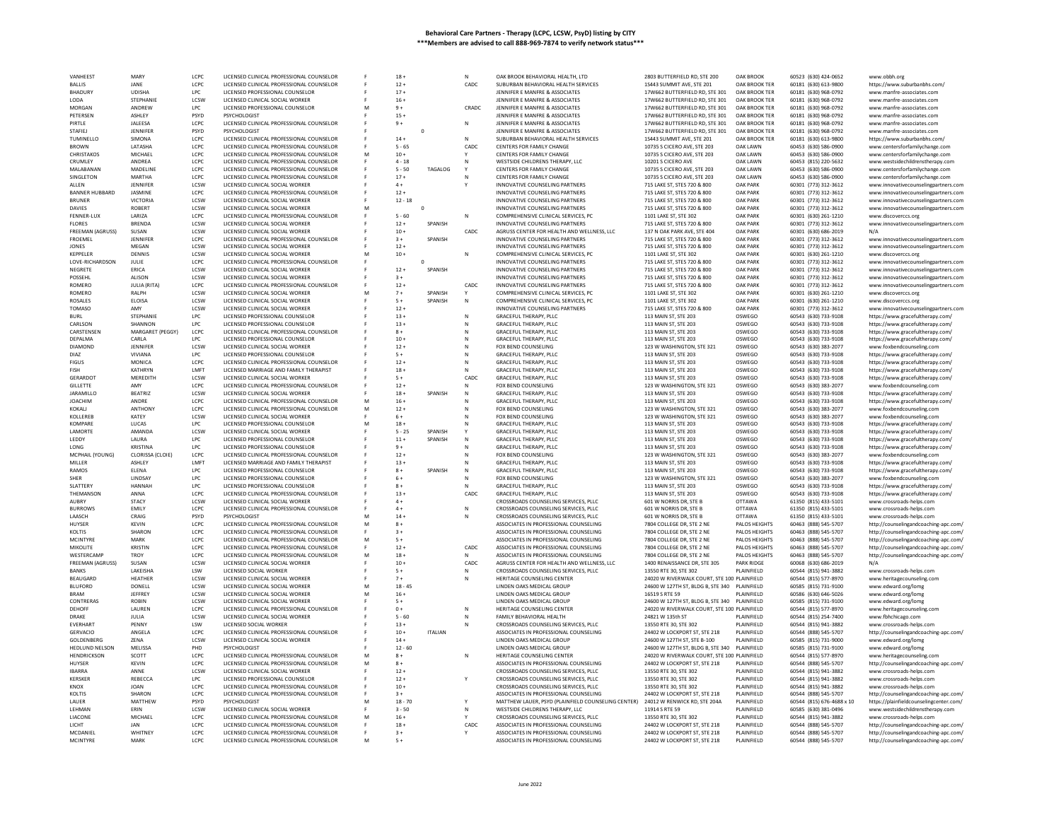| VANHEEST                             | MARY                              | LCPC                | LICENSED CLINICAL PROFESSIONAL COUNSELOR                                             |   | $18+$             |                |        | OAK BROOK BEHAVIORAL HEALTH, LTD                                               | 2803 BUTTERFIELD RD, STE 200                                                                | <b>OAK BROOK</b>                   | 60523 (630) 424-0652                         | www.obbh.org                                                                   |
|--------------------------------------|-----------------------------------|---------------------|--------------------------------------------------------------------------------------|---|-------------------|----------------|--------|--------------------------------------------------------------------------------|---------------------------------------------------------------------------------------------|------------------------------------|----------------------------------------------|--------------------------------------------------------------------------------|
| <b>BALLIS</b>                        | JANE                              | LCPC                | LICENSED CLINICAL PROFESSIONAL COUNSELOF                                             |   | $12 +$            |                | CADC   | SUBURBAN BEHAVIORAL HEALTH SERVICES                                            | 1S443 SUMMIT AVE, STE 201                                                                   | OAK BROOK TER                      | 60181 (630) 613-9800                         | https://www.suburbanbhs.com/                                                   |
| <b>BHADURY</b>                       | <b>UDISHA</b>                     | LPC.                | LICENSED PROFESSIONAL COUNSELOR                                                      |   | $17+$             |                |        | JENNIFER E MANFRE & ASSOCIATES                                                 | 17W662 BUTTERFIELD RD. STE 301                                                              | <b>OAK BROOK TER</b>               | 60181 (630) 968-0792                         | www.manfre-associates.com                                                      |
| LODA                                 | STEPHANIE                         | LCSW                | LICENSED CLINICAL SOCIAL WORKER                                                      |   | $16 +$            |                |        | JENNIFER E MANFRE & ASSOCIATES                                                 | 17W662 BUTTERFIELD RD, STE 301                                                              | OAK BROOK TER                      | 60181 (630) 968-0792                         | www.manfre-associates.com                                                      |
| MORGAN<br>PETERSEN                   | ANDREW<br><b>ASHLEY</b>           | LPC<br>PSYD         | LICENSED PROFESSIONAL COUNSELOR<br>PSYCHOLOGIST                                      |   | $9+$<br>$15 +$    |                | CRADC  | JENNIFER E MANFRE & ASSOCIATES<br>JENNIFER E MANFRE & ASSOCIATES               | 17W662 BUTTERFIELD RD. STE 301<br>17W662 BUTTERFIELD RD, STE 301                            | OAK BROOK TER<br>OAK BROOK TER     | 60181 (630) 968-0792<br>60181 (630) 968-0792 | www.manfre-associates.com<br>www.manfre-associates.com                         |
| PIRTLE                               | <b>JALEESA</b>                    | LCPC                | LICENSED CLINICAL PROFESSIONAL COUNSELOR                                             |   | $9+$              |                | N      | JENNIFER E MANFRE & ASSOCIATES                                                 | 17W662 BUTTERFIELD RD. STE 301                                                              | OAK BROOK TER                      | 60181 (630) 968-0792                         | www.manfre-associates.com                                                      |
| <b>STAFIEL</b>                       | JENNIFER                          | <b>PSYD</b>         | PSYCHOLOGIST                                                                         |   |                   | $\mathbf 0$    |        | JENNIFER E MANFRE & ASSOCIATES                                                 | 17W662 BUTTERFIELD RD, STE 301                                                              | OAK BROOK TER                      | 60181 (630) 968-0792                         | www.manfre-associates.com                                                      |
| TUMINELLO                            | SIMONA                            | LCPC                | LICENSED CLINICAL PROFESSIONAL COUNSELOR                                             |   | $14 +$            |                | N      | SUBURBAN BEHAVIORAL HEALTH SERVICES                                            | 1S443 SUMMIT AVE, STE 201                                                                   | OAK BROOK TER                      | 60181 (630) 613-9800                         | https://www.suburbanbhs.com/                                                   |
| <b>BROWN</b>                         | LATASHA                           | LCPC                | LICENSED CLINICAL PROFESSIONAL COUNSELOR                                             |   | $5 - 65$          |                | CADC   | CENTERS FOR FAMILY CHANGE                                                      | 10735 S CICERO AVE, STE 203                                                                 | <b>OAK LAWN</b>                    | 60453 (630) 586-0900                         | www.centersforfamilychange.com                                                 |
| CHRISTAKOS                           | MICHAEL                           | LCPC                | LICENSED CLINICAL PROFESSIONAL COUNSELOR                                             |   | $10 +$            |                |        | CENTERS FOR FAMILY CHANGE                                                      | 10735 S CICERO AVE, STE 203                                                                 | <b>OAK LAWN</b>                    | 60453 (630) 586-0900                         | www.centersforfamilychange.com                                                 |
| CRUMLEY                              | ANDREA                            | LCPC                | LICENSED CLINICAL PROFESSIONAL COUNSELOR                                             |   | $4 - 18$          |                |        | WESTSIDE CHILDRENS THERAPY, LLC                                                | 10201 S CICERO AVE                                                                          | <b>OAK LAWN</b>                    | 60453 (815) 220-5632                         | www.westsidechildrenstherapy.com                                               |
| MALABANAN                            | <b>MADELINE</b>                   | LCPC                | LICENSED CLINICAL PROFESSIONAL COUNSELOR                                             |   | $5 - 50$          | TAGALOG        |        | CENTERS FOR FAMILY CHANGE                                                      | 10735 S CICERO AVE, STE 203                                                                 | OAK LAWN                           | 60453 (630) 586-0900                         | www.centersforfamilychange.com                                                 |
| SINGLETON<br>ALLEN                   | MARTHA<br>JENNIFER                | LCPC<br>LCSW        | LICENSED CLINICAL PROFESSIONAL COUNSELOR<br>LICENSED CLINICAL SOCIAL WORKER          |   | $17+$<br>$4 +$    |                |        | CENTERS FOR FAMILY CHANGE<br>INNOVATIVE COUNSELING PARTNERS                    | 10735 S CICERO AVE, STE 203<br>715 LAKE ST, STES 720 & 800                                  | <b>OAK LAWN</b><br><b>OAK PARK</b> | 60453 (630) 586-0900<br>60301 (773) 312-3612 | www.centersforfamilychange.com                                                 |
| <b>BANNER HUBBARD</b>                | JASMINE                           | LCPC                | LICENSED CLINICAL PROFESSIONAL COUNSELOR                                             |   | $12 +$            |                |        | INNOVATIVE COUNSELING PARTNERS                                                 | 715 LAKE ST, STES 720 & 800                                                                 | <b>OAK PARK</b>                    | 60301 (773) 312-3612                         | www.innovativecounselingpartners.com<br>www.innovativecounselingpartners.com   |
| <b>BRUNER</b>                        | VICTORIA                          | LCSW                | LICENSED CLINICAL SOCIAL WORKER                                                      |   | $12 - 18$         |                |        | INNOVATIVE COUNSELING PARTNERS                                                 | 715 LAKE ST, STES 720 & 800                                                                 | <b>OAK PARK</b>                    | 60301 (773) 312-3612                         | www.innovativecounselingpartners.com                                           |
| DAVIES                               | ROBERT                            | LCSW                | LICENSED CLINICAL SOCIAL WORKER                                                      |   |                   | $\Omega$       |        | INNOVATIVE COUNSELING PARTNERS                                                 | 715 LAKE ST, STES 720 & 800                                                                 | <b>OAK PARK</b>                    | 60301 (773) 312-3612                         | www.innovativecounselingpartners.com                                           |
| <b>FENNER-LUX</b>                    | LARIZA                            | LCPC                | LICENSED CLINICAL PROFESSIONAL COUNSELOR                                             |   | $5 - 60$          |                | N      | COMPREHENSIVE CLINICAL SERVICES, PC                                            | 1101 LAKE ST, STE 302                                                                       | <b>OAK PARK</b>                    | 60301 (630) 261-1210                         | www.discoverccs.org                                                            |
| <b>FLORES</b>                        | <b>BREND</b>                      | LCSW                | LICENSED CLINICAL SOCIAL WORKER                                                      |   | $12 +$            | SPANISH        |        | INNOVATIVE COUNSELING PARTNERS                                                 | 715 LAKE ST, STES 720 & 800                                                                 | <b>OAK PARK</b>                    | 60301 (773) 312-3612                         | www.innovativecounselingpartners.com                                           |
| FREEMAN (AGRUSS)                     | SUSAN                             | <b>ICSW</b>         | LICENSED CLINICAL SOCIAL WORKER                                                      |   | $10 +$            |                | CADC   | AGRUSS CENTER FOR HEALTH AND WELLNESS. LLC                                     | 137 N OAK PARK AVE, STE 404                                                                 | <b>OAK PARK</b>                    | 60301 (630) 686-2019                         |                                                                                |
| FROEMEL                              | JENNIFER                          | LCPC                | LICENSED CLINICAL PROFESSIONAL COUNSELOR                                             |   | $3+$              | SPANISH        |        | INNOVATIVE COUNSELING PARTNERS                                                 | 715 LAKE ST, STES 720 & 800                                                                 | <b>OAK PARK</b>                    | 60301 (773) 312-3612                         | www.innovativecounselingpartners.com                                           |
| <b>IONES</b>                         | MFGAN                             | <b>ICSW</b><br>LCSW | LICENSED CLINICAL SOCIAL WORKER<br>LICENSED CLINICAL SOCIAL WORKER                   |   | $12 +$            |                |        | INNOVATIVE COUNSELING PARTNERS                                                 | 715 LAKE ST. STES 720 & 800                                                                 | <b>OAK PARK</b><br><b>OAK PARK</b> | 60301 (773) 312-3612                         | www.innovativecounselingpartners.com                                           |
| KEPPELER<br>LOVE-RICHARDSON          | DENNIS<br>JULIE                   | LCPC                | LICENSED CLINICAL PROFESSIONAL COUNSELOR                                             |   | $10 +$            |                | N      | COMPREHENSIVE CLINICAL SERVICES, PC<br>INNOVATIVE COUNSELING PARTNERS          | 1101 LAKE ST, STE 302<br>715 LAKE ST, STES 720 & 800                                        | <b>OAK PARK</b>                    | 60301 (630) 261-1210<br>60301 (773) 312-3612 | www.discoverccs.org<br>www.innovativecounselingpartners.com                    |
| NEGRETE                              | ERICA                             | LCSW                | LICENSED CLINICAL SOCIAL WORKER                                                      |   | $12 +$            | SPANISH        |        | INNOVATIVE COUNSELING PARTNERS                                                 | 715 LAKE ST, STES 720 & 800                                                                 | <b>OAK PARK</b>                    | 60301 (773) 312-3612                         | www.innovativecounselingpartners.com                                           |
| POSSEHL                              | ALISON                            | LCSW                | LICENSED CLINICAL SOCIAL WORKER                                                      |   | $3+$              |                |        | INNOVATIVE COUNSELING PARTNERS                                                 | 715 LAKE ST, STES 720 & 800                                                                 | <b>OAK PARK</b>                    | 60301 (773) 312-3612                         | www.innovativecounselingpartners.com                                           |
| <b>ROMERO</b>                        | JULIA (RITA)                      | LCPC.               | LICENSED CLINICAL PROFESSIONAL COUNSELOR                                             |   | $12 +$            |                | CADC   | INNOVATIVE COUNSELING PARTNERS                                                 | 715 LAKE ST. STES 720 & 800                                                                 | <b>OAK PARK</b>                    | 60301 (773) 312-3612                         | www.innovativecounselingpartners.com                                           |
| ROMERO                               | RALPH                             | LCSW                | LICENSED CLINICAL SOCIAL WORKER                                                      |   | $7 +$             | SPANISH        |        | COMPREHENSIVE CLINICAL SERVICES, PC                                            | 1101 LAKE ST, STE 302                                                                       | <b>OAK PARK</b>                    | 60301 (630) 261-1210                         | www.discoverccs.org                                                            |
| ROSALES                              | <b>ELOISA</b>                     | LCSW                | LICENSED CLINICAL SOCIAL WORKER                                                      |   | $5+$              | SPANISH        | N      | COMPREHENSIVE CLINICAL SERVICES, PC                                            | 1101 LAKE ST. STE 302                                                                       | <b>OAK PARK</b>                    | 60301 (630) 261-1210                         | www.discoverccs.org                                                            |
| <b>TOMASO</b>                        | AMY                               | LCSW                | LICENSED CLINICAL SOCIAL WORKER                                                      |   | $12 +$            |                |        | INNOVATIVE COUNSELING PARTNERS                                                 | 715 LAKE ST, STES 720 & 800                                                                 | <b>OAK PARK</b>                    | 60301 (773) 312-3612                         | www.innovativecounselingpartners.com                                           |
| <b>BURL</b>                          | STEPHANIE                         | LPC                 | LICENSED PROFESSIONAL COUNSELOR                                                      |   | $13+$             |                | N      | GRACEFUL THERAPY, PLLC                                                         | 113 MAIN ST, STE 203                                                                        | OSWEGO                             | 60543 (630) 733-9108                         | https://www.gracefultherapy.com/                                               |
| CARLSON                              | SHANNON                           | LPC.                | LICENSED PROFESSIONAL COUNSELOR                                                      |   | $13 +$            |                | N      | GRACEFUL THERAPY, PLLC                                                         | 113 MAIN ST, STE 203                                                                        | OSWEGO                             | 60543 (630) 733-9108                         | https://www.gracefultherapy.com/                                               |
| CARSTENSEN<br>DEPALMA                | MARGARET (PEGGY)<br>CARLA         | LCPC<br>LPC         | LICENSED CLINICAL PROFESSIONAL COUNSELOR<br>LICENSED PROFESSIONAL COUNSELOR          |   | $8+$<br>$10 +$    |                | N<br>N | <b>GRACEFUL THERAPY, PLLC</b><br>GRACEFUL THERAPY, PLLC                        | 113 MAIN ST, STE 203<br>113 MAIN ST, STE 203                                                | OSWEGO<br>OSWEGO                   | 60543 (630) 733-9108<br>60543 (630) 733-9108 | https://www.gracefultherapy.com/                                               |
| DIAMOND                              | JENNIFER                          | LCSW                | LICENSED CLINICAL SOCIAL WORKER                                                      |   | $12 +$            |                |        | FOX BEND COUNSELING                                                            | 123 W WASHINGTON, STE 321                                                                   | OSWEGO                             | 60543 (630) 383-2077                         | https://www.gracefultherapy.com/<br>www.foxbendcounseling.com                  |
| DIA7                                 | VIVIANA                           | LPC.                | LICENSED PROFESSIONAL COUNSELOR                                                      |   | $5+$              |                | N      | <b>GRACEFUL THERAPY, PLLC</b>                                                  | 113 MAIN ST, STE 203                                                                        | OSWEGO                             | 60543 (630) 733-9108                         | https://www.gracefultherapy.com/                                               |
| <b>FIGUS</b>                         | MONICA                            | LCPC                | LICENSED CLINICAL PROFESSIONAL COUNSELOR                                             |   | $12 +$            |                |        | GRACEFUL THERAPY, PLLC                                                         | 113 MAIN ST, STE 203                                                                        | OSWEGO                             | 60543 (630) 733-9108                         | https://www.gracefultherapy.com/                                               |
| <b>FISH</b>                          | <b>KATHRYN</b>                    | LMFT                | LICENSED MARRIAGE AND FAMILY THERAPIST                                               |   | $18 +$            |                |        | <b>GRACEFUL THERAPY, PLLC</b>                                                  | 113 MAIN ST, STE 203                                                                        | OSWEGO                             | 60543 (630) 733-9108                         | https://www.gracefultherapy.com/                                               |
| GERARDOT                             | <b>MEREDITH</b>                   | LCSW                | LICENSED CLINICAL SOCIAL WORKER                                                      |   | $5+$              |                | CADC   | GRACEFUL THERAPY, PLLC                                                         | 113 MAIN ST, STE 203                                                                        | OSWEGO                             | 60543 (630) 733-9108                         | https://www.gracefultherapy.com/                                               |
| <b>GILLETTE</b>                      | AMY                               | LCPC                | LICENSED CLINICAL PROFESSIONAL COUNSELOR                                             |   | $12 +$            |                |        | FOX BEND COUNSELING                                                            | 123 W WASHINGTON, STE 321                                                                   | OSWEGO                             | 60543 (630) 383-2077                         | www.foxbendcounseling.com                                                      |
| <b>JARAMILLO</b>                     | <b>BEATRIZ</b>                    | LCSW                | LICENSED CLINICAL SOCIAL WORKER                                                      |   | $18 +$            | SPANISH        |        | GRACEFUL THERAPY, PLLC                                                         | 113 MAIN ST, STE 203                                                                        | OSWEGO                             | 60543 (630) 733-9108                         | https://www.gracefultherapy.com/                                               |
| <b>JOACHIM</b>                       | ANDRE                             | LCPC                | LICENSED CLINICAL PROFESSIONAL COUNSELOR                                             |   | $16 +$            |                |        | GRACEFUL THERAPY, PLLC                                                         | 113 MAIN ST, STE 203                                                                        | OSWEGO                             | 60543 (630) 733-9108                         | https://www.gracefultherapy.com/                                               |
| KOKALI<br>KOLLEREE                   | <b>ANTHONY</b><br>KATEY           | LCPC<br>LCSW        | LICENSED CLINICAL PROFESSIONAL COUNSELOR<br>LICENSED CLINICAL SOCIAL WORKER          |   | $12 +$<br>$6+$    |                |        | FOX BEND COUNSELING<br>FOX BEND COUNSELING                                     | 123 W WASHINGTON, STE 321<br>123 W WASHINGTON, STE 321                                      | OSWEGO<br>OSWEGO                   | 60543 (630) 383-2077<br>60543 (630) 383-2077 | www.foxbendcounseling.com                                                      |
| KOMPARE                              | LUCAS                             | TPC.                | LICENSED PROFESSIONAL COUNSELOR                                                      |   | $18 +$            |                |        | GRACEFUL THERAPY, PLLC                                                         | 113 MAIN ST. STE 203                                                                        | OSWEGO                             | 60543 (630) 733-9108                         | www.foxbendcounseling.com<br>https://www.gracefultherapy.com/                  |
| LAMORTE                              | <b>AMANDA</b>                     | LCSW                | LICENSED CLINICAL SOCIAL WORKER                                                      |   | $5 - 25$          | SPANISH        |        | GRACEFUL THERAPY, PLLC                                                         | 113 MAIN ST, STE 203                                                                        | OSWEGO                             | 60543 (630) 733-9108                         | https://www.gracefultherapy.com/                                               |
| LEDDY                                | LAURA                             | LPC                 | LICENSED PROFESSIONAL COUNSELOR                                                      |   | $11 +$            | SPANISH        |        | GRACEFUL THERAPY, PLLC                                                         | 113 MAIN ST, STE 203                                                                        | OSWEGO                             | 60543 (630) 733-9108                         | https://www.gracefultherapy.com/                                               |
| LONG                                 | <b>KRISTINA</b>                   | LPC                 | LICENSED PROFESSIONAL COUNSELOR                                                      |   | $9+$              |                |        | GRACEFUL THERAPY, PLLC                                                         | 113 MAIN ST, STE 203                                                                        | OSWEGO                             | 60543 (630) 733-9108                         | https://www.gracefultherapy.com/                                               |
| MCPHAIL (YOUNG)                      | CLORISSA (CLOIE)                  | LCPC                | LICENSED CLINICAL PROFESSIONAL COUNSELOR                                             |   | $12 +$            |                |        | FOX BEND COUNSELING                                                            | 123 W WASHINGTON, STE 321                                                                   | OSWEGO                             | 60543 (630) 383-2077                         | www.foxbendcounseling.com                                                      |
| MILLER                               | ASHLEY                            | <b>IMFT</b>         | LICENSED MARRIAGE AND FAMILY THERAPIST                                               |   | $13 +$            |                |        | GRACEFUL THERAPY, PLLC                                                         | 113 MAIN ST, STE 203                                                                        | OSWEGO                             | 60543 (630) 733-9108                         | https://www.gracefultherapy.com/                                               |
| RAMOS                                | ELENA                             | LPC                 | LICENSED PROFESSIONAL COUNSELOP                                                      |   | $8+$              | SPANISH        |        | <b>GRACEFUL THERAPY, PLLC</b>                                                  | 113 MAIN ST, STE 203                                                                        | OSWEGO                             | 60543 (630) 733-9108                         | https://www.gracefultherapy.com/                                               |
| SHER                                 | <b>LINDSAY</b>                    | LPC                 | LICENSED PROFESSIONAL COUNSELOR                                                      |   | $6+$              |                |        | FOX BEND COUNSELING                                                            | 123 W WASHINGTON, STE 321                                                                   | OSWEGO                             | 60543 (630) 383-2077                         | www.foxbendcounseling.con                                                      |
| <b>SLATTERY</b><br>THEMANSON         | <b>HANNAH</b><br>ANNA             | LPC<br>LCPC         | LICENSED PROFESSIONAL COUNSELOR<br>LICENSED CLINICAL PROFESSIONAL COUNSELOR          |   | $8 +$<br>$13 +$   |                | CADC   | <b>GRACEFUL THERAPY, PLLC</b><br>GRACEFUL THERAPY, PLLC                        | 113 MAIN ST, STE 203<br>113 MAIN ST, STE 203                                                | OSWEGO<br>OSWEGO                   | 60543 (630) 733-9108<br>60543 (630) 733-9108 | https://www.gracefultherapy.com/                                               |
| AUBRY                                | <b>STACY</b>                      | LCSW                | LICENSED CLINICAL SOCIAL WORKER                                                      |   | $4 +$             |                |        | CROSSROADS COUNSELING SERVICES, PLLC                                           | 601 W NORRIS DR, STE B                                                                      | <b>OTTAWA</b>                      | 61350 (815) 433-5101                         | https://www.gracefultherapy.com/<br>www.crossroads-helps.com                   |
| <b>BURROWS</b>                       | EMILY                             | LCPC                | LICENSED CLINICAL PROFESSIONAL COUNSELOR                                             |   | $4 +$             |                | N      | CROSSROADS COUNSELING SERVICES, PLLC                                           | 601 W NORRIS DR. STE B                                                                      | <b>OTTAWA</b>                      | 61350 (815) 433-5101                         | www.crossroads-helps.com                                                       |
| LAASCH                               | CRAIG                             | PSYD                | PSYCHOLOGIST                                                                         |   | $14 +$            |                |        | CROSSROADS COUNSELING SERVICES, PLLC                                           | 601 W NORRIS DR, STE B                                                                      | <b>OTTAWA</b>                      | 61350 (815) 433-5101                         | www.crossroads-helps.com                                                       |
| HUYSER                               | <b>KFVIN</b>                      | LCPC                | LICENSED CLINICAL PROFESSIONAL COUNSELOR                                             |   | $8+$              |                |        | ASSOCIATES IN PROFESSIONAL COUNSELING                                          | 7804 COLLEGE DR. STE 2 NE                                                                   | PALOS HEIGHTS                      | 60463 (888) 545-5707                         | http://counselingandcoaching-apc.com/                                          |
| KOLTIS                               | SHARON                            | LCPC                | LICENSED CLINICAL PROFESSIONAL COUNSELOR                                             |   | $3+$              |                |        | ASSOCIATES IN PROFESSIONAL COUNSELING                                          | 7804 COLLEGE DR, STE 2 NE                                                                   | PALOS HEIGHTS                      | 60463 (888) 545-5707                         | http://counselingandcoaching-apc.com,                                          |
| MCINTYRE                             | MARK                              | LCPC                | LICENSED CLINICAL PROFESSIONAL COUNSELOF                                             |   | $5 +$             |                |        | ASSOCIATES IN PROFESSIONAL COUNSELING                                          | 7804 COLLEGE DR, STE 2 NE                                                                   | PALOS HEIGHTS                      | 60463 (888) 545-5707                         | http://counselingandcoaching-apc.com/                                          |
| MIKOLITE.                            | <b>KRISTIN</b>                    | LCPC                | LICENSED CLINICAL PROFESSIONAL COUNSELOR                                             |   | $12 +$            |                | CADC.  | ASSOCIATES IN PROFESSIONAL COUNSELING                                          | 7804 COLLEGE DR. STE 2 NE                                                                   | PALOS HEIGHTS                      | 60463 (888) 545-5707                         | http://counselingandcoaching-apc.com/                                          |
| WESTERCAME                           | <b>TROY</b>                       | LCPC                | LICENSED CLINICAL PROFESSIONAL COUNSELOR                                             | M | $18 +$            |                |        | ASSOCIATES IN PROFESSIONAL COUNSELING                                          | 7804 COLLEGE DR, STE 2 NE                                                                   | PALOS HEIGHTS                      | 60463 (888) 545-5707                         | http://counselingandcoaching-apc.com/                                          |
| FREEMAN (AGRUSS)                     | SUSAN                             | <b>ICSW</b>         | LICENSED CLINICAL SOCIAL WORKER                                                      |   | $10+$             |                | CADC   | AGRUSS CENTER FOR HEALTH AND WELLNESS. LLC                                     | 1400 RENAISSANCE DR. STE 305                                                                | <b>PARK RIDGE</b>                  | 60068 (630) 686-2019                         | N/A                                                                            |
| <b>BANKS</b><br>BEAUGARD             | <b>LAKEISHA</b><br><b>HEATHER</b> | LSW<br>LCSW         | LICENSED SOCIAL WORKER<br>LICENSED CLINICAL SOCIAL WORKER                            |   | $5+$<br>$7+$      |                | N      | CROSSROADS COUNSELING SERVICES, PLLC<br>HERITAGE COUNSELING CENTER             | 13550 RTE 30, STE 302<br>24020 W RIVERWALK COURT, STE 100 PLAINFIELD                        | PLAINFIELD                         | 60544 (815) 941-3882<br>60544 (815) 577-8970 | www.crossroads-helps.com<br>www.heritagecounseling.com                         |
| <b>BLUFORD</b>                       | DONELI                            | LCSW                | LICENSED CLINICAL SOCIAL WORKER                                                      |   | $18 - 45$         |                |        | LINDEN OAKS MEDICAL GROUP                                                      | 24600 W 127TH ST, BLDG B, STE 340 PLAINFIELD                                                |                                    | 60585 (815) 731-9100                         | www.edward.org/lomg                                                            |
| <b>BRAM</b>                          | <b>JEFFREY</b>                    | LCSW                | LICENSED CLINICAL SOCIAL WORKER                                                      |   | $16 +$            |                |        | LINDEN OAKS MEDICAL GROUP                                                      | 16519 S RTE 59                                                                              | PLAINFIELD                         | 60586 (630) 646-5026                         | www.edward.org/lomg                                                            |
| CONTRERAS                            | <b>ROBIN</b>                      | <b>ICSW</b>         | LICENSED CLINICAL SOCIAL WORKER                                                      |   | $5+$              |                |        | LINDEN OAKS MEDICAL GROUP                                                      | 24600 W 127TH ST, BLDG B, STE 340 PLAINFIELD                                                |                                    | 60585 (815) 731-9100                         | www.edward.org/lomg                                                            |
| DEHOFF                               | LAUREN                            | LCPC                | LICENSED CLINICAL PROFESSIONAL COUNSELOR                                             |   | $0+$              |                | N      | HERITAGE COUNSELING CENTER                                                     | 24020 W RIVERWALK COURT, STE 100 PLAINFIELD                                                 |                                    | 60544 (815) 577-8970                         | www.heritagecounseling.com                                                     |
| DRAKE                                | <b>IUIIA</b>                      | <b>ICSW</b>         | LICENSED CLINICAL SOCIAL WORKER                                                      |   | $5 - 60$          |                | N      | FAMILY REHAVIORAL HEALTH                                                       | 24821 W 135th ST                                                                            | PLAINFIFLD                         | 60544 (815) 254-7400                         | www.fbhchicago.com                                                             |
| EVERHART                             | PENNY                             | LSW                 | LICENSED SOCIAL WORKER                                                               |   | $13 +$            |                |        | CROSSROADS COUNSELING SERVICES, PLLC                                           | 13550 RTE 30, STE 302                                                                       | PLAINFIELD                         | 60544 (815) 941-3882                         | www.crossroads-helps.com                                                       |
| <b>GERVACIO</b>                      | ANGELA                            | LCPC                | LICENSED CLINICAL PROFESSIONAL COUNSELOR                                             |   | $10 +$            | <b>ITALIAN</b> |        | ASSOCIATES IN PROFESSIONAL COUNSELING                                          | 24402 W LOCKPORT ST. STE 218                                                                | PLAINFIELD                         | 60544 (888) 545-5707                         | http://counselingandcoaching-apc.com/                                          |
| GOLDENBERG                           | ZENA                              | LCSW                | LICENSED CLINICAL SOCIAL WORKER                                                      |   | $14 +$            |                |        | LINDEN OAKS MEDICAL GROUP                                                      | 24600 W 127TH ST, STE B-100                                                                 | PLAINFIELD                         | 60585 (815) 731-9000                         | www.edward.org/lomg                                                            |
| <b>HEDLUND NELSON</b><br>HENDRICKSON | <b>MELISSA</b><br>SCOTT           | PHD<br>LCPC         | PSYCHOLOGIST<br>LICENSED CLINICAL PROFESSIONAL COUNSELOR                             |   | $12 - 60$<br>$8+$ |                | N      | LINDEN OAKS MEDICAL GROUP<br>HERITAGE COUNSELING CENTER                        | 24600 W 127TH ST, BLDG B, STE 340 PLAINFIELD<br>24020 W RIVERWALK COURT, STE 100 PLAINFIELD |                                    | 60585 (815) 731-9100<br>60544 (815) 577-8970 | www.edward.org/lomg<br>www.heritagecounseling.com                              |
| HUYSER                               | <b>KEVIN</b>                      | LCPC                | LICENSED CLINICAL PROFESSIONAL COUNSELOR                                             |   | $8+$              |                |        | ASSOCIATES IN PROFESSIONAL COUNSELING                                          | 24402 W LOCKPORT ST, STE 218                                                                | PLAINFIELD                         | 60544 (888) 545-5707                         | http://counselingandcoaching-apc.com/                                          |
| <b>IBARRA</b>                        | ANNE                              | LCSW                | LICENSED CLINICAL SOCIAL WORKER                                                      |   | $12 +$            |                |        | CROSSROADS COUNSELING SERVICES, PLLC                                           | 13550 RTE 30, STE 302                                                                       | PLAINFIELD                         | 60544 (815) 941-3882                         | www.crossroads-helps.com                                                       |
| KERSKER                              | REBECCA                           | LPC                 | LICENSED PROFESSIONAL COUNSELOR                                                      |   | $12 +$            |                |        | CROSSROADS COUNSELING SERVICES, PLLC                                           | 13550 RTE 30, STE 302                                                                       | PLAINFIELD                         | 60544 (815) 941-3882                         | www.crossroads-helps.com                                                       |
| KNOX                                 | <b>JOAN</b>                       | LCPC                | LICENSED CLINICAL PROFESSIONAL COUNSELOR                                             |   | $10 +$            |                |        | CROSSROADS COUNSELING SERVICES, PLLC                                           | 13550 RTE 30, STE 302                                                                       | PLAINFIELD                         | 60544 (815) 941-3882                         | www.crossroads-helps.com                                                       |
| KOLTIS                               | SHARON                            | LCPC                | LICENSED CLINICAL PROFESSIONAL COUNSELOR                                             |   | $3+$              |                |        | ASSOCIATES IN PROFESSIONAL COUNSELING                                          | 24402 W LOCKPORT ST, STE 218                                                                | PLAINFIELD                         | 60544 (888) 545-5707                         | http://counselingandcoaching-apc.com/                                          |
| LAUER                                | MATTHEW                           | PSYD                | PSYCHOLOGIST                                                                         |   | $18 - 70$         |                |        | MATTHEW LAUER, PSYD (PLAINFIELD COUNSELING CENTER)                             | 24012 W RENWICK RD, STE 204A                                                                | PLAINFIELD                         | 60544 (815) 676-4688 x 10                    | https://plainfieldcounselingcenter.com/                                        |
| LEHMAN                               | ERIN                              | LCSW                | LICENSED CLINICAL SOCIAL WORKER                                                      |   | $3 - 50$          |                | N      | WESTSIDE CHILDRENS THERAPY, LLC                                                | 11914 S RTE 59                                                                              | PLAINFIELD                         | 60585 (630) 381-0496                         | www.westsidechildrenstherapy.com                                               |
| LIACONE<br><b>ICHT</b>               | MICHAEL                           | LCPC<br>LCPC        | LICENSED CLINICAL PROFESSIONAL COUNSELOR                                             |   | $16 +$            |                |        | CROSSROADS COUNSELING SERVICES, PLLC                                           | 13550 RTE 30, STE 302                                                                       | PLAINFIELD                         | 60544 (815) 941-3882                         | www.crossroads-helps.com                                                       |
| MCDANIEL                             | <b>JAN</b><br>WHITNEY             | LCPC                | LICENSED CLINICAL PROFESSIONAL COUNSELOR<br>LICENSED CLINICAL PROFESSIONAL COUNSELOR |   | $18 +$<br>$3+$    |                | CADC   | ASSOCIATES IN PROFESSIONAL COUNSELING<br>ASSOCIATES IN PROFESSIONAL COUNSELING | 24402 W LOCKPORT ST. STE 218<br>24402 W LOCKPORT ST, STE 218                                | PLAINFIELD<br>PLAINFIELD           | 60544 (888) 545-5707<br>60544 (888) 545-5707 | http://counselingandcoaching-apc.com/                                          |
| <b>MCINTYRE</b>                      | MARK                              | LCPC                | LICENSED CLINICAL PROFESSIONAL COUNSELOR                                             |   | $5+$              |                |        | ASSOCIATES IN PROFESSIONAL COUNSELING                                          | 24402 W LOCKPORT ST, STE 218                                                                | PLAINFIELD                         | 60544 (888) 545-5707                         | http://counselingandcoaching-apc.com/<br>http://counselingandcoaching-apc.com/ |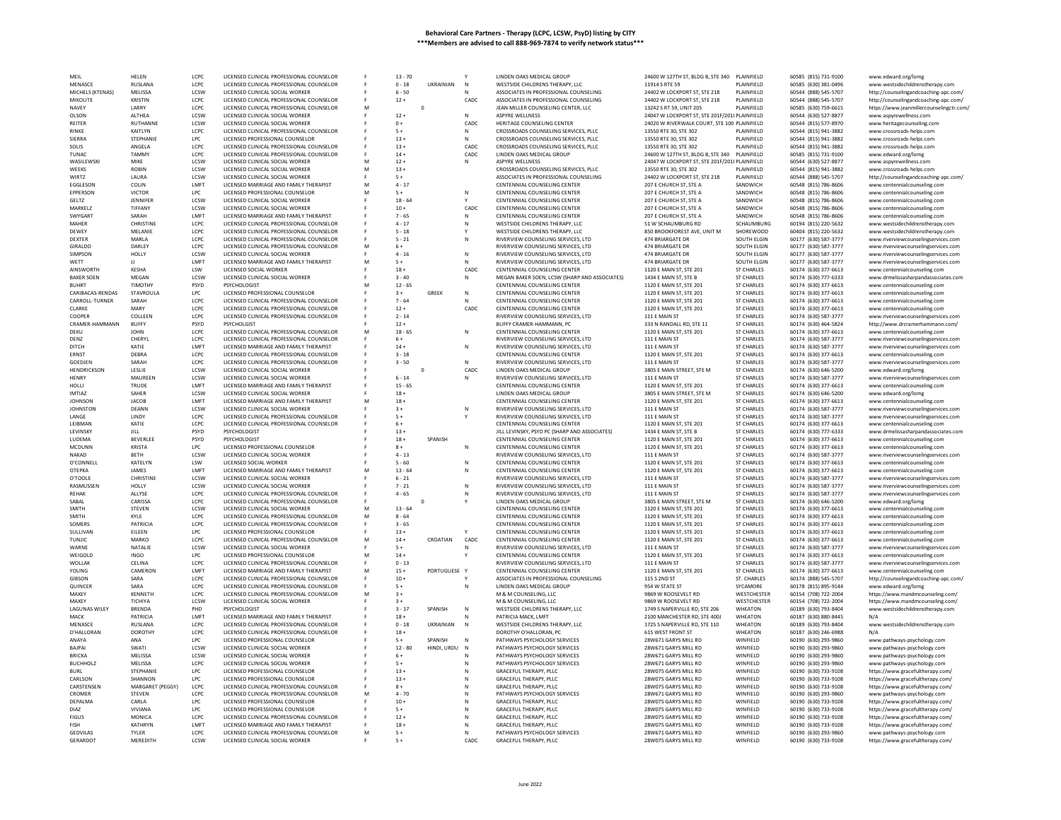| MEIL                               | HELEN             | LCPC            | LICENSED CLINICAL PROFESSIONAL COUNSELOF                                    |   | $13 - 70$ |              |              | LINDEN OAKS MEDICAL GROUP                              | 24600 W 127TH ST, BLDG B, STE 340             | PLAINFIELD           | 60585 (815) 731-9100                         | www.edward.org/lomg                                             |
|------------------------------------|-------------------|-----------------|-----------------------------------------------------------------------------|---|-----------|--------------|--------------|--------------------------------------------------------|-----------------------------------------------|----------------------|----------------------------------------------|-----------------------------------------------------------------|
| MENASCE                            | RUSLANA           | LCPC            | LICENSED CLINICAL PROFESSIONAL COUNSELOR                                    |   | $0 - 18$  | UKRAINIAN    | N            | WESTSIDE CHILDRENS THERAPY, LLC                        | 11914 S RTE 59                                | PLAINFIFLD           | 60585 (630) 381-0496                         | www.westsidechildrenstherapy.com                                |
| MICHELS (KTENAS)                   | MELISSA           | <b>ICSW</b>     | LICENSED CLINICAL SOCIAL WORKER                                             |   | $6 - 50$  |              |              | ASSOCIATES IN PROFESSIONAL COUNSELING                  | 24402 W LOCKPORT ST, STE 218                  | PLAINFIELD           | 60544 (888) 545-5707                         | http://counselingandcoaching-apc.com/                           |
|                                    | KRISTIN           | LCPC            |                                                                             |   | $12 +$    |              | CADC         |                                                        | 24402 W LOCKPORT ST, STE 218                  | PLAINFIFLD           |                                              |                                                                 |
| MIKOLITE                           |                   |                 | LICENSED CLINICAL PROFESSIONAL COUNSELOR                                    |   |           |              |              | ASSOCIATES IN PROFESSIONAL COUNSELING                  |                                               |                      | 60544 (888) 545-5707                         | http://counselingandcoaching-apc.com/                           |
| NAVEY                              | LARRY             | LCPC            | LICENSED CLINICAL PROFESSIONAL COUNSELOR                                    | M |           | $\circ$      |              | JEAN MILLER COUNSELING CENTER, LLC                     | 13242 S RT 59, UNIT 205                       | PLAINFIELD           | 60585 (630) 759-6615                         | https://www.jeanmillercounselingctr.com/                        |
| OLSON                              | ALTHEA            | LCSW            | LICENSED CLINICAL SOCIAL WORKER                                             |   | $12 +$    |              | N            | ASPYRE WELLNESS                                        | 24047 W LOCKPORT ST, STE 201F/201I PLAINFIELD |                      | 60544 (630) 527-8877                         | www.aspyrewellness.com                                          |
| RFITFR                             | RUTHANNE          | <b>LCSW</b>     | LICENSED CLINICAL SOCIAL WORKER                                             |   | $0+$      |              | CADC         | HERITAGE COUNSELING CENTER                             | 24020 W RIVERWALK COURT, STE 100 PLAINFIELD   |                      | 60544 (815) 577-8970                         | www.heritagecounseling.com                                      |
| RINKE                              | KAITLYN           | LCPC            | LICENSED CLINICAL PROFESSIONAL COUNSELOR                                    |   | $5+$      |              | N            | CROSSROADS COUNSELING SERVICES, PLLC                   | 13550 RTE 30, STE 302                         | <b>LAINFIELD</b>     | 60544 (815) 941-3882                         | www.crossroads-helps.com                                        |
| SIFRRA                             | <b>STEPHANIE</b>  | LPC             | LICENSED PROFESSIONAL COUNSELOR                                             |   | $13 +$    |              | $\mathbb{N}$ | CROSSROADS COUNSELING SERVICES, PLLC                   | 13550 RTE 30, STE 302                         | PLAINFIELD           | 60544 (815) 941-3882                         | www.crossroads-helps.com                                        |
|                                    |                   |                 |                                                                             |   |           |              |              |                                                        |                                               |                      |                                              |                                                                 |
| SOLIS                              | ANGELA            | LCPC            | LICENSED CLINICAL PROFESSIONAL COUNSELOR                                    |   | $13 +$    |              | CADC         | CROSSROADS COUNSELING SERVICES, PLLC                   | 13550 RTE 30, STE 302                         | PLAINFIELD           | 60544 (815) 941-3882                         | www.crossroads-helps.com                                        |
| TUNAC                              | <b>TAMMY</b>      | LCPC            | LICENSED CLINICAL PROFESSIONAL COUNSELOR                                    |   | $14 +$    |              | CADC         | LINDEN OAKS MEDICAL GROUP                              | 24600 W 127TH ST, BLDG B, STE 340             | PLAINFIELD           | 60585 (815) 731-9100                         | www.edward.org/lomg                                             |
| WASILEWSKI                         | MIKE              | LCSW            | LICENSED CLINICAL SOCIAL WORKER                                             | M | $12 +$    |              | N            | <b>ASPYRE WELLNESS</b>                                 | 24047 W LOCKPORT ST. STE 201F/201I PLAINFIELD |                      | 60544 (630) 527-8877                         | www.aspyrewellness.com                                          |
| WEEKS                              | <b>ROBIN</b>      | LCSW            | LICENSED CLINICAL SOCIAL WORKER                                             |   | $13 +$    |              |              | CROSSROADS COUNSELING SERVICES, PLLC                   | 13550 RTE 30, STE 302                         | PLAINFIELD           | 60544 (815) 941-3882                         | www.crossroads-helps.com                                        |
| WIRT7                              | <b>I AURA</b>     | <b>ICSW</b>     | LICENSED CLINICAL SOCIAL WORKER                                             |   | $5+$      |              |              | ASSOCIATES IN PROFESSIONAL COUNSELING                  | 24402 W LOCKPORT ST. STE 218                  | PLAINFIELD           | 60544 (888) 545-5707                         | http://counselingandcoaching-apc.com/                           |
|                                    |                   |                 |                                                                             |   |           |              |              |                                                        |                                               |                      |                                              |                                                                 |
| EGGLESON                           | COLIN             | LMFT            | LICENSED MARRIAGE AND FAMILY THERAPIST                                      |   | $4 - 17$  |              |              | CENTENNIAL COUNSELING CENTER                           | 207 E CHURCH ST, STE A                        | SANDWICH             | 60548 (815) 786-8606                         | www.centennialcounseling.com                                    |
| <b>FPPERSON</b>                    | <b>VICTOR</b>     | TPC.            | LICENSED PROFESSIONAL COUNSELOR                                             |   | $5+$      |              | N            | CENTENNIAL COUNSELING CENTER                           | 207 F CHURCH ST. STE A                        | SANDWICH             | 60548 (815) 786-8606                         | www.centennialcounseling.com                                    |
| GELTZ                              | JENNIFER          | LCSW            | LICENSED CLINICAL SOCIAL WORKER                                             |   | $18 - 64$ |              |              | CENTENNIAL COUNSELING CENTER                           | 207 E CHURCH ST, STE A                        | SANDWICH             | 60548 (815) 786-8606                         | www.centennialcounseling.com                                    |
| MARKELZ                            | TIFFANY           | LCSW            | LICENSED CLINICAL SOCIAL WORKER                                             |   | $10 +$    |              | CADC         | CENTENNIAL COUNSELING CENTER                           | 207 E CHURCH ST. STE A                        | SANDWICH             | 60548 (815) 786-8606                         | www.centennialcounseling.com                                    |
| <b>SWYGART</b>                     | SARAH             | <b>IMFT</b>     | LICENSED MARRIAGE AND FAMILY THERAPIST                                      |   | $7 - 65$  |              | N            |                                                        |                                               | SANDWICH             |                                              | www.centennialcounseling.com                                    |
|                                    |                   |                 |                                                                             |   |           |              |              | CENTENNIAL COUNSELING CENTER                           | 207 E CHURCH ST, STE A                        |                      | 60548 (815) 786-8606                         |                                                                 |
| MAHER                              | CHRISTINE         | LCPC            | LICENSED CLINICAL PROFESSIONAL COUNSELOR                                    |   | $4 - 17$  |              | N            | WESTSIDE CHILDRENS THERAPY, LLC                        | 51 W SCHAUMBURG RD                            | SCHAUMBURG           | 60194 (815) 220-5632                         | www.westsidechildrenstherapy.com                                |
| DEWEY                              | MELANIE           | LCPC            | LICENSED CLINICAL PROFESSIONAL COUNSELOR                                    |   | $5 - 18$  |              |              | WESTSIDE CHILDRENS THERAPY, LLC                        | 850 BROOKFOREST AVE, UNIT M                   | SHOREWOOD            | 60404 (815) 220-5632                         | www.westsidechildrenstherapy.com                                |
| DEXTER                             | MARLA             | LCPC            | LICENSED CLINICAL PROFESSIONAL COUNSELOR                                    |   | $5 - 21$  |              | N            | RIVERVIEW COUNSELING SERVICES, LTD                     | 474 BRIARGATE DR                              | SOUTH ELGIN          | 60177 (630) 587-3777                         | www.riverviewcounselingservices.com                             |
| GIRALDO                            | DARLEY            | LCPC            | LICENSED CLINICAL PROFESSIONAL COUNSELOR                                    | M | $6+$      |              |              | RIVERVIEW COUNSELING SERVICES, LTD                     | 474 BRIARGATE DR                              | SOUTH ELGIN          | 60177 (630) 587-3777                         | www.riverviewcounselingservices.com                             |
| <b>SIMPSON</b>                     | HOLLY             | LCSW            | LICENSED CLINICAL SOCIAL WORKER                                             |   | $4 - 16$  |              | N            | RIVERVIEW COUNSELING SERVICES, LTD                     | 474 BRIARGATE DR                              | SOUTH ELGIN          | 60177 (630) 587-3777                         | www.riverviewcounselingservices.com                             |
|                                    |                   |                 |                                                                             |   |           |              |              |                                                        |                                               |                      |                                              |                                                                 |
| WETT                               | Ш                 | LMFT            | LICENSED MARRIAGE AND FAMILY THERAPIST                                      | M | $5+$      |              | N            | RIVERVIEW COUNSELING SERVICES, LTD                     | 474 BRIARGATE DR                              | SOUTH ELGIN          | 60177 (630) 587-3777                         | www.riverviewcounselingservices.com                             |
| AINSWORTH                          | <b>KESHA</b>      | LSW             | LICENSED SOCIAL WORKER                                                      |   | $18 +$    |              | CADC         | CENTENNIAL COUNSELING CENTER                           | 1120 E MAIN ST, STE 201                       | <b>ST CHARLES</b>    | 60174 (630) 377-6613                         | www.centennialcounseling.com                                    |
| <b>BAKER SOEN</b>                  | MEGAN             | LCSW            | LICENSED CLINICAL SOCIAL WORKER                                             |   | $3 - 40$  |              | N            | MEGAN BAKER SOEN. LCSW (SHARP AND ASSOCIATES)          | 1434 E MAIN ST, STE B                         | <b>ST CHARLES</b>    | 60174 (630) 777-6333                         | www.drmelissasharpandassociates.com                             |
| RUHRT                              | TIMOTHY           | PSYD            | PSYCHOLOGIST                                                                |   | $12 - 65$ |              |              | CENTENNIAL COUNSELING CENTER                           | 1120 E MAIN ST, STE 201                       | <b>ST CHARLES</b>    | 60174 (630) 377-6613                         | www.centennialcounseling.com                                    |
| CARIBACAS-RENDAS                   | STAVROULA         | LPC             | LICENSED PROFESSIONAL COUNSELOR                                             |   | $3+$      | GREEK        | N            | CENTENNIAL COUNSELING CENTER                           | 1120 E MAIN ST, STE 201                       | <b>ST CHARLES</b>    | 60174 (630) 377-6613                         |                                                                 |
|                                    |                   |                 |                                                                             |   |           |              |              |                                                        |                                               |                      |                                              | www.centennialcounseling.com                                    |
| CARROLL-TURNER                     | SARAH             | LCPC            | LICENSED CLINICAL PROFESSIONAL COUNSELOR                                    |   | $7 - 64$  |              |              | CENTENNIAL COUNSELING CENTER                           | 1120 E MAIN ST, STE 201                       | <b>ST CHARLES</b>    | 60174 (630) 377-6613                         | www.centennialcounseling.com                                    |
| CLARKE                             | MARY              | LCPC            | LICENSED CLINICAL PROFESSIONAL COUNSELOR                                    |   | $12 +$    |              | CADC         | CENTENNIAL COUNSELING CENTER                           | 1120 E MAIN ST, STE 201                       | <b>ST CHARLES</b>    | 60174 (630) 377-6613                         | www.centennialcounseling.com                                    |
| COOPER                             | COLLEEN           | LCPC            | LICENSED CLINICAL PROFESSIONAL COUNSELOR                                    |   | $2 - 14$  |              |              | RIVERVIEW COUNSELING SERVICES, LTD                     | 111 E MAIN ST                                 | <b>ST CHARLES</b>    | 60174 (630) 587-3777                         | www.riverviewcounselingservices.com                             |
| CRAMER-HAMMANN                     | <b>BUFFY</b>      | PSYD            |                                                                             |   | $12 +$    |              |              | BUFFY CRAMER-HAMMANN, PC                               | 333 N RANDALL RD, STE 11                      | <b>ST CHARLES</b>    | 60174 (630) 464-5824                         | http://www.drcramerhammann.com/                                 |
|                                    |                   |                 |                                                                             |   |           |              |              |                                                        |                                               |                      |                                              |                                                                 |
| DEKU                               | <b>IOHN</b>       | LCPC            | LICENSED CLINICAL PROFESSIONAL COUNSELOR                                    | M | $18 - 65$ |              | N            | CENTENNIAL COUNSELING CENTER                           | 1120 E MAIN ST, STE 201                       | <b>ST CHARLES</b>    | 60174 (630) 377-6613                         | www.centennialcounseling.com                                    |
| DENZ                               | CHERYL            | LCPC            | LICENSED CLINICAL PROFESSIONAL COUNSELOR                                    |   | $6+$      |              |              | RIVERVIEW COUNSELING SERVICES, LTD                     | 111 E MAIN ST                                 | <b>ST CHARLES</b>    | 60174 (630) 587-3777                         | www.riverviewcounselingservices.com                             |
| DITCH                              | KATIE             | LMFT            | LICENSED MARRIAGE AND FAMILY THERAPIST                                      |   | $14 +$    |              | N            | RIVERVIEW COUNSELING SERVICES. LTD                     | 111 E MAIN ST                                 | <b>ST CHARLES</b>    | 60174 (630) 587-3777                         | www.riverviewcounselingservices.com                             |
| <b>ERNST</b>                       | DEBRA             | LCPC            | LICENSED CLINICAL PROFESSIONAL COUNSELOR                                    |   | $3 - 18$  |              |              | CENTENNIAL COUNSELING CENTER                           | 1120 E MAIN ST, STE 201                       | <b>ST CHARLES</b>    | 60174 (630) 377-6613                         | www.centennialcounseling.cor                                    |
| GOEDJEN                            | SARAH             | LCPC            | LICENSED CLINICAL PROFESSIONAL COUNSELOR                                    |   | $3 - 50$  |              | $\mathbb{N}$ | RIVERVIEW COUNSELING SERVICES. LTD                     | 111 E MAIN ST                                 | <b>ST CHARLES</b>    | 60174 (630) 587-3777                         | www.riverviewcounselingservices.com                             |
| HENDRICKSON                        | LESLIE            | LCSW            | LICENSED CLINICAL SOCIAL WORKER                                             |   |           | $\mathsf{o}$ | CADC         | LINDEN OAKS MEDICAL GROUP                              | 3805 E MAIN STREET, STE M                     | <b>ST CHARLES</b>    | 60174 (630) 646-5200                         |                                                                 |
|                                    |                   |                 |                                                                             |   |           |              |              |                                                        |                                               |                      |                                              | www.edward.org/lomg                                             |
| HENRY                              | MAUREEN           | LCSW            | LICENSED CLINICAL SOCIAL WORKER                                             |   | $6 - 14$  |              | N            | RIVERVIEW COUNSELING SERVICES, LTD                     | 111 E MAIN ST                                 | ST CHARLES           | 60174 (630) 587-3777                         | www.riverviewcounselingservices.com                             |
| HOLLI                              | TRUDE             | <b>IMFT</b>     | LICENSED MARRIAGE AND FAMILY THERAPIST                                      |   | $15 - 65$ |              |              | CENTENNIAL COUNSELING CENTER                           | 1120 E MAIN ST. STE 201                       | <b>ST CHARLES</b>    | 60174 (630) 377-6613                         | www.centennialcounseling.con                                    |
| <b>IMTIAZ</b>                      | SAHER             | LCSW            | LICENSED CLINICAL SOCIAL WORKER                                             |   | $18 +$    |              |              | LINDEN OAKS MEDICAL GROUP                              | 3805 E MAIN STREET, STE M                     | <b>ST CHARLES</b>    | 60174 (630) 646-5200                         | www.edward.org/lomg                                             |
| <b>IOHNSON</b>                     | <b>IACOB</b>      | <b>I MFT</b>    | LICENSED MARRIAGE AND FAMILY THERAPIST                                      |   | $18 +$    |              |              | CENTENNIAL COUNSELING CENTER                           | 1120 E MAIN ST, STE 201                       | <b>ST CHARLES</b>    | 60174 (630) 377-6613                         | www.centennialcounseling.com                                    |
| <b>JOHNSTON</b>                    | DEANN             | LCSW            | LICENSED CLINICAL SOCIAL WORKER                                             |   | $3+$      |              | N            | RIVERVIEW COUNSELING SERVICES, LTD                     | 111 E MAIN ST                                 | <b>ST CHARLES</b>    | 60174 (630) 587-3777                         | www.riverviewcounselingservices.com                             |
|                                    |                   |                 |                                                                             |   |           |              |              |                                                        |                                               |                      |                                              |                                                                 |
| <b>I ANGF</b>                      | LINDY             | LCPC            | LICENSED CLINICAL PROFESSIONAL COUNSELOR                                    |   | $5+$      |              |              | RIVERVIEW COUNSELING SERVICES. ITD                     | 111 F MAIN ST                                 | <b>ST CHARLES</b>    | 60174 (630) 587-3777                         | www.riverviewcounselingservices.com                             |
| LEIBMAN                            | KATIE             | LCPC            | LICENSED CLINICAL PROFESSIONAL COUNSELOR                                    |   | $6+$      |              |              | CENTENNIAL COUNSELING CENTER                           | 1120 E MAIN ST, STE 201                       | ST CHARLES           | 60174 (630) 377-6613                         | www.centennialcounseling.com                                    |
| LEVINSKY                           | JILL              | PSYD            | PSYCHOLOGIST                                                                |   | $13 +$    |              |              | JILL LEVINSKY, PSYD PC (SHARP AND ASSOCIATES)          | 1434 E MAIN ST, STE B                         | <b>ST CHARLES</b>    | 60174 (630) 777-6333                         | www.drmelissasharpandassociates.com                             |
| LUDEMA                             | BEVERLEE          | PSYD            | PSYCHOLOGIST                                                                |   | $18\,+\,$ | SPANISH      |              | CENTENNIAL COUNSELING CENTER                           | 1120 E MAIN ST, STE 201                       | <b>ST CHARLES</b>    | 60174 (630) 377-6613                         | www.centennialcounseling.cor                                    |
| MCDUNN                             | KRISTA            | LPC             | LICENSED PROFESSIONAL COUNSELOR                                             |   | $8+$      |              | N            | CENTENNIAL COUNSELING CENTER                           | 1120 E MAIN ST, STE 201                       | ST CHARLES           | 60174 (630) 377-6613                         | www.centennialcounseling.com                                    |
|                                    |                   |                 |                                                                             |   |           |              |              |                                                        |                                               |                      |                                              |                                                                 |
| <b>NAKAD</b>                       | <b>RFTH</b>       | <b>LCSW</b>     | LICENSED CLINICAL SOCIAL WORKER                                             |   | $4 - 13$  |              |              | RIVERVIEW COUNSELING SERVICES. LTD                     | 111 F MAIN ST                                 | <b>ST CHARLES</b>    | 60174 (630) 587-3777                         | www.riverviewcounselingservices.com                             |
| O'CONNELL                          | KATELYN           | LSW             | LICENSED SOCIAL WORKER                                                      |   | $5 - 60$  |              | N            | CENTENNIAL COUNSELING CENTER                           | 1120 E MAIN ST, STE 201                       | <b>ST CHARLES</b>    | 60174 (630) 377-6613                         | www.centennialcounseling.com                                    |
| OTFPKA                             | <b>JAMES</b>      | <b>IMFT</b>     | LICENSED MARRIAGE AND FAMILY THERAPIST                                      |   | $13 - 64$ |              | N            | CENTENNIAL COUNSELING CENTER                           | 1120 E MAIN ST, STE 201                       | <b>ST CHARLES</b>    | 60174 (630) 377-6613                         | www.centennialcounseling.com                                    |
| O'TOOLE                            | CHRISTINI         | LCSW            | LICENSED CLINICAL SOCIAL WORKER                                             |   | $6 - 21$  |              |              | RIVERVIEW COUNSELING SERVICES. LTD                     | 111 E MAIN ST                                 | <b>ST CHARLES</b>    | 60174 (630) 587-3777                         | www.riverviewcounselingservices.com                             |
| RASMUSSEN                          | HOLLY             | LCSW            | LICENSED CLINICAL SOCIAL WORKER                                             |   | $7 - 21$  |              | N            | RIVERVIEW COUNSELING SERVICES, LTD                     | 111 E MAIN ST                                 | <b>ST CHARLES</b>    | 60174 (630) 587-3777                         | www.riverviewcounselingservices.com                             |
|                                    |                   |                 |                                                                             |   |           |              |              |                                                        |                                               |                      |                                              |                                                                 |
| <b>REHAK</b>                       | ALLYSE            | LCPC            | LICENSED CLINICAL PROFESSIONAL COUNSELOR                                    |   | $4 - 65$  |              |              | RIVERVIEW COUNSELING SERVICES, LTD                     | 111 E MAIN ST                                 | <b>ST CHARLES</b>    | 60174 (630) 587-3777                         | www.riverviewcounselingservices.com                             |
| SABAL                              | CARISSA           | LCPC            | LICENSED CLINICAL PROFESSIONAL COUNSELOR                                    |   |           | $\circ$      |              | LINDEN OAKS MEDICAL GROUP                              | 3805 E MAIN STREET, STE M                     | <b>ST CHARLES</b>    | 60174 (630) 646-5200                         | www.edward.org/lomg                                             |
| SMITH                              | <b>STEVEN</b>     | LCSW            | LICENSED CLINICAL SOCIAL WORKER                                             |   | $13 - 64$ |              |              | CENTENNIAL COUNSELING CENTER                           | 1120 E MAIN ST, STE 201                       | <b>ST CHARLES</b>    | 60174 (630) 377-6613                         | www.centennialcounseling.com                                    |
| SMITH                              | KYLE              | LCPC            | LICENSED CLINICAL PROFESSIONAL COUNSELOR                                    |   | $8 - 64$  |              |              | CENTENNIAL COUNSELING CENTER                           | 1120 E MAIN ST, STE 201                       | <b>ST CHARLES</b>    | 60174 (630) 377-6613                         | www.centennialcounseling.com                                    |
| SOMERS                             | <b>PATRICIA</b>   | LCPC            | LICENSED CLINICAL PROFESSIONAL COUNSELOR                                    |   | $3 - 65$  |              |              | CENTENNIAL COUNSELING CENTER                           | 1120 E MAIN ST, STE 201                       | <b>ST CHARLES</b>    | 60174 (630) 377-6613                         | www.centennialcounseling.com                                    |
| SULLIVAN                           | EILEEN            | LPC             | LICENSED PROFESSIONAL COUNSELOR                                             |   | $13 +$    |              |              |                                                        |                                               | <b>ST CHARLES</b>    | 60174 (630) 377-6613                         |                                                                 |
|                                    |                   |                 |                                                                             |   |           |              |              | CENTENNIAL COUNSELING CENTER                           | 1120 E MAIN ST, STE 201                       |                      |                                              | www.centennialcounseling.com                                    |
| <b>TUNJIC</b>                      | MARKO             | LCPC            | LICENSED CLINICAL PROFESSIONAL COUNSELOR                                    | M | $14 +$    | CROATIAN     | CADC         | CENTENNIAL COUNSELING CENTER                           | 1120 E MAIN ST. STE 201                       | <b>ST CHARLES</b>    | 60174 (630) 377-6613                         | www.centennialcounseling.com                                    |
| WARNE                              | NATALIE           | LCSW            | LICENSED CLINICAL SOCIAL WORKER                                             |   | $5+$      |              |              | RIVERVIEW COUNSELING SERVICES. LTD                     | 111 E MAIN ST                                 | <b>ST CHARLES</b>    | 60174 (630) 587-3777                         | www.riverviewcounselingservices.com                             |
| WEIGOLD                            |                   |                 |                                                                             |   |           |              |              |                                                        |                                               |                      | 60174 (630) 377-6613                         | www.centennialcounseling.com                                    |
| WOLLAK                             | <b>INGO</b>       | <b>LPC</b>      | LICENSED PROFESSIONAL COUNSELOR                                             | M | $14 +$    |              |              | CENTENNIAL COUNSELING CENTER                           | 1120 E MAIN ST, STE 201                       | <b>ST CHARLES</b>    |                                              |                                                                 |
|                                    |                   |                 |                                                                             |   |           |              |              |                                                        |                                               |                      |                                              |                                                                 |
|                                    | CELINA            | LCPC            | LICENSED CLINICAL PROFESSIONAL COUNSELOR                                    |   | $0 - 13$  |              |              | RIVERVIEW COUNSELING SERVICES, LTD                     | 111 E MAIN ST                                 | <b>ST CHARLES</b>    | 60174 (630) 587-3777                         | www.riverviewcounselingservices.com                             |
| YOUNG                              | CAMERON           | <b>IMFT</b>     | LICENSED MARRIAGE AND FAMILY THERAPIST                                      | M | $15 +$    | PORTUGUESE Y |              | CENTENNIAL COUNSELING CENTER                           | 1120 E MAIN ST, STE 201                       | <b>ST CHARLES</b>    | 60174 (630) 377-6613                         | www.centennialcounseling.com                                    |
| <b>GIBSON</b>                      | SARA              | LCPC            | LICENSED CLINICAL PROFESSIONAL COUNSELOR                                    |   | $10 +$    |              |              | ASSOCIATES IN PROFESSIONAL COUNSELING                  | 115 S 2ND ST                                  | ST. CHARLES          | 60174 (888) 545-5707                         | http://counselingandcoaching-apc.com/                           |
| QUINCER                            | SARA              | LCPC            | LICENSED CLINICAL PROFESSIONAL COUNSELOR                                    |   | $5+$      |              | N            | LINDEN OAKS MEDICAL GROUP                              | 954 W STATE ST                                | SYCAMORE             | 60178 (815) 895-9144                         | www.edward.org/lomg                                             |
| MAXFY                              | KENNETH           | LCPC            | LICENSED CLINICAL PROFESSIONAL COUNSELOR                                    | M | $3+$      |              |              | M & M COUNSELING, LLC                                  | 9869 W ROOSEVELT RD                           | WESTCHESTER          | 60154 (708) 722-2004                         | https://www.mandmcounseling.com/                                |
| MAXEY                              | TICHIYA           | LCSW            | LICENSED CLINICAL SOCIAL WORKER                                             |   | $3+$      |              |              | M & M COUNSELING, LLC                                  | 9869 W ROOSEVELT RD                           | WESTCHESTER          | 60154 (708) 722-2004                         |                                                                 |
|                                    |                   |                 |                                                                             |   |           |              |              |                                                        |                                               |                      |                                              | https://www.mandmcounseling.com/                                |
| <b>LAGUNAS WILEY</b>               | <b>BRENDA</b>     | PH <sub>D</sub> | PSYCHOLOGIST                                                                |   | $3 - 17$  | SPANISH      | N            | WESTSIDE CHILDRENS THERAPY, LLC                        | 1749 S NAPERVILLE RD. STE 206                 | WHEATON              | 60189 (630) 793-8404                         | www.westsidechildrenstherapy.com                                |
| MACK                               | PATRICIA          | LMFT            | LICENSED MARRIAGE AND FAMILY THERAPIST                                      |   | $18 +$    |              |              | PATRICIA MACK, LMFT                                    | 2100 MANCHESTER RD, STE 400J                  | WHEATON              | 60187 (630) 880-8445                         | N/A                                                             |
| MENASCE                            | RUSLANA           | LCPC            | LICENSED CLINICAL PROFESSIONAL COUNSELOR                                    |   | $0 - 18$  | UKRAINIAN    | N            | WESTSIDE CHILDRENS THERAPY, LLC                        | 1725 S NAPERVILLE RD. STE 110                 | WHEATON              | 60189 (630) 793-8404                         | www.westsidechildrenstherapy.com                                |
| O'HALLORAN                         | <b>DOROTHY</b>    | LCPC            | LICENSED CLINICAL PROFESSIONAL COUNSELOR                                    |   | $18 +$    |              |              | DOROTHY O'HALLORAN, PC                                 | 615 WEST FRONT ST                             | WHEATON              | 60187 (630) 246-6988                         |                                                                 |
| ANAYA                              | ANA               | LPC             | LICENSED PROFESSIONAL COUNSELOR                                             |   | $5+$      | SPANISH      |              | PATHWAYS PSYCHOLOGY SERVICES                           | 28W671 GARYS MILL RD                          | WINFIELD             | 60190 (630) 293-9860                         |                                                                 |
|                                    |                   |                 |                                                                             |   |           |              |              |                                                        |                                               |                      |                                              | www.pathways-psychology.com                                     |
| <b>BAJPAI</b>                      | SWATI             | LCSW            | LICENSED CLINICAL SOCIAL WORKER                                             |   | $12 - 80$ | HINDI, URDU  | N            | PATHWAYS PSYCHOLOGY SERVICES                           | 28W671 GARYS MILL RD                          | WINFIELD             | 60190 (630) 293-9860                         | www.pathways-psychology.com                                     |
| <b>BRICKA</b>                      | MELISSA           | LCSW            | LICENSED CLINICAL SOCIAL WORKER                                             |   | $6+$      |              |              | PATHWAYS PSYCHOLOGY SERVICES                           | 28W671 GARYS MILL RD                          | WINFIELD             | 60190 (630) 293-9860                         | www.pathways-psychology.com                                     |
| <b>BUCHHOLZ</b>                    | MELISSA           | LCPC            | LICENSED CLINICAL SOCIAL WORKER                                             |   | $5+$      |              |              | PATHWAYS PSYCHOLOGY SERVICES                           | 28W671 GARYS MILL RD                          | WINFIELD             | 60190 (630) 293-9860                         | www.pathways-psychology.com                                     |
| <b>BURL</b>                        | STEPHANIE         | LPC             | LICENSED PROFESSIONAL COUNSELOR                                             |   | $13 +$    |              |              | GRACEFUL THERAPY, PLLC                                 | 28W075 GARYS MILL RD                          | WINFIELD             | 60190 (630) 733-9108                         | https://www.gracefultherapy.com/                                |
| <b>CARLSON</b>                     | SHANNON           | LPC             | LICENSED PROFESSIONAL COUNSELOR                                             |   | $13 +$    |              | N            | GRACEFUL THERAPY, PLLC                                 | 28W075 GARYS MILL RD                          | WINFIFI <sub>D</sub> | 60190 (630) 733-9108                         |                                                                 |
|                                    |                   |                 |                                                                             |   |           |              |              |                                                        |                                               |                      |                                              | https://www.gracefultherapy.com/                                |
| CARSTENSEN                         | MARGARET (PEGGY)  | LCPC            | LICENSED CLINICAL PROFESSIONAL COUNSELOF                                    |   | $8+$      |              |              | GRACEFUL THERAPY, PLLC                                 | 28W075 GARYS MILL RD                          | WINFIELD             | 60190 (630) 733-9108                         | https://www.gracefultherapy.com/                                |
| CROMER                             | <b>STEVEN</b>     | LCPC            | LICENSED CLINICAL PROFESSIONAL COUNSELOR                                    |   | $4 - 70$  |              |              | PATHWAYS PSYCHOLOGY SERVICES                           | 28W671 GARYS MILL RD                          | WINFIFI <sub>D</sub> | 60190 (630) 293-9860                         | www.pathways-psychology.com                                     |
| DEPALMA                            | CARLA             | LPC             | LICENSED PROFESSIONAL COUNSELOR                                             |   | $10 +$    |              |              | GRACEFUL THERAPY, PLLC                                 | 28W075 GARYS MILL RD                          | WINFIELD             | 60190 (630) 733-9108                         | https://www.gracefultherapy.com/                                |
| DIAZ                               | VIVIANA           | LPC             | LICENSED PROFESSIONAL COUNSELOR                                             |   | $5+$      |              |              | GRACEFUL THERAPY, PLLC                                 | 28W075 GARYS MILL RD                          | WINFIELD             | 60190 (630) 733-9108                         | https://www.gracefultherapy.com/                                |
| <b>FIGUS</b>                       | MONICA            | LCPC            | LICENSED CLINICAL PROFESSIONAL COUNSELOR                                    |   |           |              |              |                                                        | 28W075 GARYS MILL RD                          | WINFIELD             |                                              |                                                                 |
|                                    |                   |                 |                                                                             |   | $12 +$    |              |              | GRACEFUL THERAPY, PLLC                                 |                                               |                      | 60190 (630) 733-9108                         | https://www.gracefultherapy.com/                                |
| <b>FISH</b>                        | KATHRYN           | LMFT            | LICENSED MARRIAGE AND FAMILY THERAPIST                                      |   | $18 +$    |              |              | GRACEFUL THERAPY, PLLC                                 | 28W075 GARYS MILL RD                          | WINFIELD             | 60190 (630) 733-9108                         | https://www.gracefultherapy.com/                                |
| <b>GEDVILAS</b><br><b>GERARDOT</b> | TYLER<br>MEREDITH | LCPC<br>LCSW    | LICENSED CLINICAL PROFESSIONAL COUNSELOR<br>LICENSED CLINICAL SOCIAL WORKER |   | $5+$      |              | CADC         | PATHWAYS PSYCHOLOGY SERVICES<br>GRACEFUL THERAPY, PLLC | 28W671 GARYS MILL RD<br>28W075 GARYS MILL RD  | WINFIELD<br>WINFIELD | 60190 (630) 293-9860<br>60190 (630) 733-9108 | www.pathways-psychology.com<br>https://www.gracefultherapy.com/ |